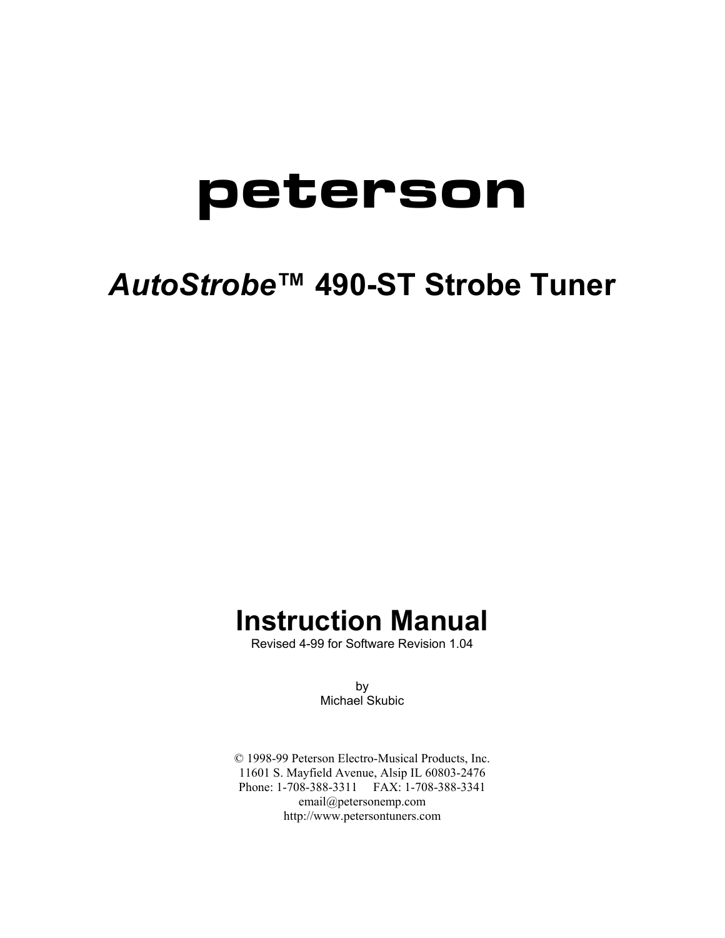# **peterson**

## *AutoStrobe***™ 490-ST Strobe Tuner**

## **Instruction Manual**

Revised 4-99 for Software Revision 1.04

by Michael Skubic

© 1998-99 Peterson Electro-Musical Products, Inc. 11601 S. Mayfield Avenue, Alsip IL 60803-2476 Phone: 1-708-388-3311 FAX: 1-708-388-3341 email@petersonemp.com http://www.petersontuners.com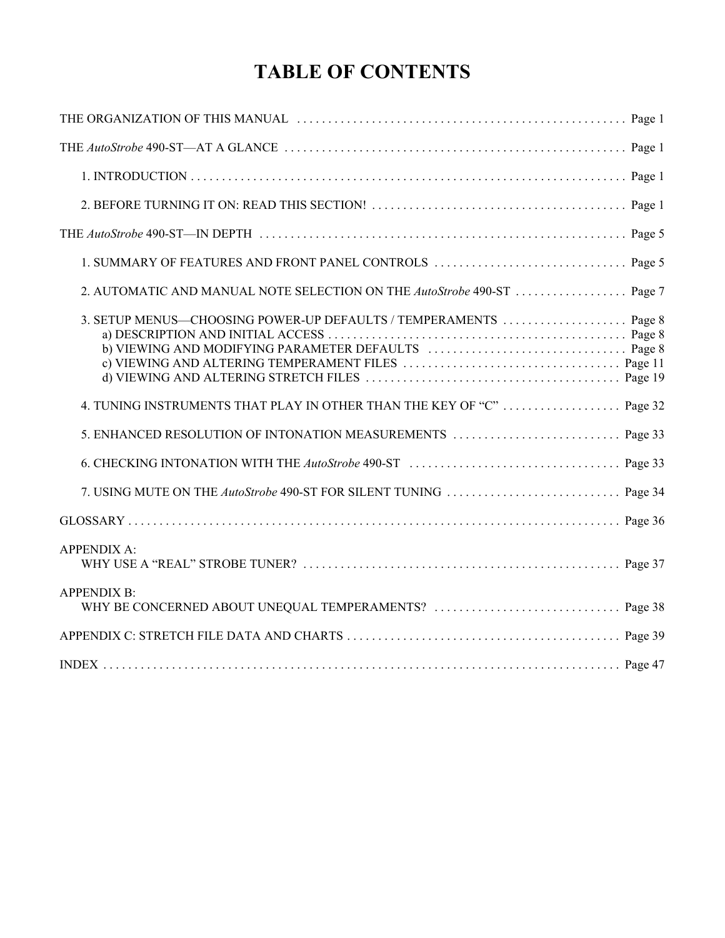## **TABLE OF CONTENTS**

| 2. AUTOMATIC AND MANUAL NOTE SELECTION ON THE AutoStrobe 490-ST  Page 7 |  |
|-------------------------------------------------------------------------|--|
| 3. SETUP MENUS—CHOOSING POWER-UP DEFAULTS / TEMPERAMENTS  Page 8        |  |
| 4. TUNING INSTRUMENTS THAT PLAY IN OTHER THAN THE KEY OF "C"  Page 32   |  |
|                                                                         |  |
|                                                                         |  |
|                                                                         |  |
|                                                                         |  |
| <b>APPENDIX A:</b>                                                      |  |
| <b>APPENDIX B:</b>                                                      |  |
|                                                                         |  |
|                                                                         |  |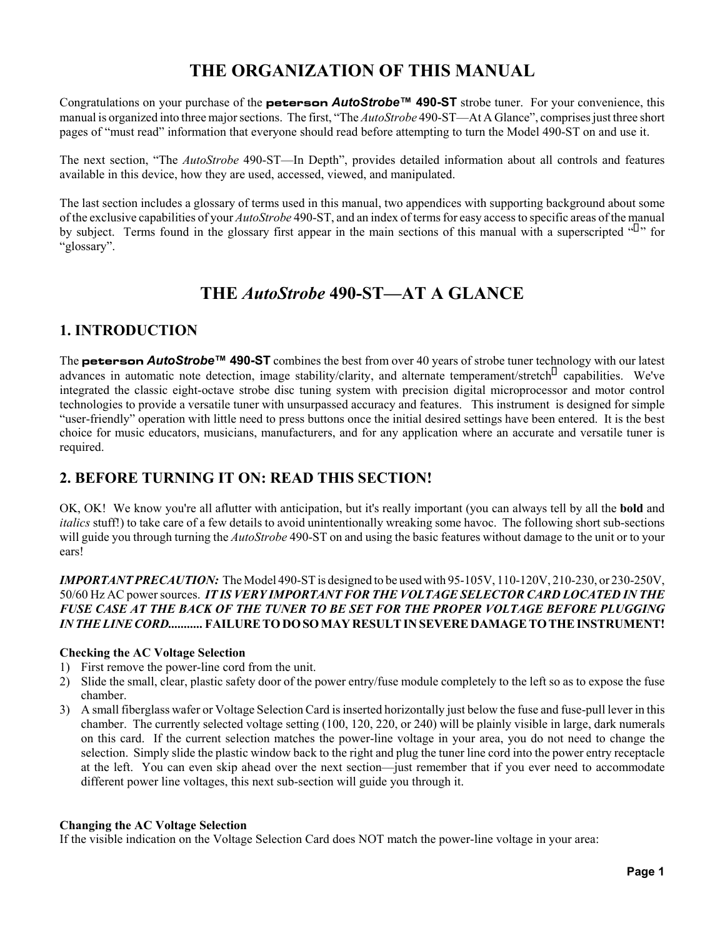## **THE ORGANIZATION OF THIS MANUAL**

Congratulations on your purchase of the **peterson** *AutoStrobe***™ 490-ST** strobe tuner. For your convenience, this manual is organized into three major sections. The first, "The *AutoStrobe* 490-ST—At A Glance", comprises just three short pages of "must read" information that everyone should read before attempting to turn the Model 490-ST on and use it.

The next section, "The *AutoStrobe* 490-ST—In Depth", provides detailed information about all controls and features available in this device, how they are used, accessed, viewed, and manipulated.

The last section includes a glossary of terms used in this manual, two appendices with supporting background about some of the exclusive capabilities of your *AutoStrobe* 490-ST, and an index of terms for easy access to specific areas of the manual by subject. Terms found in the glossary first appear in the main sections of this manual with a superscripted "" for "glossary".

## **THE** *AutoStrobe* **490-ST—AT A GLANCE**

#### **1. INTRODUCTION**

The **peterson** *AutoStrobe***™ 490-ST** combines the best from over 40 years of strobe tuner technology with our latest advances in automatic note detection, image stability/clarity, and alternate temperament/stretch capabilities. We've integrated the classic eight-octave strobe disc tuning system with precision digital microprocessor and motor control technologies to provide a versatile tuner with unsurpassed accuracy and features. This instrument is designed for simple "user-friendly" operation with little need to press buttons once the initial desired settings have been entered. It is the best choice for music educators, musicians, manufacturers, and for any application where an accurate and versatile tuner is required.

#### **2. BEFORE TURNING IT ON: READ THIS SECTION!**

OK, OK! We know you're all aflutter with anticipation, but it's really important (you can always tell by all the **bold** and *italics* stuff!) to take care of a few details to avoid unintentionally wreaking some havoc. The following short sub-sections will guide you through turning the *AutoStrobe* 490-ST on and using the basic features without damage to the unit or to your ears!

*IMPORTANT PRECAUTION:* The Model 490-ST is designed to be used with 95-105V, 110-120V, 210-230, or 230-250V, 50/60 Hz AC power sources. *IT IS VERY IMPORTANT FOR THE VOLTAGE SELECTOR CARD LOCATED IN THE FUSE CASE AT THE BACK OF THE TUNER TO BE SET FOR THE PROPER VOLTAGE BEFORE PLUGGING IN THE LINE CORD...........* **FAILURE TO DO SO MAY RESULT IN SEVERE DAMAGE TO THE INSTRUMENT!**

#### **Checking the AC Voltage Selection**

- 1) First remove the power-line cord from the unit.
- 2) Slide the small, clear, plastic safety door of the power entry/fuse module completely to the left so as to expose the fuse chamber.
- 3) A small fiberglass wafer or Voltage Selection Card is inserted horizontally just below the fuse and fuse-pull lever in this chamber. The currently selected voltage setting (100, 120, 220, or 240) will be plainly visible in large, dark numerals on this card. If the current selection matches the power-line voltage in your area, you do not need to change the selection. Simply slide the plastic window back to the right and plug the tuner line cord into the power entry receptacle at the left. You can even skip ahead over the next section—just remember that if you ever need to accommodate different power line voltages, this next sub-section will guide you through it.

#### **Changing the AC Voltage Selection**

If the visible indication on the Voltage Selection Card does NOT match the power-line voltage in your area: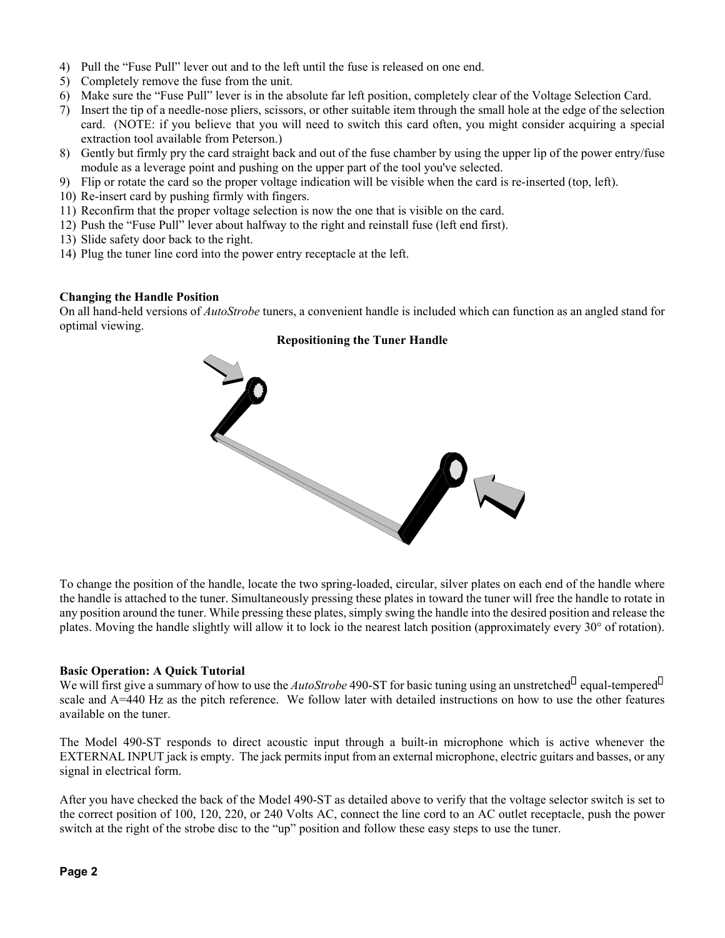- 4) Pull the "Fuse Pull" lever out and to the left until the fuse is released on one end.
- 5) Completely remove the fuse from the unit.
- 6) Make sure the "Fuse Pull" lever is in the absolute far left position, completely clear of the Voltage Selection Card.
- 7) Insert the tip of a needle-nose pliers, scissors, or other suitable item through the small hole at the edge of the selection card. (NOTE: if you believe that you will need to switch this card often, you might consider acquiring a special extraction tool available from Peterson.)
- 8) Gently but firmly pry the card straight back and out of the fuse chamber by using the upper lip of the power entry/fuse module as a leverage point and pushing on the upper part of the tool you've selected.
- 9) Flip or rotate the card so the proper voltage indication will be visible when the card is re-inserted (top, left).
- 10) Re-insert card by pushing firmly with fingers.
- 11) Reconfirm that the proper voltage selection is now the one that is visible on the card.
- 12) Push the "Fuse Pull" lever about halfway to the right and reinstall fuse (left end first).
- 13) Slide safety door back to the right.
- 14) Plug the tuner line cord into the power entry receptacle at the left.

#### **Changing the Handle Position**

On all hand-held versions of *AutoStrobe* tuners, a convenient handle is included which can function as an angled stand for optimal viewing.

#### **Repositioning the Tuner Handle**



To change the position of the handle, locate the two spring-loaded, circular, silver plates on each end of the handle where the handle is attached to the tuner. Simultaneously pressing these plates in toward the tuner will free the handle to rotate in any position around the tuner. While pressing these plates, simply swing the handle into the desired position and release the plates. Moving the handle slightly will allow it to lock io the nearest latch position (approximately every 30° of rotation).

#### **Basic Operation: A Quick Tutorial**

We will first give a summary of how to use the *AutoStrobe* 490-ST for basic tuning using an unstretched equal-tempered scale and A=440 Hz as the pitch reference. We follow later with detailed instructions on how to use the other features available on the tuner.

The Model 490-ST responds to direct acoustic input through a built-in microphone which is active whenever the EXTERNAL INPUT jack is empty. The jack permits input from an external microphone, electric guitars and basses, or any signal in electrical form.

After you have checked the back of the Model 490-ST as detailed above to verify that the voltage selector switch is set to the correct position of 100, 120, 220, or 240 Volts AC, connect the line cord to an AC outlet receptacle, push the power switch at the right of the strobe disc to the "up" position and follow these easy steps to use the tuner.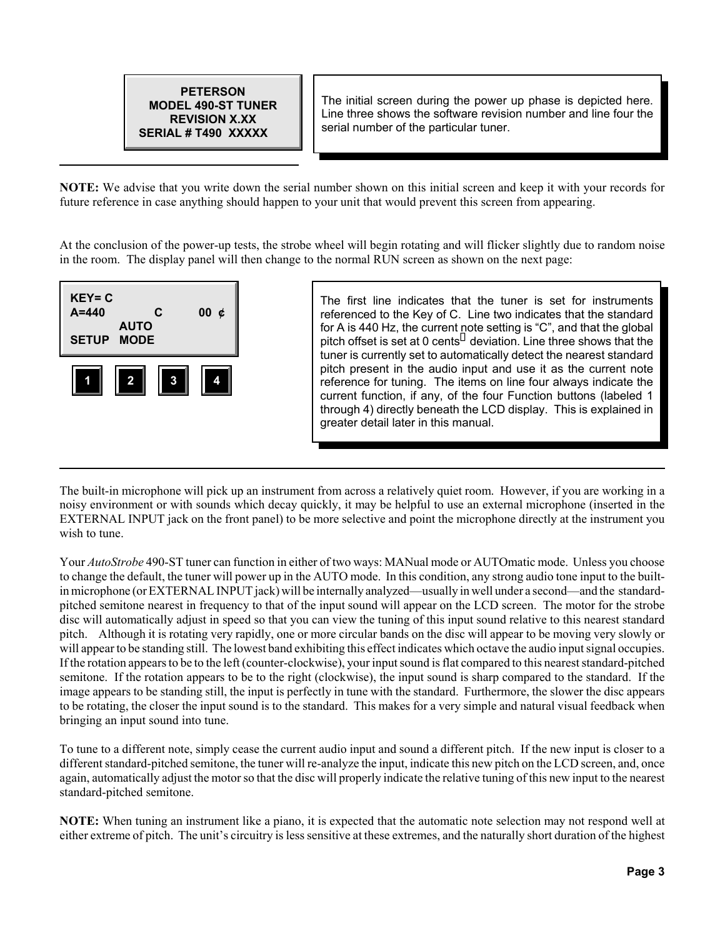

The initial screen during the power up phase is depicted here. Line three shows the software revision number and line four the serial number of the particular tuner.

**NOTE:** We advise that you write down the serial number shown on this initial screen and keep it with your records for future reference in case anything should happen to your unit that would prevent this screen from appearing.

At the conclusion of the power-up tests, the strobe wheel will begin rotating and will flicker slightly due to random noise in the room. The display panel will then change to the normal RUN screen as shown on the next page:



The first line indicates that the tuner is set for instruments referenced to the Key of C. Line two indicates that the standard for A is 440 Hz, the current note setting is "C", and that the global pitch offset is set at 0 cents deviation. Line three shows that the tuner is currently set to automatically detect the nearest standard pitch present in the audio input and use it as the current note reference for tuning. The items on line four always indicate the current function, if any, of the four Function buttons (labeled 1 through 4) directly beneath the LCD display. This is explained in greater detail later in this manual.

The built-in microphone will pick up an instrument from across a relatively quiet room. However, if you are working in a noisy environment or with sounds which decay quickly, it may be helpful to use an external microphone (inserted in the EXTERNAL INPUT jack on the front panel) to be more selective and point the microphone directly at the instrument you wish to tune.

Your *AutoStrobe* 490-ST tuner can function in either of two ways: MANual mode or AUTOmatic mode. Unless you choose to change the default, the tuner will power up in the AUTO mode. In this condition, any strong audio tone input to the builtin microphone (or EXTERNAL INPUT jack) will be internally analyzed—usually in well under a second—and the standardpitched semitone nearest in frequency to that of the input sound will appear on the LCD screen. The motor for the strobe disc will automatically adjust in speed so that you can view the tuning of this input sound relative to this nearest standard pitch. Although it is rotating very rapidly, one or more circular bands on the disc will appear to be moving very slowly or will appear to be standing still. The lowest band exhibiting this effect indicates which octave the audio input signal occupies. If the rotation appears to be to the left (counter-clockwise), your input sound is flat compared to this nearest standard-pitched semitone. If the rotation appears to be to the right (clockwise), the input sound is sharp compared to the standard. If the image appears to be standing still, the input is perfectly in tune with the standard. Furthermore, the slower the disc appears to be rotating, the closer the input sound is to the standard. This makes for a very simple and natural visual feedback when bringing an input sound into tune.

To tune to a different note, simply cease the current audio input and sound a different pitch. If the new input is closer to a different standard-pitched semitone, the tuner will re-analyze the input, indicate this new pitch on the LCD screen, and, once again, automatically adjust the motor so that the disc will properly indicate the relative tuning of this new input to the nearest standard-pitched semitone.

**NOTE:** When tuning an instrument like a piano, it is expected that the automatic note selection may not respond well at either extreme of pitch. The unit's circuitry is less sensitive at these extremes, and the naturally short duration of the highest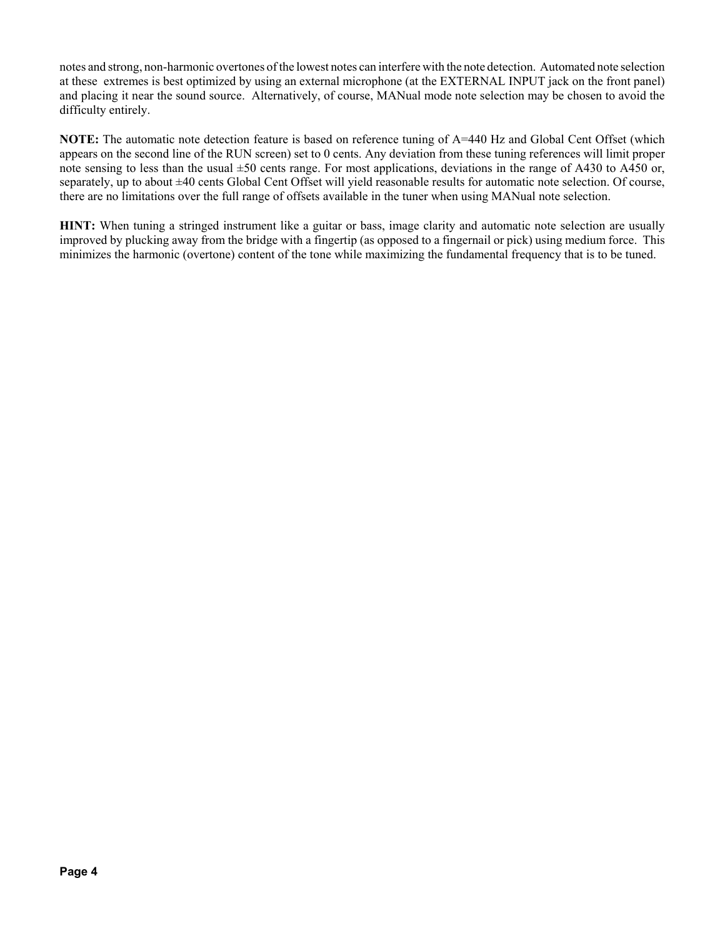notes and strong, non-harmonic overtones of the lowest notes can interfere with the note detection. Automated note selection at these extremes is best optimized by using an external microphone (at the EXTERNAL INPUT jack on the front panel) and placing it near the sound source. Alternatively, of course, MANual mode note selection may be chosen to avoid the difficulty entirely.

**NOTE:** The automatic note detection feature is based on reference tuning of A=440 Hz and Global Cent Offset (which appears on the second line of the RUN screen) set to 0 cents. Any deviation from these tuning references will limit proper note sensing to less than the usual  $\pm 50$  cents range. For most applications, deviations in the range of A430 to A450 or, separately, up to about  $\pm 40$  cents Global Cent Offset will yield reasonable results for automatic note selection. Of course, there are no limitations over the full range of offsets available in the tuner when using MANual note selection.

**HINT:** When tuning a stringed instrument like a guitar or bass, image clarity and automatic note selection are usually improved by plucking away from the bridge with a fingertip (as opposed to a fingernail or pick) using medium force. This minimizes the harmonic (overtone) content of the tone while maximizing the fundamental frequency that is to be tuned.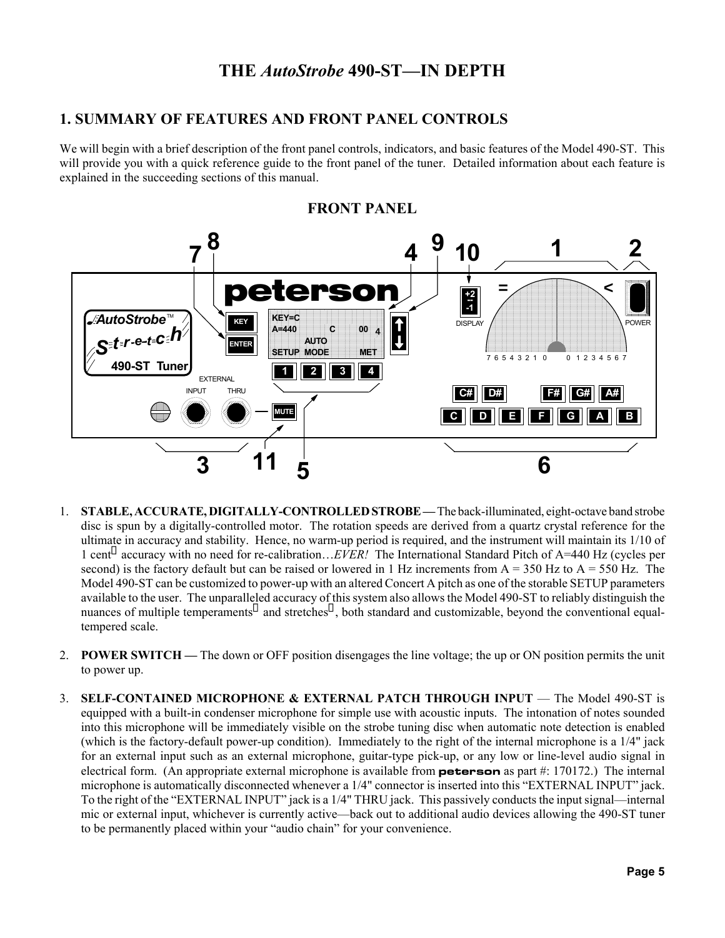## **THE** *AutoStrobe* **490-ST—IN DEPTH**

#### **1. SUMMARY OF FEATURES AND FRONT PANEL CONTROLS**

We will begin with a brief description of the front panel controls, indicators, and basic features of the Model 490-ST. This will provide you with a quick reference guide to the front panel of the tuner. Detailed information about each feature is explained in the succeeding sections of this manual.



**FRONT PANEL**

- 1. **STABLE, ACCURATE, DIGITALLY-CONTROLLED STROBE** The back-illuminated, eight-octave band strobe disc is spun by a digitally-controlled motor. The rotation speeds are derived from a quartz crystal reference for the ultimate in accuracy and stability. Hence, no warm-up period is required, and the instrument will maintain its 1/10 of 1 cent accuracy with no need for re-calibration…*EVER!* The International Standard Pitch of A=440 Hz (cycles per second) is the factory default but can be raised or lowered in 1 Hz increments from  $A = 350$  Hz to  $A = 550$  Hz. The Model 490-ST can be customized to power-up with an altered Concert A pitch as one of the storable SETUP parameters available to the user. The unparalleled accuracy of this system also allows the Model 490-ST to reliably distinguish the nuances of multiple temperaments and stretches, both standard and customizable, beyond the conventional equaltempered scale.
- 2. **POWER SWITCH —** The down or OFF position disengages the line voltage; the up or ON position permits the unit to power up.
- 3. **SELF-CONTAINED MICROPHONE & EXTERNAL PATCH THROUGH INPUT** The Model 490-ST is equipped with a built-in condenser microphone for simple use with acoustic inputs. The intonation of notes sounded into this microphone will be immediately visible on the strobe tuning disc when automatic note detection is enabled (which is the factory-default power-up condition). Immediately to the right of the internal microphone is a 1/4" jack for an external input such as an external microphone, guitar-type pick-up, or any low or line-level audio signal in electrical form. (An appropriate external microphone is available from **peterson** as part #: 170172.) The internal microphone is automatically disconnected whenever a 1/4" connector is inserted into this "EXTERNAL INPUT" jack. To the right of the "EXTERNAL INPUT" jack is a 1/4" THRU jack. This passively conducts the input signal—internal mic or external input, whichever is currently active—back out to additional audio devices allowing the 490-ST tuner to be permanently placed within your "audio chain" for your convenience.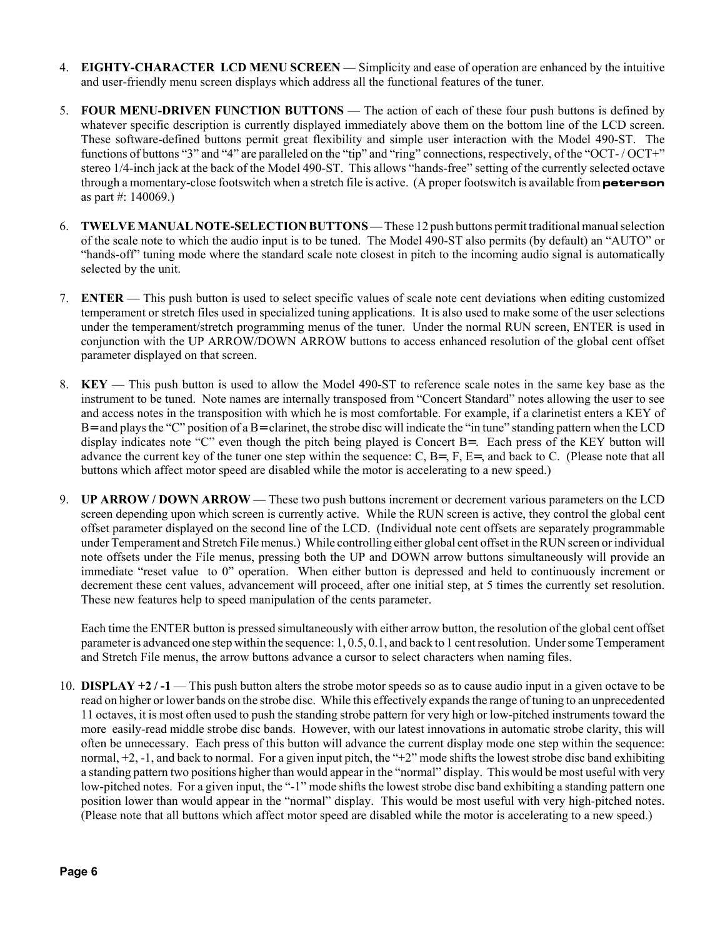- 4. **EIGHTY-CHARACTER LCD MENU SCREEN**  Simplicity and ease of operation are enhanced by the intuitive and user-friendly menu screen displays which address all the functional features of the tuner.
- 5. **FOUR MENU-DRIVEN FUNCTION BUTTONS**  The action of each of these four push buttons is defined by whatever specific description is currently displayed immediately above them on the bottom line of the LCD screen. These software-defined buttons permit great flexibility and simple user interaction with the Model 490-ST. The functions of buttons "3" and "4" are paralleled on the "tip" and "ring" connections, respectively, of the "OCT- / OCT+" stereo 1/4-inch jack at the back of the Model 490-ST. This allows "hands-free" setting of the currently selected octave through a momentary-close footswitch when a stretch file is active. (A proper footswitch is available from **peterson** as part #: 140069.)
- 6. **TWELVE MANUAL NOTE-SELECTION BUTTONS**  These 12 push buttons permit traditional manual selection of the scale note to which the audio input is to be tuned. The Model 490-ST also permits (by default) an "AUTO" or "hands-off" tuning mode where the standard scale note closest in pitch to the incoming audio signal is automatically selected by the unit.
- 7. **ENTER**  This push button is used to select specific values of scale note cent deviations when editing customized temperament or stretch files used in specialized tuning applications. It is also used to make some of the user selections under the temperament/stretch programming menus of the tuner. Under the normal RUN screen, ENTER is used in conjunction with the UP ARROW/DOWN ARROW buttons to access enhanced resolution of the global cent offset parameter displayed on that screen.
- 8. **KEY**  This push button is used to allow the Model 490-ST to reference scale notes in the same key base as the instrument to be tuned. Note names are internally transposed from "Concert Standard" notes allowing the user to see and access notes in the transposition with which he is most comfortable. For example, if a clarinetist enters a KEY of  $B=$  and plays the "C" position of a  $B=$  clarinet, the strobe disc will indicate the "in tune" standing pattern when the LCD display indicates note "C" even though the pitch being played is Concert B=. Each press of the KEY button will advance the current key of the tuner one step within the sequence: C, B=, F, E=, and back to C. (Please note that all buttons which affect motor speed are disabled while the motor is accelerating to a new speed.)
- 9. **UP ARROW / DOWN ARROW**  These two push buttons increment or decrement various parameters on the LCD screen depending upon which screen is currently active. While the RUN screen is active, they control the global cent offset parameter displayed on the second line of the LCD. (Individual note cent offsets are separately programmable under Temperament and Stretch File menus.) While controlling either global cent offset in the RUN screen or individual note offsets under the File menus, pressing both the UP and DOWN arrow buttons simultaneously will provide an immediate "reset value to 0" operation. When either button is depressed and held to continuously increment or decrement these cent values, advancement will proceed, after one initial step, at 5 times the currently set resolution. These new features help to speed manipulation of the cents parameter.

Each time the ENTER button is pressed simultaneously with either arrow button, the resolution of the global cent offset parameter is advanced one step within the sequence: 1, 0.5, 0.1, and back to 1 cent resolution. Under some Temperament and Stretch File menus, the arrow buttons advance a cursor to select characters when naming files.

10. **DISPLAY +2 / -1** — This push button alters the strobe motor speeds so as to cause audio input in a given octave to be read on higher or lower bands on the strobe disc. While this effectively expands the range of tuning to an unprecedented 11 octaves, it is most often used to push the standing strobe pattern for very high or low-pitched instruments toward the more easily-read middle strobe disc bands. However, with our latest innovations in automatic strobe clarity, this will often be unnecessary. Each press of this button will advance the current display mode one step within the sequence: normal, +2, -1, and back to normal. For a given input pitch, the "+2" mode shifts the lowest strobe disc band exhibiting a standing pattern two positions higher than would appear in the "normal" display. This would be most useful with very low-pitched notes. For a given input, the "-1" mode shifts the lowest strobe disc band exhibiting a standing pattern one position lower than would appear in the "normal" display. This would be most useful with very high-pitched notes. (Please note that all buttons which affect motor speed are disabled while the motor is accelerating to a new speed.)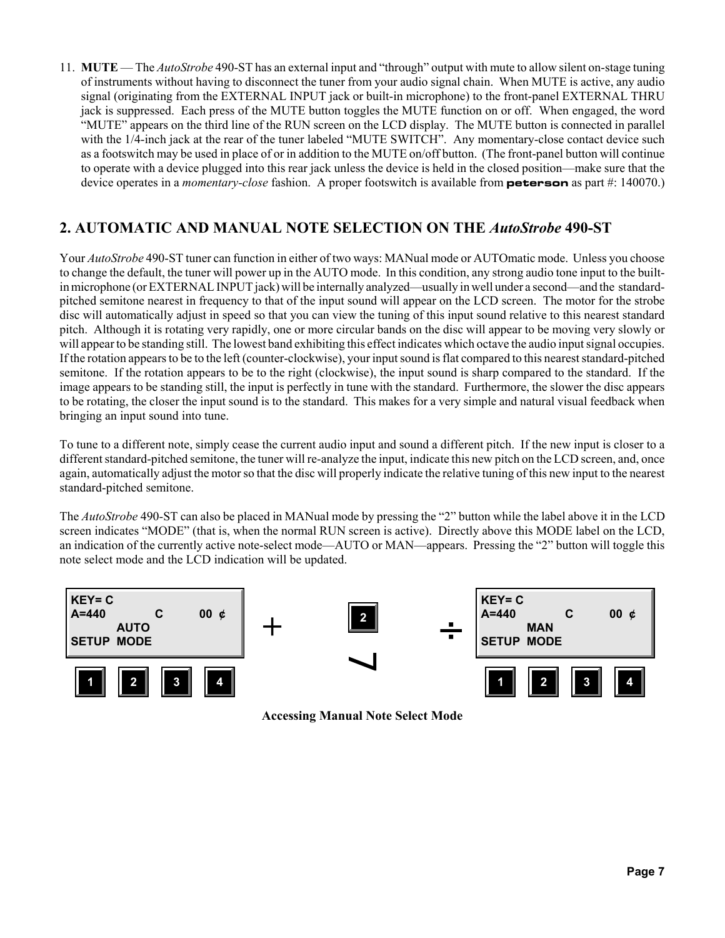11. **MUTE** — The *AutoStrobe* 490-ST has an external input and "through" output with mute to allow silent on-stage tuning of instruments without having to disconnect the tuner from your audio signal chain. When MUTE is active, any audio signal (originating from the EXTERNAL INPUT jack or built-in microphone) to the front-panel EXTERNAL THRU jack is suppressed. Each press of the MUTE button toggles the MUTE function on or off. When engaged, the word "MUTE" appears on the third line of the RUN screen on the LCD display. The MUTE button is connected in parallel with the 1/4-inch jack at the rear of the tuner labeled "MUTE SWITCH". Any momentary-close contact device such as a footswitch may be used in place of or in addition to the MUTE on/off button. (The front-panel button will continue to operate with a device plugged into this rear jack unless the device is held in the closed position—make sure that the device operates in a *momentary-close* fashion. A proper footswitch is available from **peterson** as part #: 140070.)

### **2. AUTOMATIC AND MANUAL NOTE SELECTION ON THE** *AutoStrobe* **490-ST**

Your *AutoStrobe* 490-ST tuner can function in either of two ways: MANual mode or AUTOmatic mode. Unless you choose to change the default, the tuner will power up in the AUTO mode. In this condition, any strong audio tone input to the builtin microphone (or EXTERNAL INPUT jack) will be internally analyzed—usually in well under a second—and the standardpitched semitone nearest in frequency to that of the input sound will appear on the LCD screen. The motor for the strobe disc will automatically adjust in speed so that you can view the tuning of this input sound relative to this nearest standard pitch. Although it is rotating very rapidly, one or more circular bands on the disc will appear to be moving very slowly or will appear to be standing still. The lowest band exhibiting this effect indicates which octave the audio input signal occupies. If the rotation appears to be to the left (counter-clockwise), your input sound is flat compared to this nearest standard-pitched semitone. If the rotation appears to be to the right (clockwise), the input sound is sharp compared to the standard. If the image appears to be standing still, the input is perfectly in tune with the standard. Furthermore, the slower the disc appears to be rotating, the closer the input sound is to the standard. This makes for a very simple and natural visual feedback when bringing an input sound into tune.

To tune to a different note, simply cease the current audio input and sound a different pitch. If the new input is closer to a different standard-pitched semitone, the tuner will re-analyze the input, indicate this new pitch on the LCD screen, and, once again, automatically adjust the motor so that the disc will properly indicate the relative tuning of this new input to the nearest standard-pitched semitone.

The *AutoStrobe* 490-ST can also be placed in MANual mode by pressing the "2" button while the label above it in the LCD screen indicates "MODE" (that is, when the normal RUN screen is active). Directly above this MODE label on the LCD, an indication of the currently active note-select mode—AUTO or MAN—appears. Pressing the "2" button will toggle this note select mode and the LCD indication will be updated.



**Accessing Manual Note Select Mode**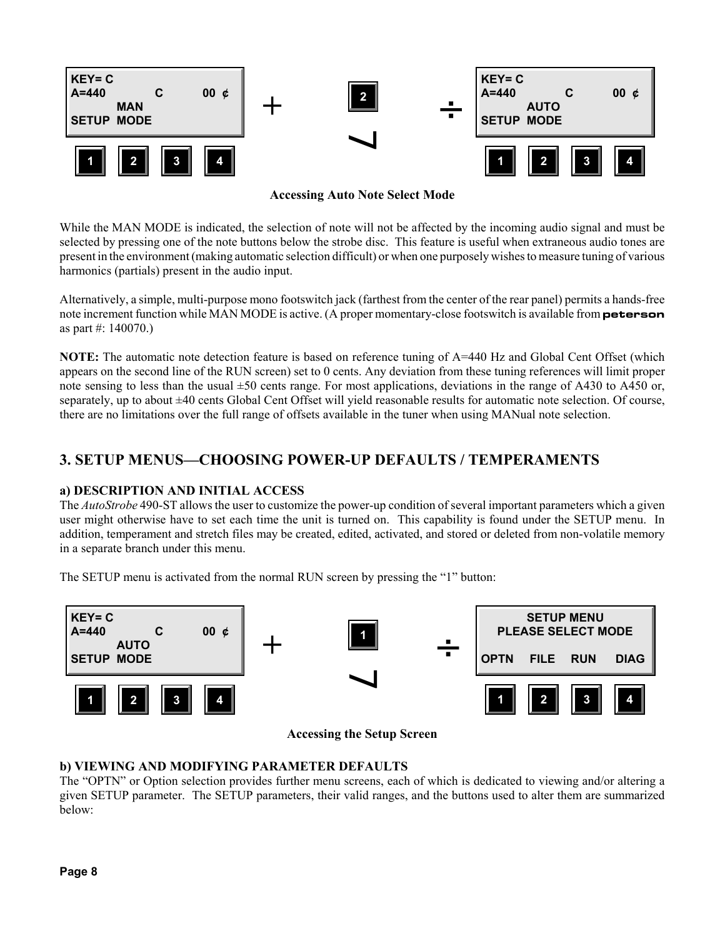

**Accessing Auto Note Select Mode**

While the MAN MODE is indicated, the selection of note will not be affected by the incoming audio signal and must be selected by pressing one of the note buttons below the strobe disc. This feature is useful when extraneous audio tones are present in the environment (making automatic selection difficult) or when one purposely wishes to measure tuning of various harmonics (partials) present in the audio input.

Alternatively, a simple, multi-purpose mono footswitch jack (farthest from the center of the rear panel) permits a hands-free note increment function while MAN MODE is active. (A proper momentary-close footswitch is available from **peterson** as part #: 140070.)

**NOTE:** The automatic note detection feature is based on reference tuning of A=440 Hz and Global Cent Offset (which appears on the second line of the RUN screen) set to 0 cents. Any deviation from these tuning references will limit proper note sensing to less than the usual  $\pm 50$  cents range. For most applications, deviations in the range of A430 to A450 or, separately, up to about ±40 cents Global Cent Offset will yield reasonable results for automatic note selection. Of course, there are no limitations over the full range of offsets available in the tuner when using MANual note selection.

#### **3. SETUP MENUS—CHOOSING POWER-UP DEFAULTS / TEMPERAMENTS**

#### **a) DESCRIPTION AND INITIAL ACCESS**

The *AutoStrobe* 490-ST allows the user to customize the power-up condition of several important parameters which a given user might otherwise have to set each time the unit is turned on. This capability is found under the SETUP menu. In addition, temperament and stretch files may be created, edited, activated, and stored or deleted from non-volatile memory in a separate branch under this menu.

The SETUP menu is activated from the normal RUN screen by pressing the "1" button:



**Accessing the Setup Screen**

#### **b) VIEWING AND MODIFYING PARAMETER DEFAULTS**

The "OPTN" or Option selection provides further menu screens, each of which is dedicated to viewing and/or altering a given SETUP parameter. The SETUP parameters, their valid ranges, and the buttons used to alter them are summarized below: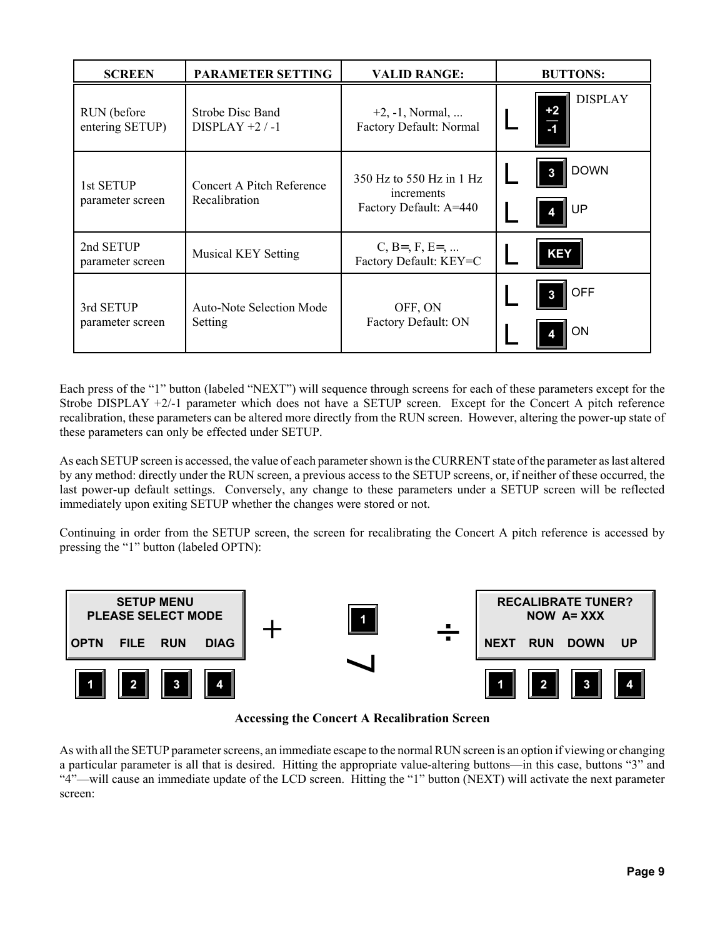| <b>SCREEN</b>                   | <b>PARAMETER SETTING</b>                      | <b>VALID RANGE:</b>                                              | <b>BUTTONS:</b>             |
|---------------------------------|-----------------------------------------------|------------------------------------------------------------------|-----------------------------|
| RUN (before)<br>entering SETUP) | <b>Strobe Disc Band</b><br>$DISPLAY + 2 / -1$ | $+2, -1$ , Normal,<br>Factory Default: Normal                    | <b>DISPLAY</b><br>$+2$<br>5 |
| 1st SETUP<br>parameter screen   | Concert A Pitch Reference<br>Recalibration    | 350 Hz to 550 Hz in 1 Hz<br>increments<br>Factory Default: A=440 | <b>DOWN</b><br>3<br>UP      |
| 2nd SETUP<br>parameter screen   | <b>Musical KEY Setting</b>                    | $C, B=$ , $F, E=$ ,<br>Factory Default: KEY=C                    | <b>KEY</b>                  |
| 3rd SETUP<br>parameter screen   | Auto-Note Selection Mode<br>Setting           | OFF, ON<br>Factory Default: ON                                   | <b>OFF</b><br>ON            |

Each press of the "1" button (labeled "NEXT") will sequence through screens for each of these parameters except for the Strobe DISPLAY +2/-1 parameter which does not have a SETUP screen. Except for the Concert A pitch reference recalibration, these parameters can be altered more directly from the RUN screen. However, altering the power-up state of these parameters can only be effected under SETUP.

As each SETUP screen is accessed, the value of each parameter shown is the CURRENT state of the parameter as last altered by any method: directly under the RUN screen, a previous access to the SETUP screens, or, if neither of these occurred, the last power-up default settings. Conversely, any change to these parameters under a SETUP screen will be reflected immediately upon exiting SETUP whether the changes were stored or not.

Continuing in order from the SETUP screen, the screen for recalibrating the Concert A pitch reference is accessed by pressing the "1" button (labeled OPTN):



**Accessing the Concert A Recalibration Screen**

As with all the SETUP parameter screens, an immediate escape to the normal RUN screen is an option if viewing or changing a particular parameter is all that is desired. Hitting the appropriate value-altering buttons—in this case, buttons "3" and "4"—will cause an immediate update of the LCD screen. Hitting the "1" button (NEXT) will activate the next parameter screen: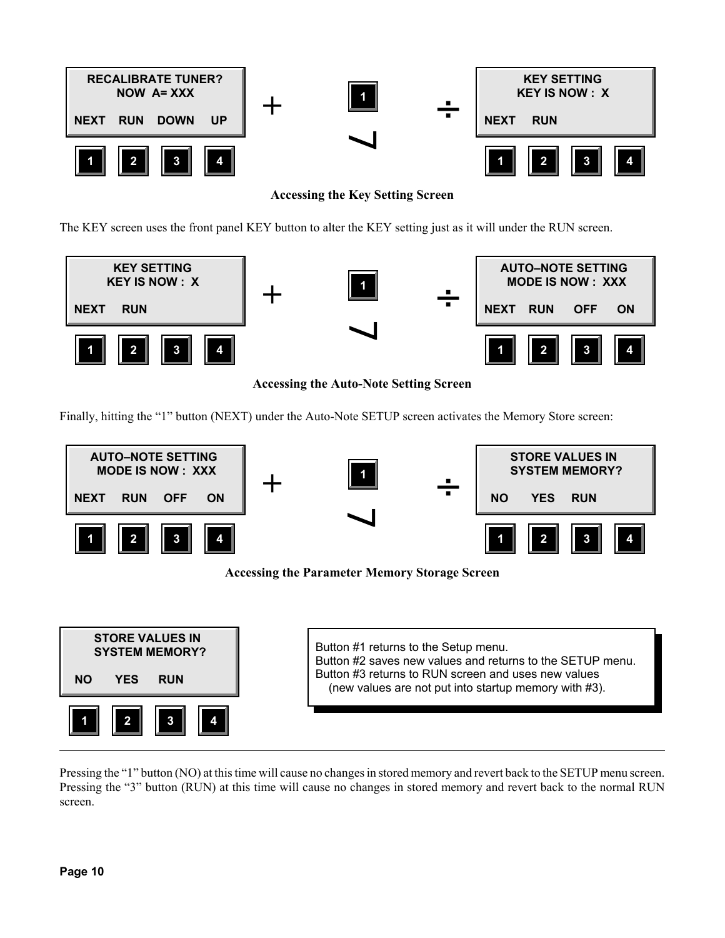

**Accessing the Key Setting Screen**

The KEY screen uses the front panel KEY button to alter the KEY setting just as it will under the RUN screen.



**Accessing the Auto-Note Setting Screen**

Finally, hitting the "1" button (NEXT) under the Auto-Note SETUP screen activates the Memory Store screen:



**Accessing the Parameter Memory Storage Screen**

| <b>STORE VALUES IN</b> | Button #1 returns to the Setup menu.                      |
|------------------------|-----------------------------------------------------------|
| <b>SYSTEM MEMORY?</b>  | Button #2 saves new values and returns to the SETUP menu. |
| <b>RUN</b>             | Button #3 returns to RUN screen and uses new values       |
| YES                    | (new values are not put into startup memory with #3).     |
| C                      |                                                           |

Pressing the "1" button (NO) at this time will cause no changes in stored memory and revert back to the SETUP menu screen. Pressing the "3" button (RUN) at this time will cause no changes in stored memory and revert back to the normal RUN screen.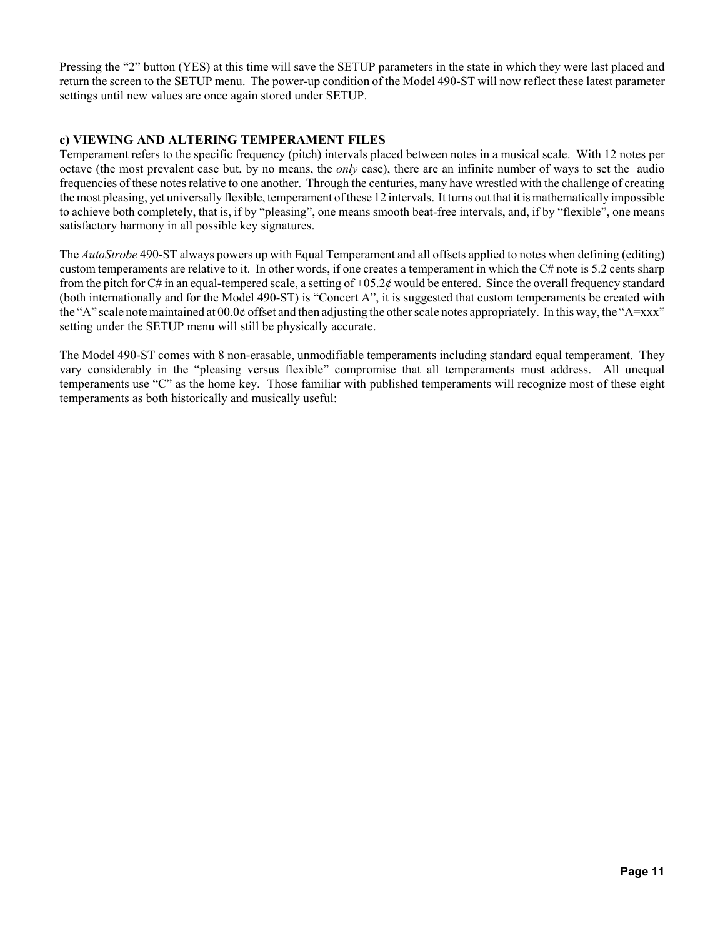Pressing the "2" button (YES) at this time will save the SETUP parameters in the state in which they were last placed and return the screen to the SETUP menu. The power-up condition of the Model 490-ST will now reflect these latest parameter settings until new values are once again stored under SETUP.

#### **c) VIEWING AND ALTERING TEMPERAMENT FILES**

Temperament refers to the specific frequency (pitch) intervals placed between notes in a musical scale. With 12 notes per octave (the most prevalent case but, by no means, the *only* case), there are an infinite number of ways to set the audio frequencies of these notes relative to one another. Through the centuries, many have wrestled with the challenge of creating the most pleasing, yet universally flexible, temperament of these 12 intervals. It turns out that it is mathematically impossible to achieve both completely, that is, if by "pleasing", one means smooth beat-free intervals, and, if by "flexible", one means satisfactory harmony in all possible key signatures.

The *AutoStrobe* 490-ST always powers up with Equal Temperament and all offsets applied to notes when defining (editing) custom temperaments are relative to it. In other words, if one creates a temperament in which the C# note is 5.2 cents sharp from the pitch for C# in an equal-tempered scale, a setting of  $+05.2¢$  would be entered. Since the overall frequency standard (both internationally and for the Model 490-ST) is "Concert A", it is suggested that custom temperaments be created with the "A" scale note maintained at 00.0¢ offset and then adjusting the other scale notes appropriately. In this way, the "A=xxx" setting under the SETUP menu will still be physically accurate.

The Model 490-ST comes with 8 non-erasable, unmodifiable temperaments including standard equal temperament. They vary considerably in the "pleasing versus flexible" compromise that all temperaments must address. All unequal temperaments use "C" as the home key. Those familiar with published temperaments will recognize most of these eight temperaments as both historically and musically useful: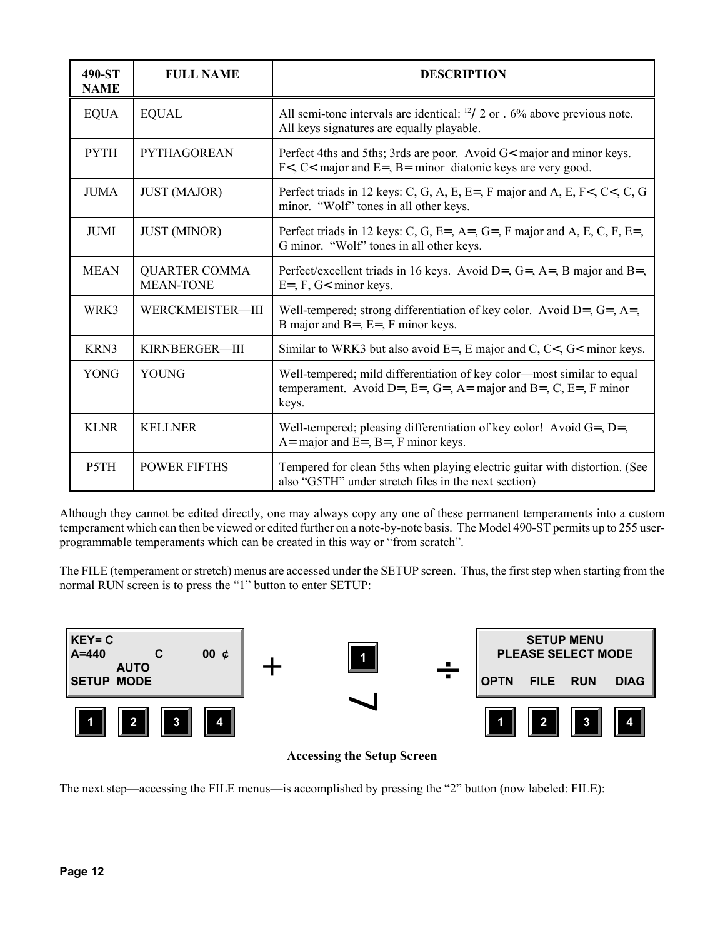| 490-ST<br><b>NAME</b> | <b>FULL NAME</b>                         | <b>DESCRIPTION</b>                                                                                                                                |
|-----------------------|------------------------------------------|---------------------------------------------------------------------------------------------------------------------------------------------------|
| <b>EQUA</b>           | <b>EQUAL</b>                             | All semi-tone intervals are identical: $^{12}/2$ or . 6% above previous note.<br>All keys signatures are equally playable.                        |
| <b>PYTH</b>           | <b>PYTHAGOREAN</b>                       | Perfect 4ths and 5ths; 3rds are poor. Avoid G< major and minor keys.<br>$Fz <$ C < major and E = $B$ = minor diatonic keys are very good.         |
| <b>JUMA</b>           | <b>JUST (MAJOR)</b>                      | Perfect triads in 12 keys: C, G, A, E, E=, F major and A, E, F<, C<, C, G<br>minor. "Wolf" tones in all other keys.                               |
| <b>JUMI</b>           | <b>JUST (MINOR)</b>                      | Perfect triads in 12 keys: C, G, E=, A=, G=, F major and A, E, C, F, E=,<br>G minor. "Wolf" tones in all other keys.                              |
| <b>MEAN</b>           | <b>QUARTER COMMA</b><br><b>MEAN-TONE</b> | Perfect/excellent triads in 16 keys. Avoid D=, $G =$ , $A =$ , $B$ major and $B =$ ,<br>$E=$ , F, G< minor keys.                                  |
| WRK3                  | WERCKMEISTER-III                         | Well-tempered; strong differentiation of key color. Avoid $D =$ , $G =$ , $A =$ ,<br>B major and $B = E = F$ , F minor keys.                      |
| KRN3                  | KIRNBERGER-III                           | Similar to WRK3 but also avoid $E = E$ , E major and C, C<, G< minor keys.                                                                        |
| <b>YONG</b>           | <b>YOUNG</b>                             | Well-tempered; mild differentiation of key color-most similar to equal<br>temperament. Avoid D=, E=, G=, A= major and B=, C, E=, F minor<br>keys. |
| <b>KLNR</b>           | <b>KELLNER</b>                           | Well-tempered; pleasing differentiation of key color! Avoid $G =$ , $D =$ ,<br>$A=$ major and E=, B=, F minor keys.                               |
| P5TH                  | <b>POWER FIFTHS</b>                      | Tempered for clean 5ths when playing electric guitar with distortion. (See<br>also "G5TH" under stretch files in the next section)                |

Although they cannot be edited directly, one may always copy any one of these permanent temperaments into a custom temperament which can then be viewed or edited further on a note-by-note basis. The Model 490-ST permits up to 255 userprogrammable temperaments which can be created in this way or "from scratch".

The FILE (temperament or stretch) menus are accessed under the SETUP screen. Thus, the first step when starting from the normal RUN screen is to press the "1" button to enter SETUP:



#### **Accessing the Setup Screen**

The next step—accessing the FILE menus—is accomplished by pressing the "2" button (now labeled: FILE):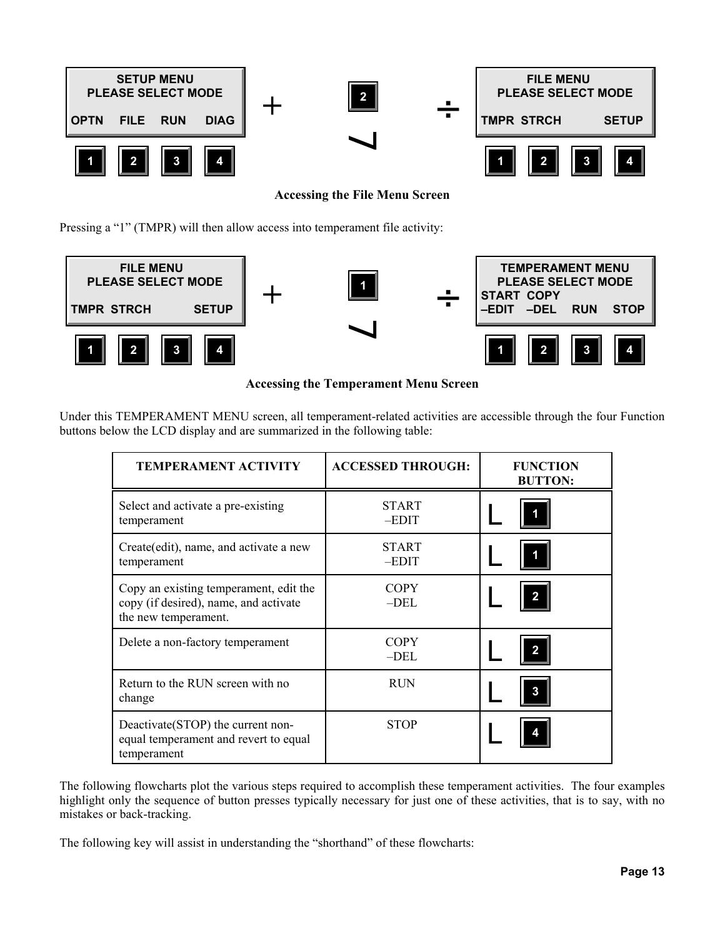

**Accessing the File Menu Screen**

Pressing a "1" (TMPR) will then allow access into temperament file activity:



#### **Accessing the Temperament Menu Screen**

| <b>TEMPERAMENT ACTIVITY</b>                                                                             | <b>ACCESSED THROUGH:</b> | <b>FUNCTION</b><br><b>BUTTON:</b> |
|---------------------------------------------------------------------------------------------------------|--------------------------|-----------------------------------|
| Select and activate a pre-existing<br>temperament                                                       | <b>START</b><br>-EDIT    |                                   |
| Create(edit), name, and activate a new<br>temperament                                                   | <b>START</b><br>-EDIT    |                                   |
| Copy an existing temperament, edit the<br>copy (if desired), name, and activate<br>the new temperament. | <b>COPY</b><br>$-DEL$    |                                   |
| Delete a non-factory temperament                                                                        | <b>COPY</b><br>$-DEL$    | 2                                 |
| Return to the RUN screen with no<br>change                                                              | <b>RUN</b>               |                                   |
| Deactivate (STOP) the current non-<br>equal temperament and revert to equal<br>temperament              | <b>STOP</b>              |                                   |

Under this TEMPERAMENT MENU screen, all temperament-related activities are accessible through the four Function buttons below the LCD display and are summarized in the following table:

The following flowcharts plot the various steps required to accomplish these temperament activities. The four examples highlight only the sequence of button presses typically necessary for just one of these activities, that is to say, with no mistakes or back-tracking.

The following key will assist in understanding the "shorthand" of these flowcharts: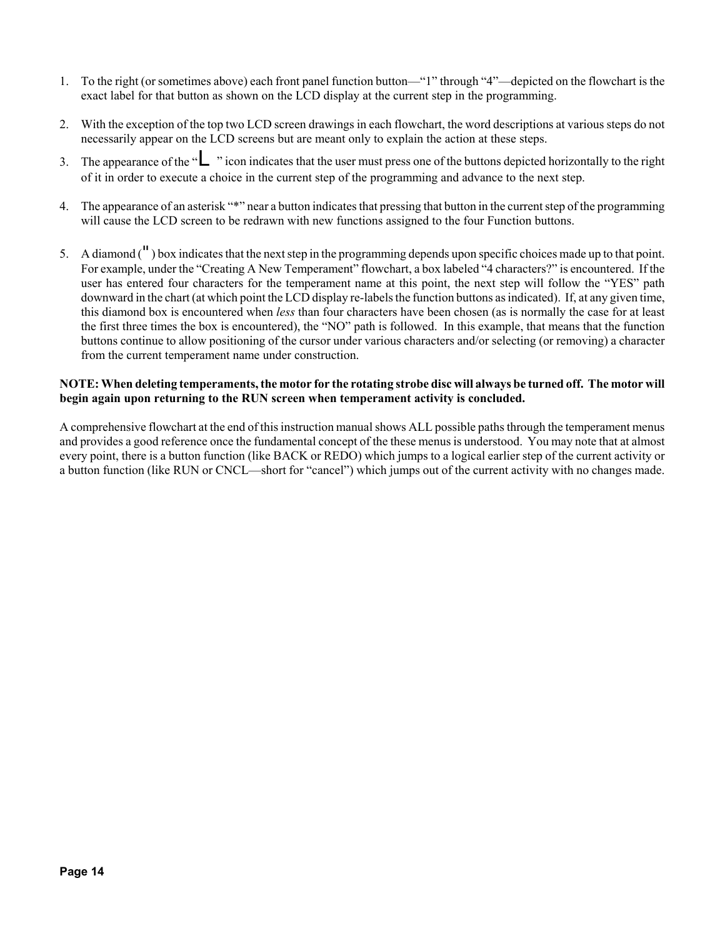- 1. To the right (or sometimes above) each front panel function button—"1" through "4"—depicted on the flowchart is the exact label for that button as shown on the LCD display at the current step in the programming.
- 2. With the exception of the top two LCD screen drawings in each flowchart, the word descriptions at various steps do not necessarily appear on the LCD screens but are meant only to explain the action at these steps.
- 3. The appearance of the "L" icon indicates that the user must press one of the buttons depicted horizontally to the right of it in order to execute a choice in the current step of the programming and advance to the next step.
- 4. The appearance of an asterisk "\*" near a button indicates that pressing that button in the current step of the programming will cause the LCD screen to be redrawn with new functions assigned to the four Function buttons.
- 5. A diamond (") box indicates that the next step in the programming depends upon specific choices made up to that point. For example, under the "Creating A New Temperament" flowchart, a box labeled "4 characters?" is encountered. If the user has entered four characters for the temperament name at this point, the next step will follow the "YES" path downward in the chart (at which point the LCD display re-labels the function buttons as indicated). If, at any given time, this diamond box is encountered when *less* than four characters have been chosen (as is normally the case for at least the first three times the box is encountered), the "NO" path is followed. In this example, that means that the function buttons continue to allow positioning of the cursor under various characters and/or selecting (or removing) a character from the current temperament name under construction.

#### **NOTE: When deleting temperaments, the motor for the rotating strobe disc will always be turned off. The motor will begin again upon returning to the RUN screen when temperament activity is concluded.**

A comprehensive flowchart at the end of this instruction manual shows ALL possible paths through the temperament menus and provides a good reference once the fundamental concept of the these menus is understood. You may note that at almost every point, there is a button function (like BACK or REDO) which jumps to a logical earlier step of the current activity or a button function (like RUN or CNCL—short for "cancel") which jumps out of the current activity with no changes made.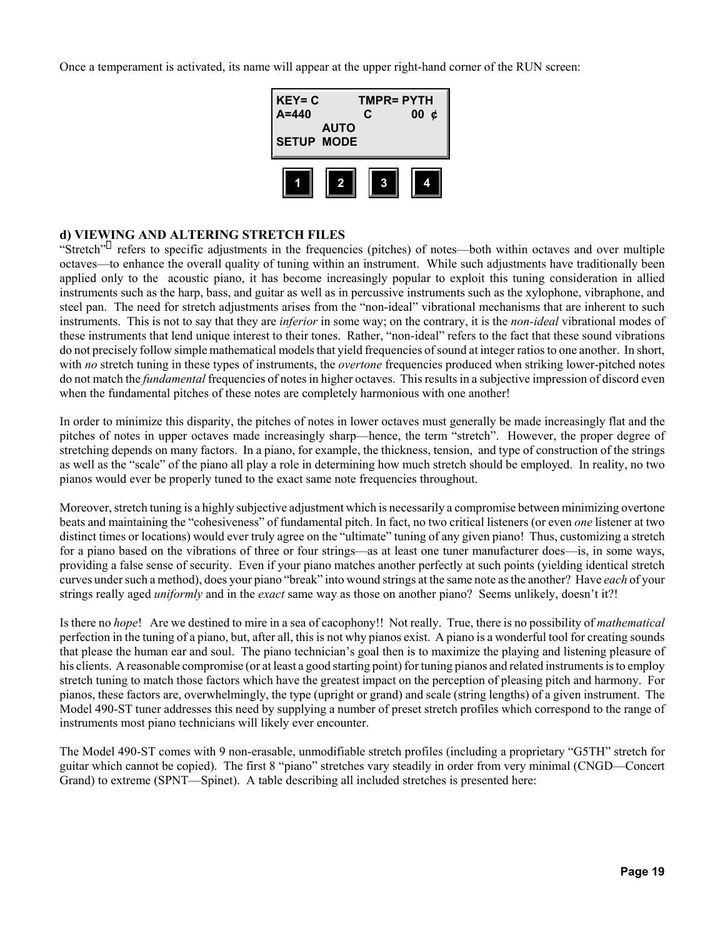Once a temperament is activated, its name will appear at the upper right-hand corner of the RUN screen:



#### **d) VIEWING AND ALTERING STRETCH FILES**

"Stretch" refers to specific adjustments in the frequencies (pitches) of notes—both within octaves and over multiple octaves—to enhance the overall quality of tuning within an instrument. While such adjustments have traditionally been applied only to the acoustic piano, it has become increasingly popular to exploit this tuning consideration in allied instruments such as the harp, bass, and guitar as well as in percussive instruments such as the xylophone, vibraphone, and steel pan. The need for stretch adjustments arises from the "non-ideal" vibrational mechanisms that are inherent to such instruments. This is not to say that they are *inferior* in some way; on the contrary, it is the *non-ideal* vibrational modes of these instruments that lend unique interest to their tones. Rather, "non-ideal" refers to the fact that these sound vibrations do not precisely follow simple mathematical models that yield frequencies of sound at integer ratios to one another. In short, with *no* stretch tuning in these types of instruments, the *overtone* frequencies produced when striking lower-pitched notes do not match the *fundamental* frequencies of notes in higher octaves. This results in a subjective impression of discord even when the fundamental pitches of these notes are completely harmonious with one another!

In order to minimize this disparity, the pitches of notes in lower octaves must generally be made increasingly flat and the pitches of notes in upper octaves made increasingly sharp—hence, the term "stretch". However, the proper degree of stretching depends on many factors. In a piano, for example, the thickness, tension, and type of construction of the strings as well as the "scale" of the piano all play a role in determining how much stretch should be employed. In reality, no two pianos would ever be properly tuned to the exact same note frequencies throughout.

Moreover, stretch tuning is a highly subjective adjustment which is necessarily a compromise between minimizing overtone beats and maintaining the "cohesiveness" of fundamental pitch. In fact, no two critical listeners (or even *one* listener at two distinct times or locations) would ever truly agree on the "ultimate" tuning of any given piano! Thus, customizing a stretch for a piano based on the vibrations of three or four strings—as at least one tuner manufacturer does—is, in some ways, providing a false sense of security. Even if your piano matches another perfectly at such points (yielding identical stretch curves under such a method), does your piano "break" into wound strings at the same note as the another? Have *each* of your strings really aged *uniformly* and in the *exact* same way as those on another piano? Seems unlikely, doesn't it?!

Is there no *hope*! Are we destined to mire in a sea of cacophony!! Not really. True, there is no possibility of *mathematical* perfection in the tuning of a piano, but, after all, this is not why pianos exist. A piano is a wonderful tool for creating sounds that please the human ear and soul. The piano technician's goal then is to maximize the playing and listening pleasure of his clients. A reasonable compromise (or at least a good starting point) for tuning pianos and related instruments is to employ stretch tuning to match those factors which have the greatest impact on the perception of pleasing pitch and harmony. For pianos, these factors are, overwhelmingly, the type (upright or grand) and scale (string lengths) of a given instrument. The Model 490-ST tuner addresses this need by supplying a number of preset stretch profiles which correspond to the range of instruments most piano technicians will likely ever encounter.

The Model 490-ST comes with 9 non-erasable, unmodifiable stretch profiles (including a proprietary "G5TH" stretch for guitar which cannot be copied). The first 8 "piano" stretches vary steadily in order from very minimal (CNGD—Concert Grand) to extreme (SPNT—Spinet). A table describing all included stretches is presented here: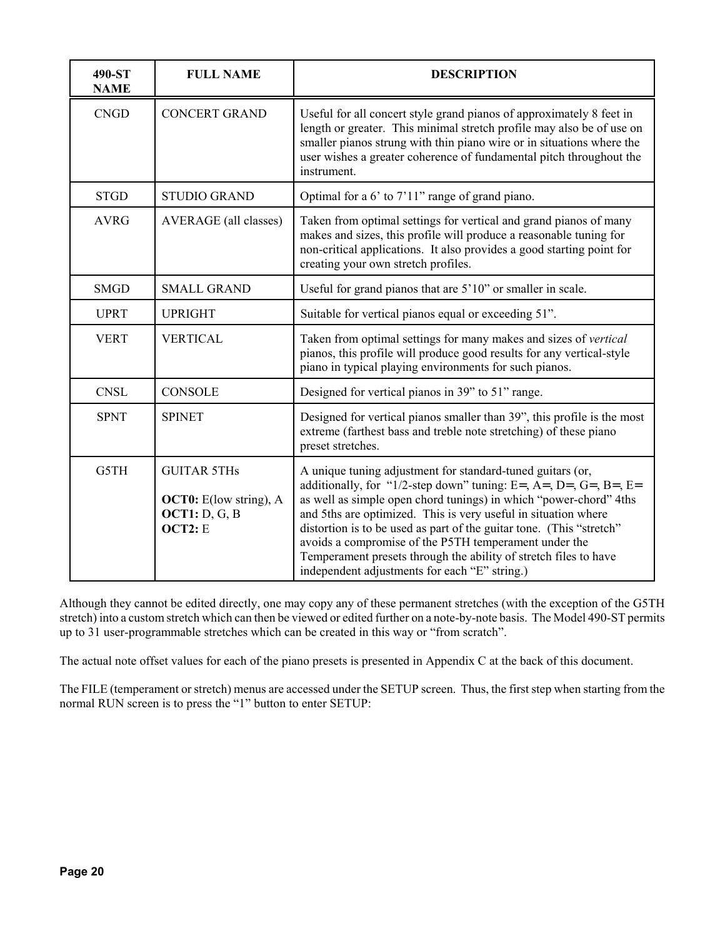| 490-ST<br><b>NAME</b> | <b>FULL NAME</b>                                                                | <b>DESCRIPTION</b>                                                                                                                                                                                                                                                                                                                                                                                                                                                                                                          |  |  |  |  |
|-----------------------|---------------------------------------------------------------------------------|-----------------------------------------------------------------------------------------------------------------------------------------------------------------------------------------------------------------------------------------------------------------------------------------------------------------------------------------------------------------------------------------------------------------------------------------------------------------------------------------------------------------------------|--|--|--|--|
| <b>CNGD</b>           | <b>CONCERT GRAND</b>                                                            | Useful for all concert style grand pianos of approximately 8 feet in<br>length or greater. This minimal stretch profile may also be of use on<br>smaller pianos strung with thin piano wire or in situations where the<br>user wishes a greater coherence of fundamental pitch throughout the<br>instrument.                                                                                                                                                                                                                |  |  |  |  |
| <b>STGD</b>           | <b>STUDIO GRAND</b>                                                             | Optimal for a 6' to 7'11" range of grand piano.                                                                                                                                                                                                                                                                                                                                                                                                                                                                             |  |  |  |  |
| <b>AVRG</b>           | <b>AVERAGE</b> (all classes)                                                    | Taken from optimal settings for vertical and grand pianos of many<br>makes and sizes, this profile will produce a reasonable tuning for<br>non-critical applications. It also provides a good starting point for<br>creating your own stretch profiles.                                                                                                                                                                                                                                                                     |  |  |  |  |
| <b>SMGD</b>           | <b>SMALL GRAND</b>                                                              | Useful for grand pianos that are 5'10" or smaller in scale.                                                                                                                                                                                                                                                                                                                                                                                                                                                                 |  |  |  |  |
| <b>UPRT</b>           | <b>UPRIGHT</b>                                                                  | Suitable for vertical pianos equal or exceeding 51".                                                                                                                                                                                                                                                                                                                                                                                                                                                                        |  |  |  |  |
| <b>VERT</b>           | <b>VERTICAL</b>                                                                 | Taken from optimal settings for many makes and sizes of vertical<br>pianos, this profile will produce good results for any vertical-style<br>piano in typical playing environments for such pianos.                                                                                                                                                                                                                                                                                                                         |  |  |  |  |
| <b>CNSL</b>           | <b>CONSOLE</b>                                                                  | Designed for vertical pianos in 39" to 51" range.                                                                                                                                                                                                                                                                                                                                                                                                                                                                           |  |  |  |  |
| <b>SPNT</b>           | <b>SPINET</b>                                                                   | Designed for vertical pianos smaller than 39", this profile is the most<br>extreme (farthest bass and treble note stretching) of these piano<br>preset stretches.                                                                                                                                                                                                                                                                                                                                                           |  |  |  |  |
| G5TH                  | <b>GUITAR 5THs</b><br><b>OCT0:</b> E(low string), A<br>OCT1: D, G, B<br>OCT2: E | A unique tuning adjustment for standard-tuned guitars (or,<br>additionally, for "1/2-step down" tuning: E=, A=, D=, G=, B=, E=<br>as well as simple open chord tunings) in which "power-chord" 4ths<br>and 5ths are optimized. This is very useful in situation where<br>distortion is to be used as part of the guitar tone. (This "stretch"<br>avoids a compromise of the P5TH temperament under the<br>Temperament presets through the ability of stretch files to have<br>independent adjustments for each "E" string.) |  |  |  |  |

Although they cannot be edited directly, one may copy any of these permanent stretches (with the exception of the G5TH stretch) into a custom stretch which can then be viewed or edited further on a note-by-note basis. The Model 490-ST permits up to 31 user-programmable stretches which can be created in this way or "from scratch".

The actual note offset values for each of the piano presets is presented in Appendix C at the back of this document.

The FILE (temperament or stretch) menus are accessed under the SETUP screen. Thus, the first step when starting from the normal RUN screen is to press the "1" button to enter SETUP: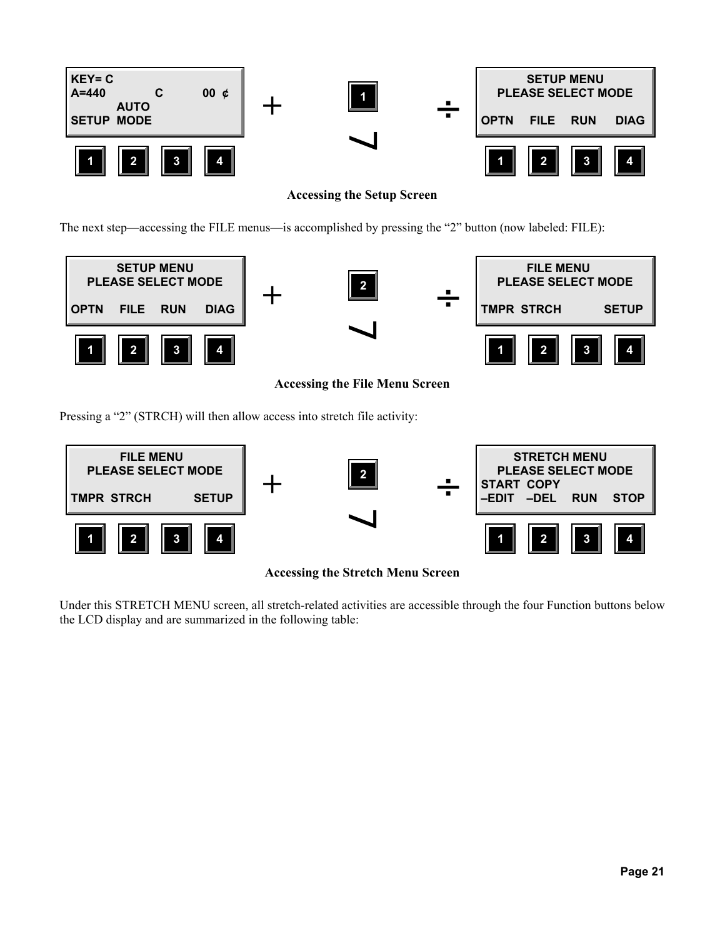

**Accessing the Setup Screen**

The next step—accessing the FILE menus—is accomplished by pressing the "2" button (now labeled: FILE):



**Accessing the File Menu Screen**

Pressing a "2" (STRCH) will then allow access into stretch file activity:



**Accessing the Stretch Menu Screen**

Under this STRETCH MENU screen, all stretch-related activities are accessible through the four Function buttons below the LCD display and are summarized in the following table: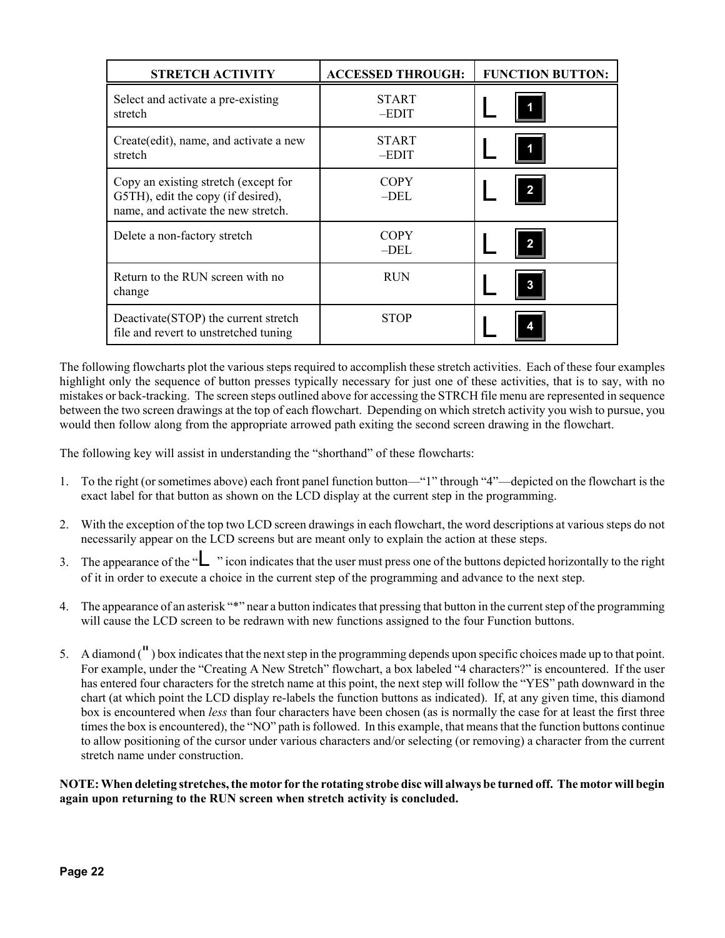| <b>STRETCH ACTIVITY</b>                                                                                           | <b>ACCESSED THROUGH:</b> | <b>FUNCTION BUTTON:</b> |
|-------------------------------------------------------------------------------------------------------------------|--------------------------|-------------------------|
| Select and activate a pre-existing<br>stretch                                                                     | <b>START</b><br>$-EDIT$  |                         |
| Create (edit), name, and activate a new<br>stretch                                                                | <b>START</b><br>$-EDIT$  |                         |
| Copy an existing stretch (except for<br>G5TH), edit the copy (if desired),<br>name, and activate the new stretch. | <b>COPY</b><br>$-DEL$    | $\mathbf{2}$            |
| Delete a non-factory stretch                                                                                      | <b>COPY</b><br>$-DEL$    | $\mathbf{2}$            |
| Return to the RUN screen with no<br>change                                                                        | <b>RUN</b>               | 3                       |
| Deactivate (STOP) the current stretch<br>file and revert to unstretched tuning                                    | <b>STOP</b>              |                         |

The following flowcharts plot the various steps required to accomplish these stretch activities. Each of these four examples highlight only the sequence of button presses typically necessary for just one of these activities, that is to say, with no mistakes or back-tracking. The screen steps outlined above for accessing the STRCH file menu are represented in sequence between the two screen drawings at the top of each flowchart. Depending on which stretch activity you wish to pursue, you would then follow along from the appropriate arrowed path exiting the second screen drawing in the flowchart.

The following key will assist in understanding the "shorthand" of these flowcharts:

- 1. To the right (or sometimes above) each front panel function button—"1" through "4"—depicted on the flowchart is the exact label for that button as shown on the LCD display at the current step in the programming.
- 2. With the exception of the top two LCD screen drawings in each flowchart, the word descriptions at various steps do not necessarily appear on the LCD screens but are meant only to explain the action at these steps.
- 3. The appearance of the "L" icon indicates that the user must press one of the buttons depicted horizontally to the right of it in order to execute a choice in the current step of the programming and advance to the next step.
- 4. The appearance of an asterisk "\*" near a button indicates that pressing that button in the current step of the programming will cause the LCD screen to be redrawn with new functions assigned to the four Function buttons.
- 5. A diamond (") box indicates that the next step in the programming depends upon specific choices made up to that point. For example, under the "Creating A New Stretch" flowchart, a box labeled "4 characters?" is encountered. If the user has entered four characters for the stretch name at this point, the next step will follow the "YES" path downward in the chart (at which point the LCD display re-labels the function buttons as indicated). If, at any given time, this diamond box is encountered when *less* than four characters have been chosen (as is normally the case for at least the first three times the box is encountered), the "NO" path is followed. In this example, that means that the function buttons continue to allow positioning of the cursor under various characters and/or selecting (or removing) a character from the current stretch name under construction.

**NOTE: When deleting stretches, the motor for the rotating strobe disc will always be turned off. The motor will begin again upon returning to the RUN screen when stretch activity is concluded.**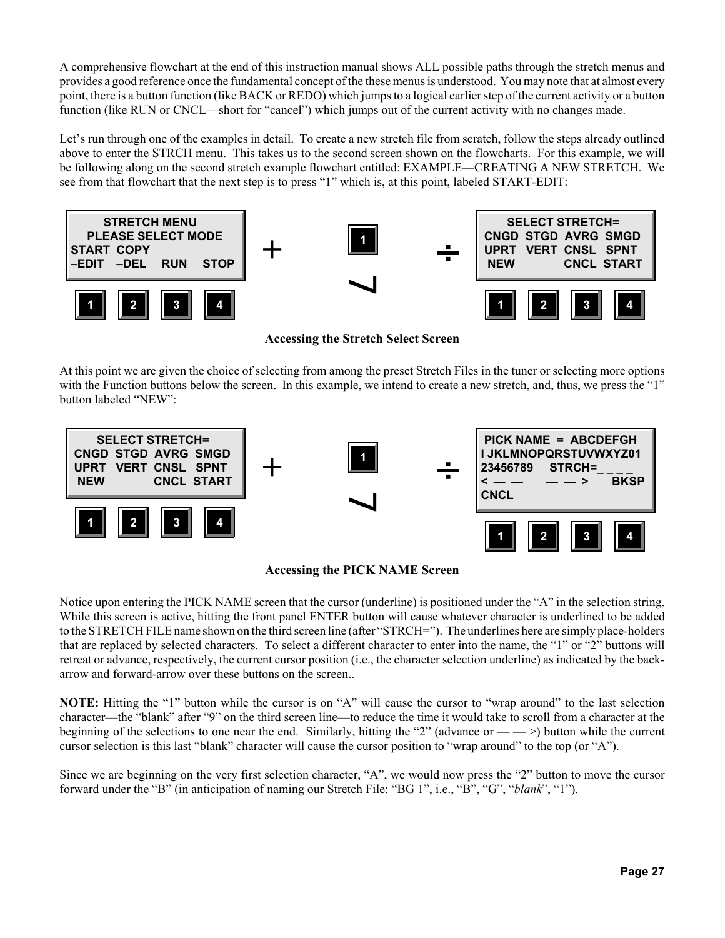A comprehensive flowchart at the end of this instruction manual shows ALL possible paths through the stretch menus and provides a good reference once the fundamental concept of the these menus is understood. You may note that at almost every point, there is a button function (like BACK or REDO) which jumps to a logical earlier step of the current activity or a button function (like RUN or CNCL—short for "cancel") which jumps out of the current activity with no changes made.

Let's run through one of the examples in detail. To create a new stretch file from scratch, follow the steps already outlined above to enter the STRCH menu. This takes us to the second screen shown on the flowcharts. For this example, we will be following along on the second stretch example flowchart entitled: EXAMPLE—CREATING A NEW STRETCH. We see from that flowchart that the next step is to press "1" which is, at this point, labeled START-EDIT:



**Accessing the Stretch Select Screen**

At this point we are given the choice of selecting from among the preset Stretch Files in the tuner or selecting more options with the Function buttons below the screen. In this example, we intend to create a new stretch, and, thus, we press the "1" button labeled "NEW":





Notice upon entering the PICK NAME screen that the cursor (underline) is positioned under the "A" in the selection string. While this screen is active, hitting the front panel ENTER button will cause whatever character is underlined to be added to the STRETCH FILE name shown on the third screen line (after "STRCH="). The underlines here are simply place-holders that are replaced by selected characters. To select a different character to enter into the name, the "1" or "2" buttons will retreat or advance, respectively, the current cursor position (i.e., the character selection underline) as indicated by the backarrow and forward-arrow over these buttons on the screen..

**NOTE:** Hitting the "1" button while the cursor is on "A" will cause the cursor to "wrap around" to the last selection character—the "blank" after "9" on the third screen line—to reduce the time it would take to scroll from a character at the beginning of the selections to one near the end. Similarly, hitting the "2" (advance or — — >) button while the current cursor selection is this last "blank" character will cause the cursor position to "wrap around" to the top (or "A").

Since we are beginning on the very first selection character, "A", we would now press the "2" button to move the cursor forward under the "B" (in anticipation of naming our Stretch File: "BG 1", i.e., "B", "G", "*blank*", "1").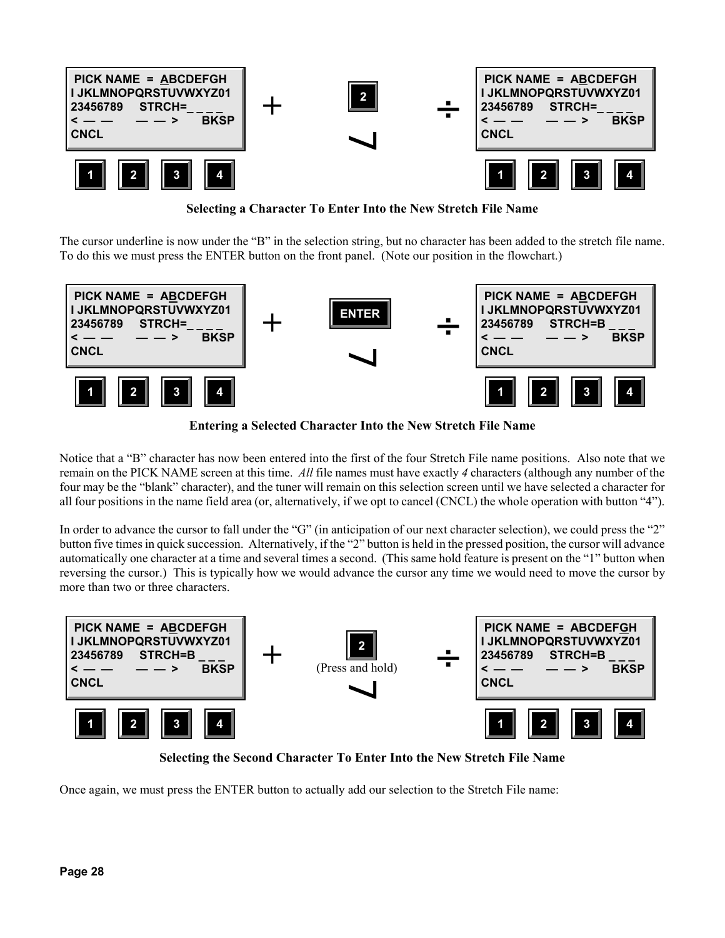

**Selecting a Character To Enter Into the New Stretch File Name**

The cursor underline is now under the "B" in the selection string, but no character has been added to the stretch file name. To do this we must press the ENTER button on the front panel. (Note our position in the flowchart.)



**Entering a Selected Character Into the New Stretch File Name**

Notice that a "B" character has now been entered into the first of the four Stretch File name positions. Also note that we remain on the PICK NAME screen at this time. *All* file names must have exactly *4* characters (although any number of the four may be the "blank" character), and the tuner will remain on this selection screen until we have selected a character for all four positions in the name field area (or, alternatively, if we opt to cancel (CNCL) the whole operation with button "4").

In order to advance the cursor to fall under the "G" (in anticipation of our next character selection), we could press the "2" button five times in quick succession. Alternatively, if the "2" button is held in the pressed position, the cursor will advance automatically one character at a time and several times a second. (This same hold feature is present on the "1" button when reversing the cursor.) This is typically how we would advance the cursor any time we would need to move the cursor by more than two or three characters.



**Selecting the Second Character To Enter Into the New Stretch File Name**

Once again, we must press the ENTER button to actually add our selection to the Stretch File name: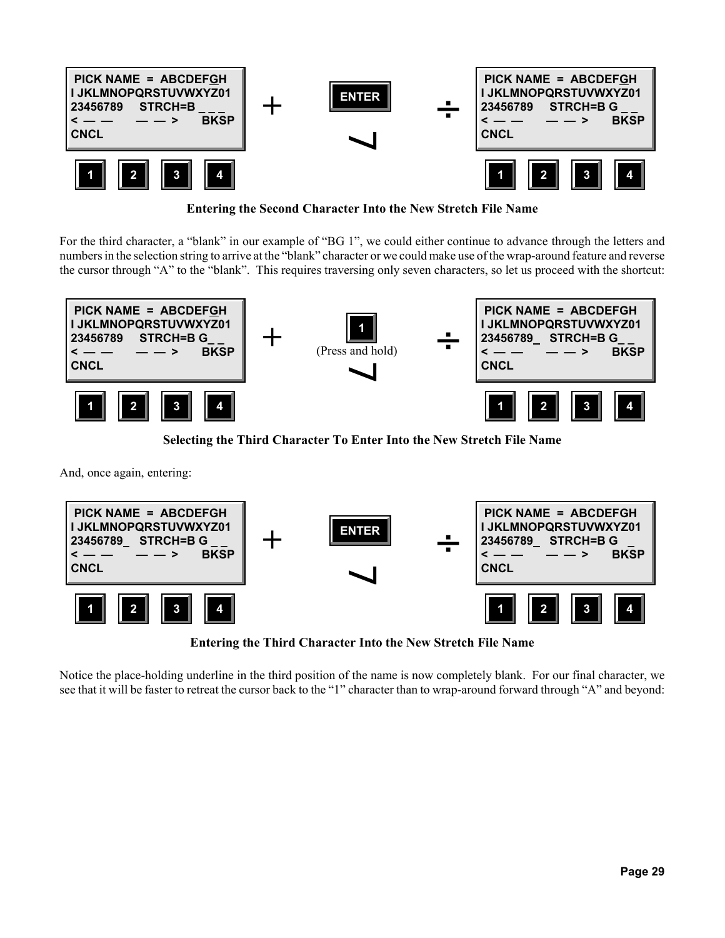

**Entering the Second Character Into the New Stretch File Name**

For the third character, a "blank" in our example of "BG 1", we could either continue to advance through the letters and numbers in the selection string to arrive at the "blank" character or we could make use of the wrap-around feature and reverse the cursor through "A" to the "blank". This requires traversing only seven characters, so let us proceed with the shortcut:



**Selecting the Third Character To Enter Into the New Stretch File Name**

And, once again, entering:



**Entering the Third Character Into the New Stretch File Name**

Notice the place-holding underline in the third position of the name is now completely blank. For our final character, we see that it will be faster to retreat the cursor back to the "1" character than to wrap-around forward through "A" and beyond: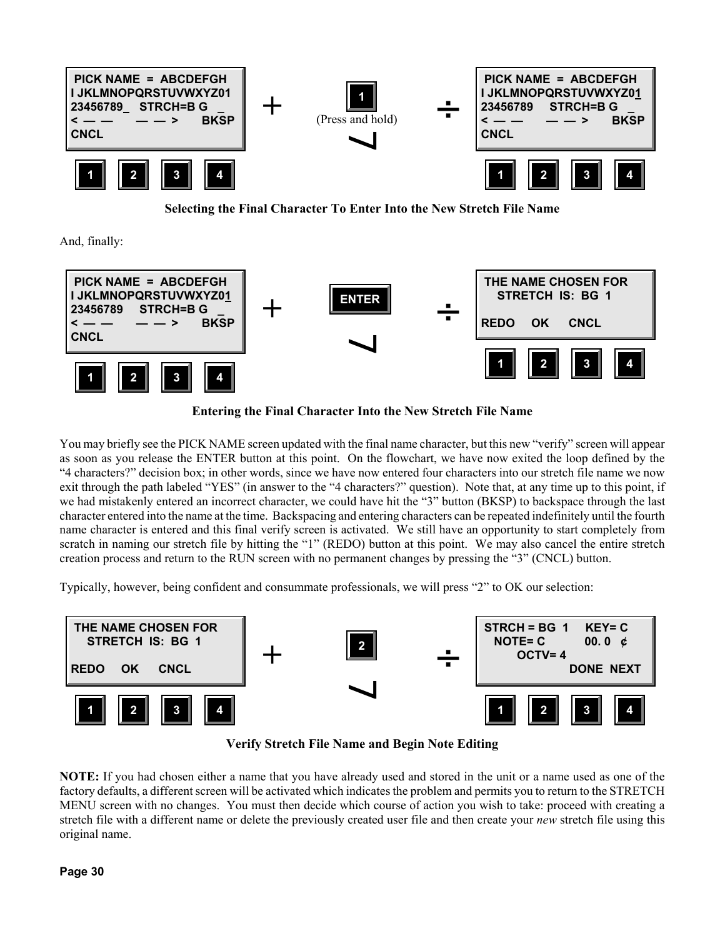

**Selecting the Final Character To Enter Into the New Stretch File Name**

And, finally:



**Entering the Final Character Into the New Stretch File Name**

You may briefly see the PICK NAME screen updated with the final name character, but this new "verify" screen will appear as soon as you release the ENTER button at this point. On the flowchart, we have now exited the loop defined by the "4 characters?" decision box; in other words, since we have now entered four characters into our stretch file name we now exit through the path labeled "YES" (in answer to the "4 characters?" question). Note that, at any time up to this point, if we had mistakenly entered an incorrect character, we could have hit the "3" button (BKSP) to backspace through the last character entered into the name at the time. Backspacing and entering characters can be repeated indefinitely until the fourth name character is entered and this final verify screen is activated. We still have an opportunity to start completely from scratch in naming our stretch file by hitting the "1" (REDO) button at this point. We may also cancel the entire stretch creation process and return to the RUN screen with no permanent changes by pressing the "3" (CNCL) button.

Typically, however, being confident and consummate professionals, we will press "2" to OK our selection:



**Verify Stretch File Name and Begin Note Editing**

**NOTE:** If you had chosen either a name that you have already used and stored in the unit or a name used as one of the factory defaults, a different screen will be activated which indicates the problem and permits you to return to the STRETCH MENU screen with no changes. You must then decide which course of action you wish to take: proceed with creating a stretch file with a different name or delete the previously created user file and then create your *new* stretch file using this original name.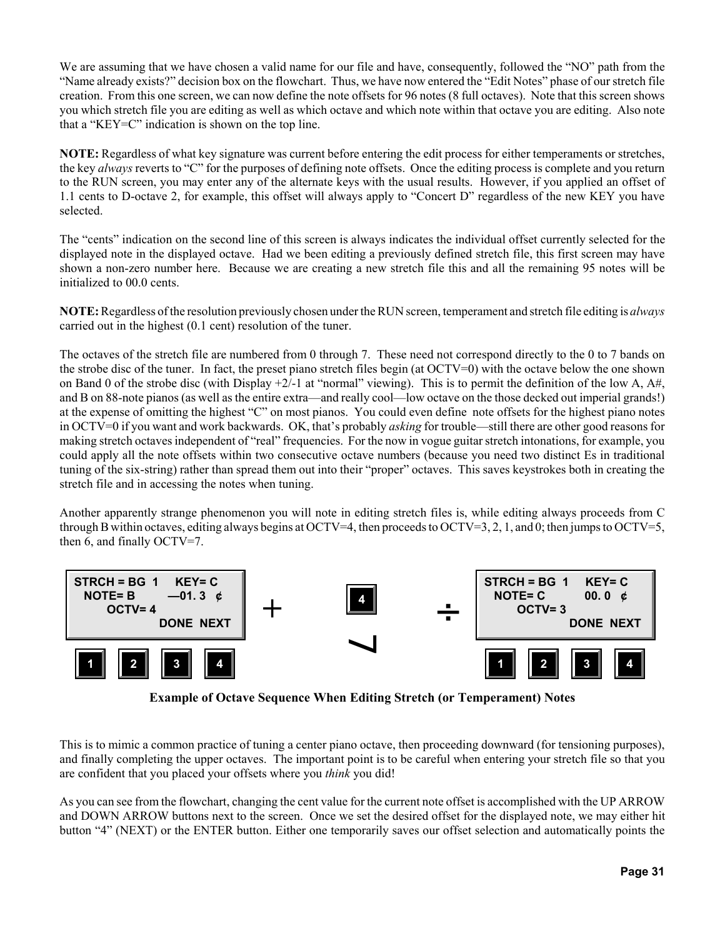We are assuming that we have chosen a valid name for our file and have, consequently, followed the "NO" path from the "Name already exists?" decision box on the flowchart. Thus, we have now entered the "Edit Notes" phase of our stretch file creation. From this one screen, we can now define the note offsets for 96 notes (8 full octaves). Note that this screen shows you which stretch file you are editing as well as which octave and which note within that octave you are editing. Also note that a "KEY=C" indication is shown on the top line.

**NOTE:** Regardless of what key signature was current before entering the edit process for either temperaments or stretches, the key *always* reverts to "C" for the purposes of defining note offsets. Once the editing process is complete and you return to the RUN screen, you may enter any of the alternate keys with the usual results. However, if you applied an offset of 1.1 cents to D-octave 2, for example, this offset will always apply to "Concert D" regardless of the new KEY you have selected.

The "cents" indication on the second line of this screen is always indicates the individual offset currently selected for the displayed note in the displayed octave. Had we been editing a previously defined stretch file, this first screen may have shown a non-zero number here. Because we are creating a new stretch file this and all the remaining 95 notes will be initialized to 00.0 cents.

**NOTE:** Regardless of the resolution previously chosen under the RUN screen, temperament and stretch file editing is *always* carried out in the highest (0.1 cent) resolution of the tuner.

The octaves of the stretch file are numbered from 0 through 7. These need not correspond directly to the 0 to 7 bands on the strobe disc of the tuner. In fact, the preset piano stretch files begin (at OCTV=0) with the octave below the one shown on Band 0 of the strobe disc (with Display +2/-1 at "normal" viewing). This is to permit the definition of the low A, A#, and B on 88-note pianos (as well as the entire extra—and really cool—low octave on the those decked out imperial grands!) at the expense of omitting the highest "C" on most pianos. You could even define note offsets for the highest piano notes in OCTV=0 if you want and work backwards. OK, that's probably *asking* for trouble—still there are other good reasons for making stretch octaves independent of "real" frequencies. For the now in vogue guitar stretch intonations, for example, you could apply all the note offsets within two consecutive octave numbers (because you need two distinct Es in traditional tuning of the six-string) rather than spread them out into their "proper" octaves. This saves keystrokes both in creating the stretch file and in accessing the notes when tuning.

Another apparently strange phenomenon you will note in editing stretch files is, while editing always proceeds from C through B within octaves, editing always begins at OCTV=4, then proceeds to OCTV=3, 2, 1, and 0; then jumps to OCTV=5, then 6, and finally OCTV=7.



**Example of Octave Sequence When Editing Stretch (or Temperament) Notes**

This is to mimic a common practice of tuning a center piano octave, then proceeding downward (for tensioning purposes), and finally completing the upper octaves. The important point is to be careful when entering your stretch file so that you are confident that you placed your offsets where you *think* you did!

As you can see from the flowchart, changing the cent value for the current note offset is accomplished with the UP ARROW and DOWN ARROW buttons next to the screen. Once we set the desired offset for the displayed note, we may either hit button "4" (NEXT) or the ENTER button. Either one temporarily saves our offset selection and automatically points the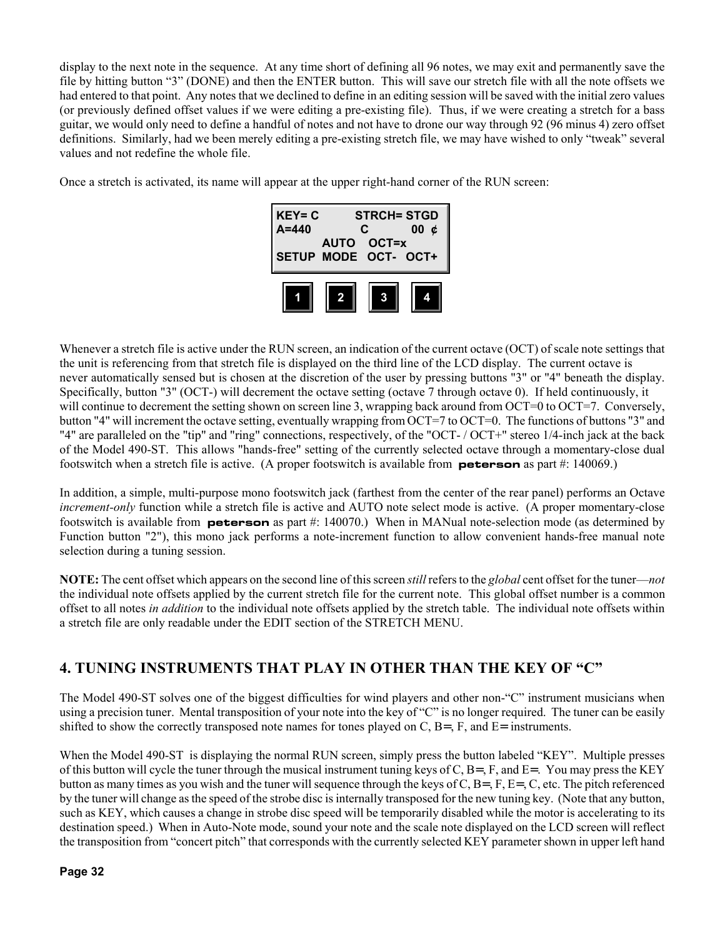display to the next note in the sequence. At any time short of defining all 96 notes, we may exit and permanently save the file by hitting button "3" (DONE) and then the ENTER button. This will save our stretch file with all the note offsets we had entered to that point. Any notes that we declined to define in an editing session will be saved with the initial zero values (or previously defined offset values if we were editing a pre-existing file). Thus, if we were creating a stretch for a bass guitar, we would only need to define a handful of notes and not have to drone our way through 92 (96 minus 4) zero offset definitions. Similarly, had we been merely editing a pre-existing stretch file, we may have wished to only "tweak" several values and not redefine the whole file.

Once a stretch is activated, its name will appear at the upper right-hand corner of the RUN screen:

| $KEY = C$<br>$A = 440$ | C | <b>STRCH= STGD</b><br>00<br>Ć      |  |  |  |
|------------------------|---|------------------------------------|--|--|--|
|                        |   | AUTO OCT=x<br>SETUP MODE OCT- OCT+ |  |  |  |
|                        |   |                                    |  |  |  |

Whenever a stretch file is active under the RUN screen, an indication of the current octave (OCT) of scale note settings that the unit is referencing from that stretch file is displayed on the third line of the LCD display. The current octave is never automatically sensed but is chosen at the discretion of the user by pressing buttons "3" or "4" beneath the display. Specifically, button "3" (OCT-) will decrement the octave setting (octave 7 through octave 0). If held continuously, it will continue to decrement the setting shown on screen line 3, wrapping back around from OCT=0 to OCT=7. Conversely, button "4" will increment the octave setting, eventually wrapping from OCT=7 to OCT=0. The functions of buttons "3" and "4" are paralleled on the "tip" and "ring" connections, respectively, of the "OCT-/OCT+" stereo 1/4-inch jack at the back of the Model 490-ST. This allows "hands-free" setting of the currently selected octave through a momentary-close dual footswitch when a stretch file is active. (A proper footswitch is available from **peterson** as part #: 140069.)

In addition, a simple, multi-purpose mono footswitch jack (farthest from the center of the rear panel) performs an Octave *increment-only* function while a stretch file is active and AUTO note select mode is active. (A proper momentary-close footswitch is available from **peterson** as part #: 140070.) When in MANual note-selection mode (as determined by Function button "2"), this mono jack performs a note-increment function to allow convenient hands-free manual note selection during a tuning session.

**NOTE:** The cent offset which appears on the second line of this screen *still* refers to the *global* cent offset for the tuner—*not* the individual note offsets applied by the current stretch file for the current note. This global offset number is a common offset to all notes *in addition* to the individual note offsets applied by the stretch table. The individual note offsets within a stretch file are only readable under the EDIT section of the STRETCH MENU.

### **4. TUNING INSTRUMENTS THAT PLAY IN OTHER THAN THE KEY OF "C"**

The Model 490-ST solves one of the biggest difficulties for wind players and other non-"C" instrument musicians when using a precision tuner. Mental transposition of your note into the key of "C" is no longer required. The tuner can be easily shifted to show the correctly transposed note names for tones played on C,  $B =$ ,  $F$ , and  $E =$  instruments.

When the Model 490-ST is displaying the normal RUN screen, simply press the button labeled "KEY". Multiple presses of this button will cycle the tuner through the musical instrument tuning keys of C,  $B = F$ , and  $E = F$ . You may press the KEY button as many times as you wish and the tuner will sequence through the keys of C, B=, F, E=, C, etc. The pitch referenced by the tuner will change as the speed of the strobe disc is internally transposed for the new tuning key. (Note that any button, such as KEY, which causes a change in strobe disc speed will be temporarily disabled while the motor is accelerating to its destination speed.) When in Auto-Note mode, sound your note and the scale note displayed on the LCD screen will reflect the transposition from "concert pitch" that corresponds with the currently selected KEY parameter shown in upper left hand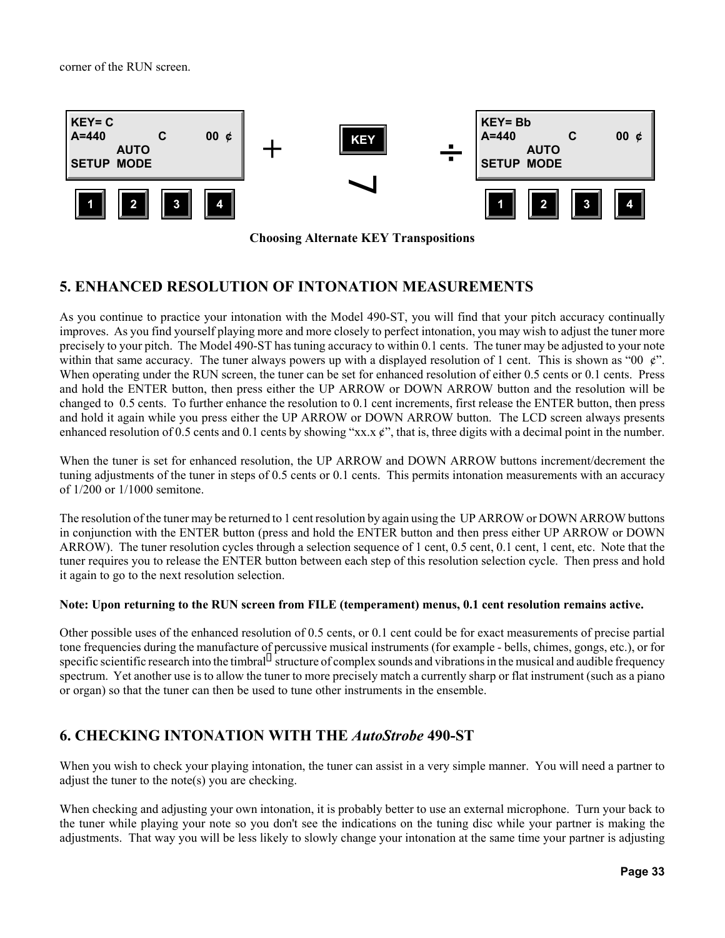corner of the RUN screen.



**Choosing Alternate KEY Transpositions**

#### **5. ENHANCED RESOLUTION OF INTONATION MEASUREMENTS**

As you continue to practice your intonation with the Model 490-ST, you will find that your pitch accuracy continually improves. As you find yourself playing more and more closely to perfect intonation, you may wish to adjust the tuner more precisely to your pitch. The Model 490-ST has tuning accuracy to within 0.1 cents. The tuner may be adjusted to your note within that same accuracy. The tuner always powers up with a displayed resolution of 1 cent. This is shown as "00  $\ell$ ". When operating under the RUN screen, the tuner can be set for enhanced resolution of either 0.5 cents or 0.1 cents. Press and hold the ENTER button, then press either the UP ARROW or DOWN ARROW button and the resolution will be changed to 0.5 cents. To further enhance the resolution to 0.1 cent increments, first release the ENTER button, then press and hold it again while you press either the UP ARROW or DOWN ARROW button. The LCD screen always presents enhanced resolution of 0.5 cents and 0.1 cents by showing "xx.x  $\dot{\chi}$ ", that is, three digits with a decimal point in the number.

When the tuner is set for enhanced resolution, the UP ARROW and DOWN ARROW buttons increment/decrement the tuning adjustments of the tuner in steps of 0.5 cents or 0.1 cents. This permits intonation measurements with an accuracy of 1/200 or 1/1000 semitone.

The resolution of the tuner may be returned to 1 cent resolution by again using the UP ARROW or DOWN ARROW buttons in conjunction with the ENTER button (press and hold the ENTER button and then press either UP ARROW or DOWN ARROW). The tuner resolution cycles through a selection sequence of 1 cent, 0.5 cent, 0.1 cent, 1 cent, etc. Note that the tuner requires you to release the ENTER button between each step of this resolution selection cycle. Then press and hold it again to go to the next resolution selection.

#### **Note: Upon returning to the RUN screen from FILE (temperament) menus, 0.1 cent resolution remains active.**

Other possible uses of the enhanced resolution of 0.5 cents, or 0.1 cent could be for exact measurements of precise partial tone frequencies during the manufacture of percussive musical instruments (for example - bells, chimes, gongs, etc.), or for specific scientific research into the timbral structure of complex sounds and vibrations in the musical and audible frequency spectrum. Yet another use is to allow the tuner to more precisely match a currently sharp or flat instrument (such as a piano or organ) so that the tuner can then be used to tune other instruments in the ensemble.

#### **6. CHECKING INTONATION WITH THE** *AutoStrobe* **490-ST**

When you wish to check your playing intonation, the tuner can assist in a very simple manner. You will need a partner to adjust the tuner to the note(s) you are checking.

When checking and adjusting your own intonation, it is probably better to use an external microphone. Turn your back to the tuner while playing your note so you don't see the indications on the tuning disc while your partner is making the adjustments. That way you will be less likely to slowly change your intonation at the same time your partner is adjusting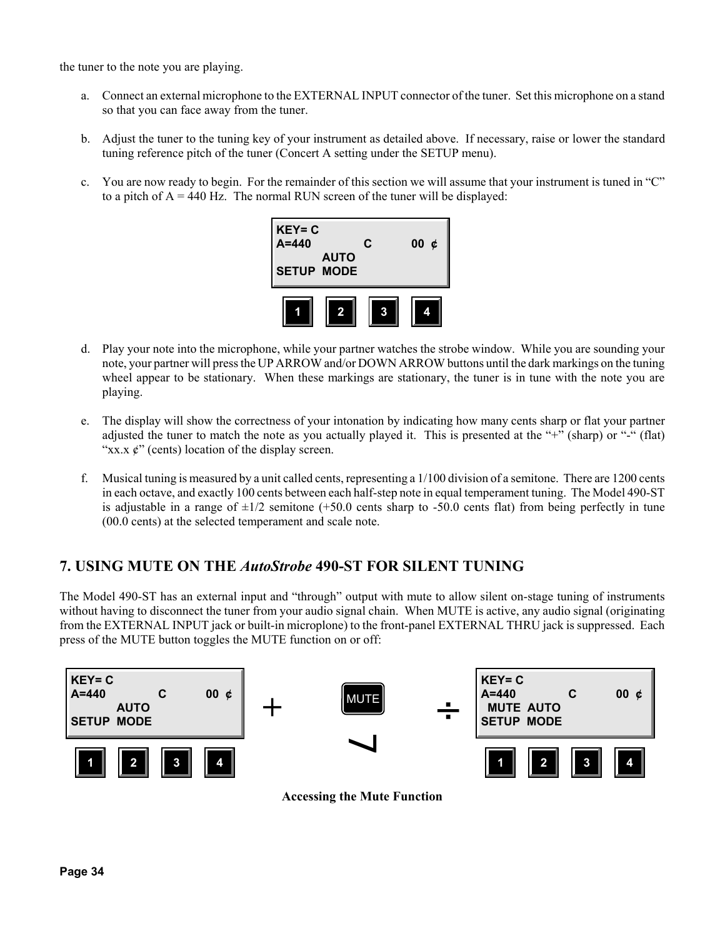the tuner to the note you are playing.

- a. Connect an external microphone to the EXTERNAL INPUT connector of the tuner. Set this microphone on a stand so that you can face away from the tuner.
- b. Adjust the tuner to the tuning key of your instrument as detailed above. If necessary, raise or lower the standard tuning reference pitch of the tuner (Concert A setting under the SETUP menu).
- c. You are now ready to begin. For the remainder of this section we will assume that your instrument is tuned in "C" to a pitch of  $A = 440$  Hz. The normal RUN screen of the tuner will be displayed:



- d. Play your note into the microphone, while your partner watches the strobe window. While you are sounding your note, your partner will press the UP ARROW and/or DOWN ARROW buttons until the dark markings on the tuning wheel appear to be stationary. When these markings are stationary, the tuner is in tune with the note you are playing.
- e. The display will show the correctness of your intonation by indicating how many cents sharp or flat your partner adjusted the tuner to match the note as you actually played it. This is presented at the "+" (sharp) or "-" (flat) " $xx.x \notin$ " (cents) location of the display screen.
- f. Musical tuning is measured by a unit called cents, representing a 1/100 division of a semitone. There are 1200 cents in each octave, and exactly 100 cents between each half-step note in equal temperament tuning. The Model 490-ST is adjustable in a range of  $\pm 1/2$  semitone (+50.0 cents sharp to -50.0 cents flat) from being perfectly in tune (00.0 cents) at the selected temperament and scale note.

#### **7. USING MUTE ON THE** *AutoStrobe* **490-ST FOR SILENT TUNING**

The Model 490-ST has an external input and "through" output with mute to allow silent on-stage tuning of instruments without having to disconnect the tuner from your audio signal chain. When MUTE is active, any audio signal (originating from the EXTERNAL INPUT jack or built-in microplone) to the front-panel EXTERNAL THRU jack is suppressed. Each press of the MUTE button toggles the MUTE function on or off:



**Accessing the Mute Function**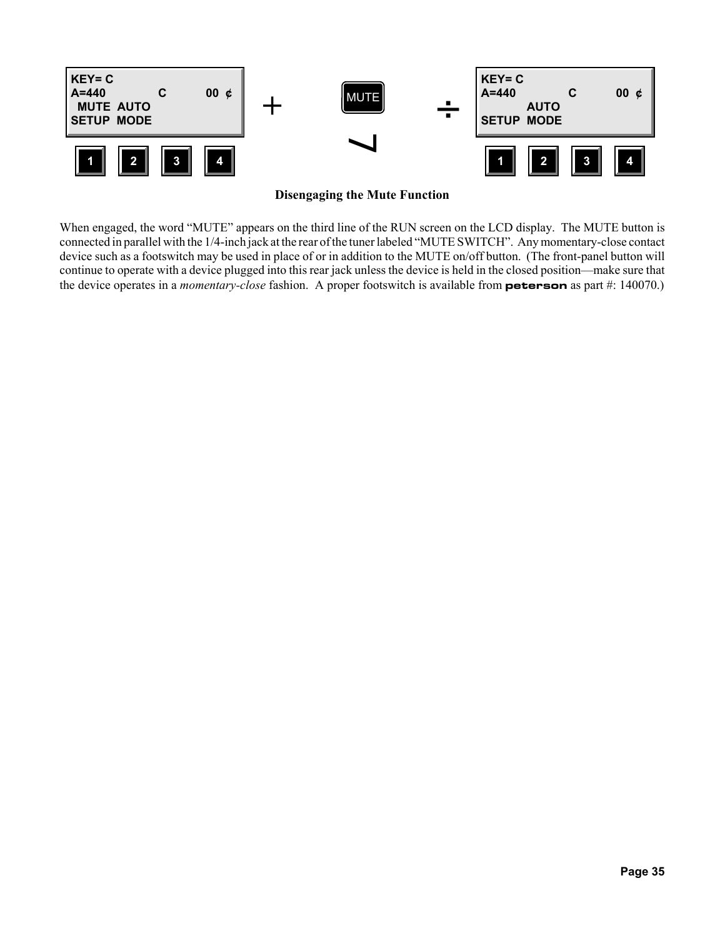

**Disengaging the Mute Function**

When engaged, the word "MUTE" appears on the third line of the RUN screen on the LCD display. The MUTE button is connected in parallel with the 1/4-inch jack at the rear of the tuner labeled "MUTE SWITCH". Any momentary-close contact device such as a footswitch may be used in place of or in addition to the MUTE on/off button. (The front-panel button will continue to operate with a device plugged into this rear jack unless the device is held in the closed position—make sure that the device operates in a *momentary-close* fashion. A proper footswitch is available from **peterson** as part #: 140070.)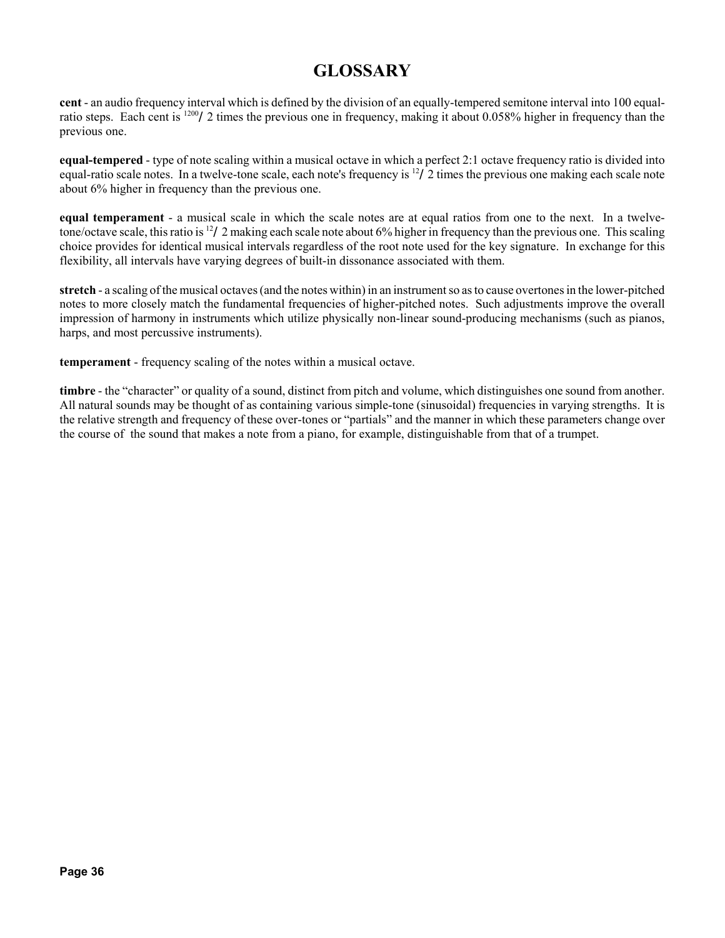## **GLOSSARY**

**cent** - an audio frequency interval which is defined by the division of an equally-tempered semitone interval into 100 equalratio steps. Each cent is 1200/2 times the previous one in frequency, making it about 0.058% higher in frequency than the previous one.

**equal-tempered** - type of note scaling within a musical octave in which a perfect 2:1 octave frequency ratio is divided into equal-ratio scale notes. In a twelve-tone scale, each note's frequency is  $^{12}/2$  times the previous one making each scale note about 6% higher in frequency than the previous one.

**equal temperament** - a musical scale in which the scale notes are at equal ratios from one to the next. In a twelvetone/octave scale, this ratio is 12/2 making each scale note about 6% higher in frequency than the previous one. This scaling choice provides for identical musical intervals regardless of the root note used for the key signature. In exchange for this flexibility, all intervals have varying degrees of built-in dissonance associated with them.

**stretch** - a scaling of the musical octaves (and the notes within) in an instrument so as to cause overtones in the lower-pitched notes to more closely match the fundamental frequencies of higher-pitched notes. Such adjustments improve the overall impression of harmony in instruments which utilize physically non-linear sound-producing mechanisms (such as pianos, harps, and most percussive instruments).

**temperament** - frequency scaling of the notes within a musical octave.

**timbre** - the "character" or quality of a sound, distinct from pitch and volume, which distinguishes one sound from another. All natural sounds may be thought of as containing various simple-tone (sinusoidal) frequencies in varying strengths. It is the relative strength and frequency of these over-tones or "partials" and the manner in which these parameters change over the course of the sound that makes a note from a piano, for example, distinguishable from that of a trumpet.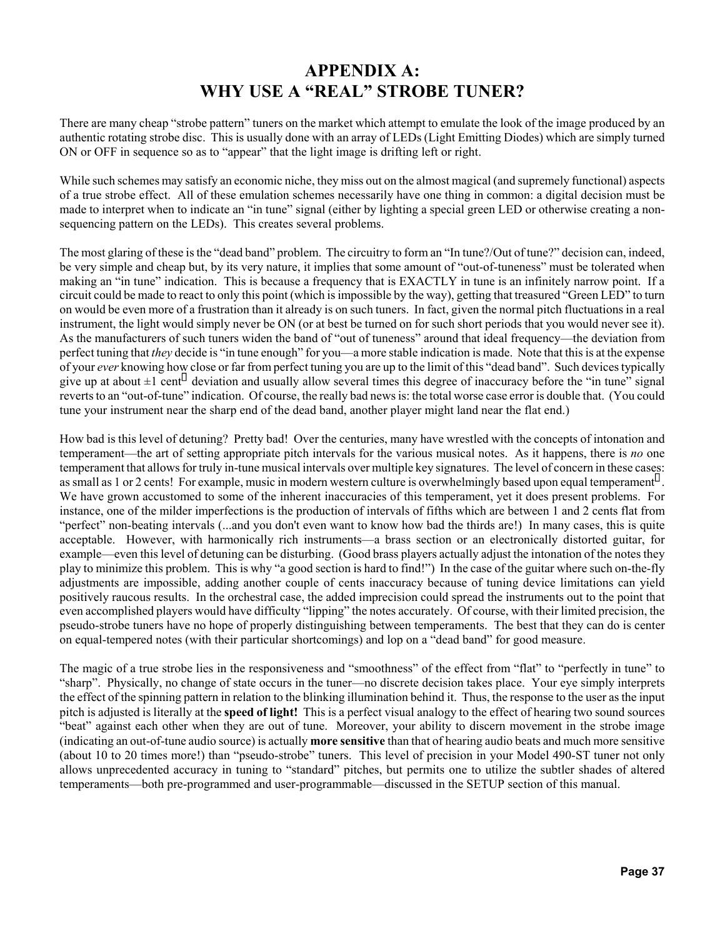## **APPENDIX A: WHY USE A "REAL" STROBE TUNER?**

There are many cheap "strobe pattern" tuners on the market which attempt to emulate the look of the image produced by an authentic rotating strobe disc. This is usually done with an array of LEDs (Light Emitting Diodes) which are simply turned ON or OFF in sequence so as to "appear" that the light image is drifting left or right.

While such schemes may satisfy an economic niche, they miss out on the almost magical (and supremely functional) aspects of a true strobe effect. All of these emulation schemes necessarily have one thing in common: a digital decision must be made to interpret when to indicate an "in tune" signal (either by lighting a special green LED or otherwise creating a nonsequencing pattern on the LEDs). This creates several problems.

The most glaring of these is the "dead band" problem. The circuitry to form an "In tune?/Out of tune?" decision can, indeed, be very simple and cheap but, by its very nature, it implies that some amount of "out-of-tuneness" must be tolerated when making an "in tune" indication. This is because a frequency that is EXACTLY in tune is an infinitely narrow point. If a circuit could be made to react to only this point (which is impossible by the way), getting that treasured "Green LED" to turn on would be even more of a frustration than it already is on such tuners. In fact, given the normal pitch fluctuations in a real instrument, the light would simply never be ON (or at best be turned on for such short periods that you would never see it). As the manufacturers of such tuners widen the band of "out of tuneness" around that ideal frequency—the deviation from perfect tuning that *they* decide is "in tune enough" for you—a more stable indication is made. Note that this is at the expense of your *ever* knowing how close or far from perfect tuning you are up to the limit of this "dead band". Such devices typically give up at about  $\pm 1$  cent deviation and usually allow several times this degree of inaccuracy before the "in tune" signal reverts to an "out-of-tune" indication. Of course, the really bad news is: the total worse case error is double that. (You could tune your instrument near the sharp end of the dead band, another player might land near the flat end.)

How bad is this level of detuning? Pretty bad! Over the centuries, many have wrestled with the concepts of intonation and temperament—the art of setting appropriate pitch intervals for the various musical notes. As it happens, there is *no* one temperament that allows for truly in-tune musical intervals over multiple key signatures. The level of concern in these cases: as small as 1 or 2 cents! For example, music in modern western culture is overwhelmingly based upon equal temperament. We have grown accustomed to some of the inherent inaccuracies of this temperament, yet it does present problems. For instance, one of the milder imperfections is the production of intervals of fifths which are between 1 and 2 cents flat from "perfect" non-beating intervals (...and you don't even want to know how bad the thirds are!) In many cases, this is quite acceptable. However, with harmonically rich instruments—a brass section or an electronically distorted guitar, for example—even this level of detuning can be disturbing. (Good brass players actually adjust the intonation of the notes they play to minimize this problem. This is why "a good section is hard to find!") In the case of the guitar where such on-the-fly adjustments are impossible, adding another couple of cents inaccuracy because of tuning device limitations can yield positively raucous results. In the orchestral case, the added imprecision could spread the instruments out to the point that even accomplished players would have difficulty "lipping" the notes accurately. Of course, with their limited precision, the pseudo-strobe tuners have no hope of properly distinguishing between temperaments. The best that they can do is center on equal-tempered notes (with their particular shortcomings) and lop on a "dead band" for good measure.

The magic of a true strobe lies in the responsiveness and "smoothness" of the effect from "flat" to "perfectly in tune" to "sharp". Physically, no change of state occurs in the tuner—no discrete decision takes place. Your eye simply interprets the effect of the spinning pattern in relation to the blinking illumination behind it. Thus, the response to the user as the input pitch is adjusted is literally at the **speed of light!** This is a perfect visual analogy to the effect of hearing two sound sources "beat" against each other when they are out of tune. Moreover, your ability to discern movement in the strobe image (indicating an out-of-tune audio source) is actually **more sensitive** than that of hearing audio beats and much more sensitive (about 10 to 20 times more!) than "pseudo-strobe" tuners. This level of precision in your Model 490-ST tuner not only allows unprecedented accuracy in tuning to "standard" pitches, but permits one to utilize the subtler shades of altered temperaments—both pre-programmed and user-programmable—discussed in the SETUP section of this manual.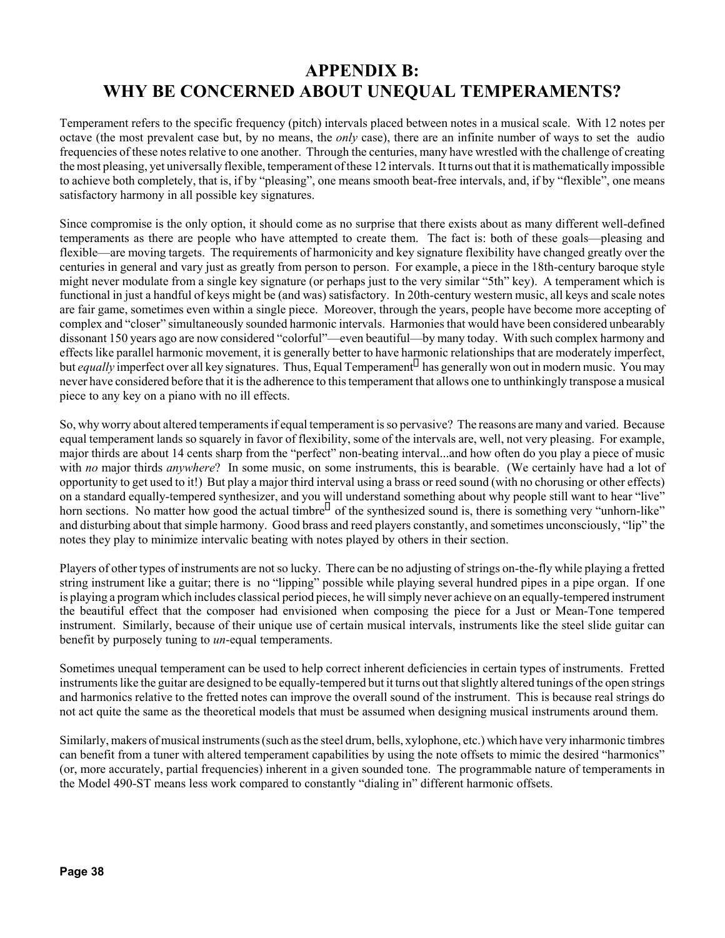## **APPENDIX B: WHY BE CONCERNED ABOUT UNEQUAL TEMPERAMENTS?**

Temperament refers to the specific frequency (pitch) intervals placed between notes in a musical scale. With 12 notes per octave (the most prevalent case but, by no means, the *only* case), there are an infinite number of ways to set the audio frequencies of these notes relative to one another. Through the centuries, many have wrestled with the challenge of creating the most pleasing, yet universally flexible, temperament of these 12 intervals. It turns out that it is mathematically impossible to achieve both completely, that is, if by "pleasing", one means smooth beat-free intervals, and, if by "flexible", one means satisfactory harmony in all possible key signatures.

Since compromise is the only option, it should come as no surprise that there exists about as many different well-defined temperaments as there are people who have attempted to create them. The fact is: both of these goals—pleasing and flexible—are moving targets. The requirements of harmonicity and key signature flexibility have changed greatly over the centuries in general and vary just as greatly from person to person. For example, a piece in the 18th-century baroque style might never modulate from a single key signature (or perhaps just to the very similar "5th" key). A temperament which is functional in just a handful of keys might be (and was) satisfactory. In 20th-century western music, all keys and scale notes are fair game, sometimes even within a single piece. Moreover, through the years, people have become more accepting of complex and "closer" simultaneously sounded harmonic intervals. Harmonies that would have been considered unbearably dissonant 150 years ago are now considered "colorful"—even beautiful—by many today. With such complex harmony and effects like parallel harmonic movement, it is generally better to have harmonic relationships that are moderately imperfect, but *equally* imperfect over all key signatures. Thus, Equal Temperament has generally won out in modern music. You may never have considered before that it is the adherence to this temperament that allows one to unthinkingly transpose a musical piece to any key on a piano with no ill effects.

So, why worry about altered temperaments if equal temperament is so pervasive? The reasons are many and varied. Because equal temperament lands so squarely in favor of flexibility, some of the intervals are, well, not very pleasing. For example, major thirds are about 14 cents sharp from the "perfect" non-beating interval...and how often do you play a piece of music with *no* major thirds *anywhere*? In some music, on some instruments, this is bearable. (We certainly have had a lot of opportunity to get used to it!) But play a major third interval using a brass or reed sound (with no chorusing or other effects) on a standard equally-tempered synthesizer, and you will understand something about why people still want to hear "live" horn sections. No matter how good the actual timbre of the synthesized sound is, there is something very "unhorn-like" and disturbing about that simple harmony. Good brass and reed players constantly, and sometimes unconsciously, "lip" the notes they play to minimize intervalic beating with notes played by others in their section.

Players of other types of instruments are not so lucky. There can be no adjusting of strings on-the-fly while playing a fretted string instrument like a guitar; there is no "lipping" possible while playing several hundred pipes in a pipe organ. If one is playing a program which includes classical period pieces, he will simply never achieve on an equally-tempered instrument the beautiful effect that the composer had envisioned when composing the piece for a Just or Mean-Tone tempered instrument. Similarly, because of their unique use of certain musical intervals, instruments like the steel slide guitar can benefit by purposely tuning to *un*-equal temperaments.

Sometimes unequal temperament can be used to help correct inherent deficiencies in certain types of instruments. Fretted instruments like the guitar are designed to be equally-tempered but it turns out that slightly altered tunings of the open strings and harmonics relative to the fretted notes can improve the overall sound of the instrument. This is because real strings do not act quite the same as the theoretical models that must be assumed when designing musical instruments around them.

Similarly, makers of musical instruments (such as the steel drum, bells, xylophone, etc.) which have very inharmonic timbres can benefit from a tuner with altered temperament capabilities by using the note offsets to mimic the desired "harmonics" (or, more accurately, partial frequencies) inherent in a given sounded tone. The programmable nature of temperaments in the Model 490-ST means less work compared to constantly "dialing in" different harmonic offsets.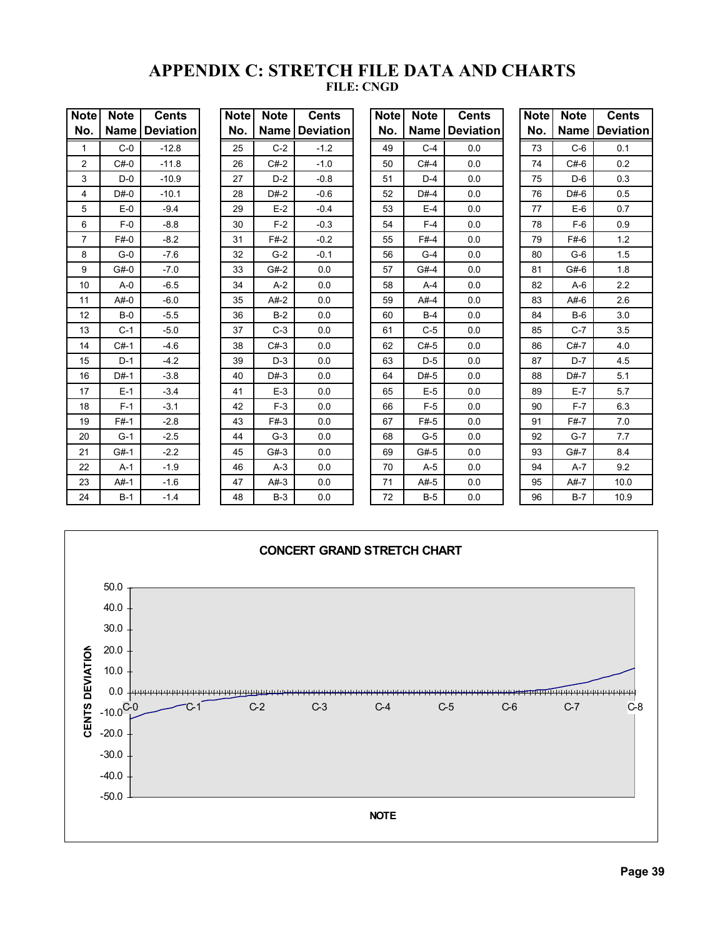#### **APPENDIX C: STRETCH FILE DATA AND CHARTS FILE: CNGD**

| <b>Note</b>    | <b>Note</b> | <b>Cents</b>     | <b>Note</b> | <b>Note</b> | <b>Cents</b>     | <b>Note</b> | <b>Note</b> | <b>Cents</b>     | <b>Note</b> | <b>Note</b> | <b>Cents</b>     |
|----------------|-------------|------------------|-------------|-------------|------------------|-------------|-------------|------------------|-------------|-------------|------------------|
| No.            | Name        | <b>Deviation</b> | No.         | <b>Name</b> | <b>Deviation</b> | No.         | Name        | <b>Deviation</b> | No.         | <b>Name</b> | <b>Deviation</b> |
| $\mathbf{1}$   | $C-0$       | $-12.8$          | 25          | $C-2$       | $-1.2$           | 49          | $C-4$       | 0.0              | 73          | $C-6$       | 0.1              |
| $\overline{2}$ | $C#-0$      | $-11.8$          | 26          | $C#-2$      | $-1.0$           | 50          | $C#-4$      | 0.0              | 74          | $C#-6$      | 0.2              |
| 3              | $D-0$       | $-10.9$          | 27          | $D-2$       | $-0.8$           | 51          | $D-4$       | 0.0              | 75          | $D-6$       | 0.3              |
| 4              | $D#-0$      | $-10.1$          | 28          | $D#-2$      | $-0.6$           | 52          | $D#-4$      | 0.0              | 76          | $D#-6$      | 0.5              |
| 5              | $E-0$       | $-9.4$           | 29          | $E-2$       | $-0.4$           | 53          | $E-4$       | 0.0              | 77          | $E-6$       | 0.7              |
| 6              | $F-0$       | $-8.8$           | 30          | $F-2$       | $-0.3$           | 54          | $F-4$       | 0.0              | 78          | $F-6$       | 0.9              |
| $\overline{7}$ | $F#-0$      | $-8.2$           | 31          | $F#-2$      | $-0.2$           | 55          | $F#-4$      | 0.0              | 79          | $F#-6$      | 1.2              |
| 8              | $G-0$       | $-7.6$           | 32          | $G-2$       | $-0.1$           | 56          | $G-4$       | 0.0              | 80          | $G-6$       | 1.5              |
| 9              | $G#-0$      | $-7.0$           | 33          | $G#-2$      | 0.0              | 57          | $G#-4$      | 0.0              | 81          | $G#-6$      | 1.8              |
| 10             | $A - 0$     | $-6.5$           | 34          | $A-2$       | 0.0              | 58          | $A-4$       | 0.0              | 82          | $A-6$       | 2.2              |
| 11             | $A#-0$      | $-6.0$           | 35          | $A#-2$      | 0.0              | 59          | $A#-4$      | 0.0              | 83          | $A#-6$      | 2.6              |
| 12             | $B-0$       | $-5.5$           | 36          | $B-2$       | 0.0              | 60          | $B-4$       | 0.0              | 84          | $B-6$       | 3.0              |
| 13             | $C-1$       | $-5.0$           | 37          | $C-3$       | 0.0              | 61          | $C-5$       | 0.0              | 85          | $C-7$       | 3.5              |
| 14             | $C#-1$      | $-4.6$           | 38          | $C#-3$      | 0.0              | 62          | $C#-5$      | 0.0              | 86          | $C#-7$      | 4.0              |
| 15             | $D-1$       | $-4.2$           | 39          | $D-3$       | 0.0              | 63          | $D-5$       | 0.0              | 87          | $D-7$       | 4.5              |
| 16             | $D#-1$      | $-3.8$           | 40          | $D#-3$      | 0.0              | 64          | $D#-5$      | 0.0              | 88          | $D#-7$      | 5.1              |
| 17             | $E-1$       | $-3.4$           | 41          | $E-3$       | 0.0              | 65          | $E-5$       | 0.0              | 89          | $E-7$       | 5.7              |
| 18             | $F-1$       | $-3.1$           | 42          | $F-3$       | 0.0              | 66          | $F-5$       | 0.0              | 90          | $F-7$       | 6.3              |
| 19             | $F#-1$      | $-2.8$           | 43          | $F#-3$      | 0.0              | 67          | $F#-5$      | 0.0              | 91          | $F#-7$      | 7.0              |
| 20             | $G-1$       | $-2.5$           | 44          | $G-3$       | 0.0              | 68          | $G-5$       | 0.0              | 92          | $G-7$       | 7.7              |
| 21             | $G#-1$      | $-2.2$           | 45          | $G#-3$      | 0.0              | 69          | $G#-5$      | 0.0              | 93          | $G#-7$      | 8.4              |
| 22             | $A-1$       | $-1.9$           | 46          | $A-3$       | 0.0              | 70          | $A-5$       | 0.0              | 94          | $A-7$       | 9.2              |
| 23             | $A#-1$      | $-1.6$           | 47          | $A#-3$      | 0.0              | 71          | $A#-5$      | 0.0              | 95          | $A#-7$      | 10.0             |
| 24             | $B-1$       | $-1.4$           | 48          | $B-3$       | 0.0              | 72          | $B-5$       | 0.0              | 96          | $B-7$       | 10.9             |

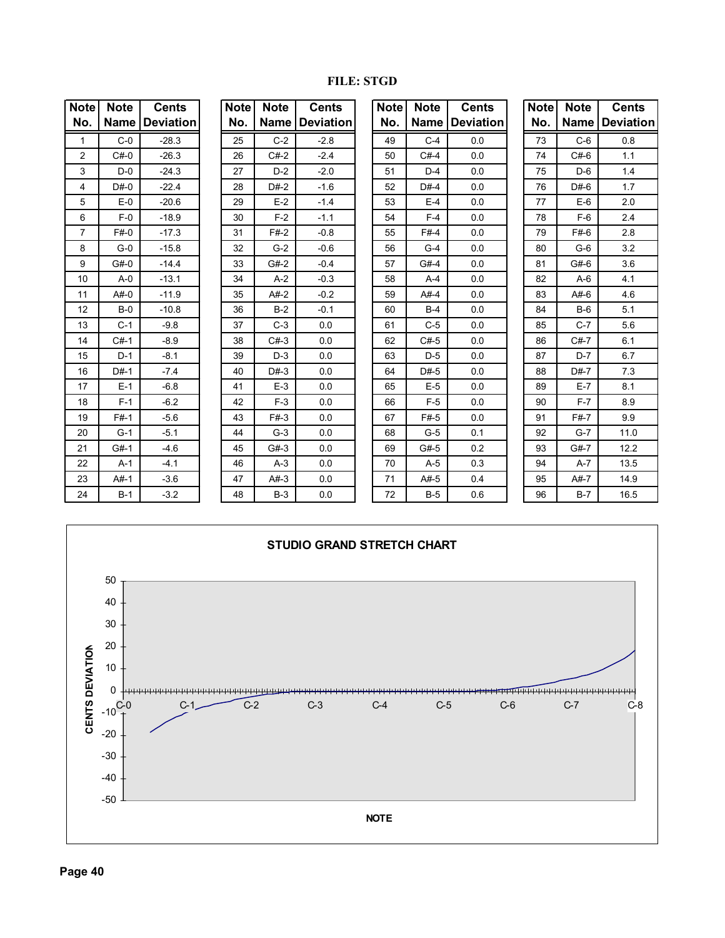| Note           | <b>Note</b> | <b>Cents</b>     | <b>Note</b> | <b>Note</b> | <b>Cents</b>     | <b>Note</b> | <b>Note</b> | <b>Cents</b>     | <b>Note</b> | <b>Note</b> | <b>Cents</b>     |
|----------------|-------------|------------------|-------------|-------------|------------------|-------------|-------------|------------------|-------------|-------------|------------------|
| No.            | <b>Name</b> | <b>Deviation</b> | No.         | <b>Name</b> | <b>Deviation</b> | No.         | <b>Name</b> | <b>Deviation</b> | No.         |             | Name   Deviation |
| 1              | $C-0$       | $-28.3$          | 25          | $C-2$       | $-2.8$           | 49          | $C-4$       | 0.0              | 73          | $C-6$       | 0.8              |
| $\overline{2}$ | $C#-0$      | $-26.3$          | 26          | $C#-2$      | $-2.4$           | 50          | $C#-4$      | 0.0              | 74          | $C#-6$      | 1.1              |
| 3              | $D-0$       | $-24.3$          | 27          | $D-2$       | $-2.0$           | 51          | $D-4$       | 0.0              | 75          | $D-6$       | 1.4              |
| 4              | $D#-0$      | $-22.4$          | 28          | $D#-2$      | $-1.6$           | 52          | $D#-4$      | 0.0              | 76          | $D#-6$      | 1.7              |
| 5              | $E-0$       | $-20.6$          | 29          | $E-2$       | $-1.4$           | 53          | $E-4$       | 0.0              | 77          | $E-6$       | 2.0              |
| 6              | $F-0$       | $-18.9$          | 30          | $F-2$       | $-1.1$           | 54          | $F-4$       | 0.0              | 78          | $F-6$       | 2.4              |
| 7              | F#0         | $-17.3$          | 31          | $F#-2$      | $-0.8$           | 55          | $F#-4$      | 0.0              | 79          | $F#-6$      | 2.8              |
| 8              | $G-0$       | $-15.8$          | 32          | $G-2$       | $-0.6$           | 56          | $G-4$       | 0.0              | 80          | $G-6$       | 3.2              |
| 9              | $G#-0$      | $-14.4$          | 33          | $G#-2$      | $-0.4$           | 57          | $G#-4$      | 0.0              | 81          | $G#-6$      | 3.6              |
| 10             | $A - 0$     | $-13.1$          | 34          | $A-2$       | $-0.3$           | 58          | $A-4$       | 0.0              | 82          | $A-6$       | 4.1              |
| 11             | $A#-0$      | $-11.9$          | 35          | $A#-2$      | $-0.2$           | 59          | $A#-4$      | 0.0              | 83          | $A#-6$      | 4.6              |
| 12             | $B-0$       | $-10.8$          | 36          | $B-2$       | $-0.1$           | 60          | $B-4$       | 0.0              | 84          | $B-6$       | 5.1              |
| 13             | $C-1$       | $-9.8$           | 37          | $C-3$       | 0.0              | 61          | $C-5$       | 0.0              | 85          | $C-7$       | 5.6              |
| 14             | $C#-1$      | $-8.9$           | 38          | $C#-3$      | 0.0              | 62          | $C#-5$      | 0.0              | 86          | $C#-7$      | 6.1              |
| 15             | $D-1$       | $-8.1$           | 39          | $D-3$       | 0.0              | 63          | $D-5$       | 0.0              | 87          | $D-7$       | 6.7              |
| 16             | $D#-1$      | $-7.4$           | 40          | $D#-3$      | 0.0              | 64          | $D#-5$      | 0.0              | 88          | $D#-7$      | 7.3              |
| 17             | $E-1$       | $-6.8$           | 41          | $E-3$       | 0.0              | 65          | $E-5$       | 0.0              | 89          | $E-7$       | 8.1              |
| 18             | $F-1$       | $-6.2$           | 42          | $F-3$       | 0.0              | 66          | $F-5$       | 0.0              | 90          | $F-7$       | 8.9              |
| 19             | $F#-1$      | $-5.6$           | 43          | $F#-3$      | 0.0              | 67          | $F#-5$      | 0.0              | 91          | $F#-7$      | 9.9              |
| 20             | $G-1$       | $-5.1$           | 44          | $G-3$       | 0.0              | 68          | $G-5$       | 0.1              | 92          | $G-7$       | 11.0             |
| 21             | $G#-1$      | $-4.6$           | 45          | $G#-3$      | 0.0              | 69          | $G#-5$      | 0.2              | 93          | $G#-7$      | 12.2             |
| 22             | $A-1$       | $-4.1$           | 46          | $A-3$       | 0.0              | 70          | $A-5$       | 0.3              | 94          | $A-7$       | 13.5             |
| 23             | $A#-1$      | $-3.6$           | 47          | $A#-3$      | 0.0              | 71          | $A#-5$      | 0.4              | 95          | $A#-7$      | 14.9             |
| 24             | $B-1$       | $-3.2$           | 48          | $B-3$       | 0.0              | 72          | $B-5$       | 0.6              | 96          | $B-7$       | 16.5             |

#### **FILE: STGD**

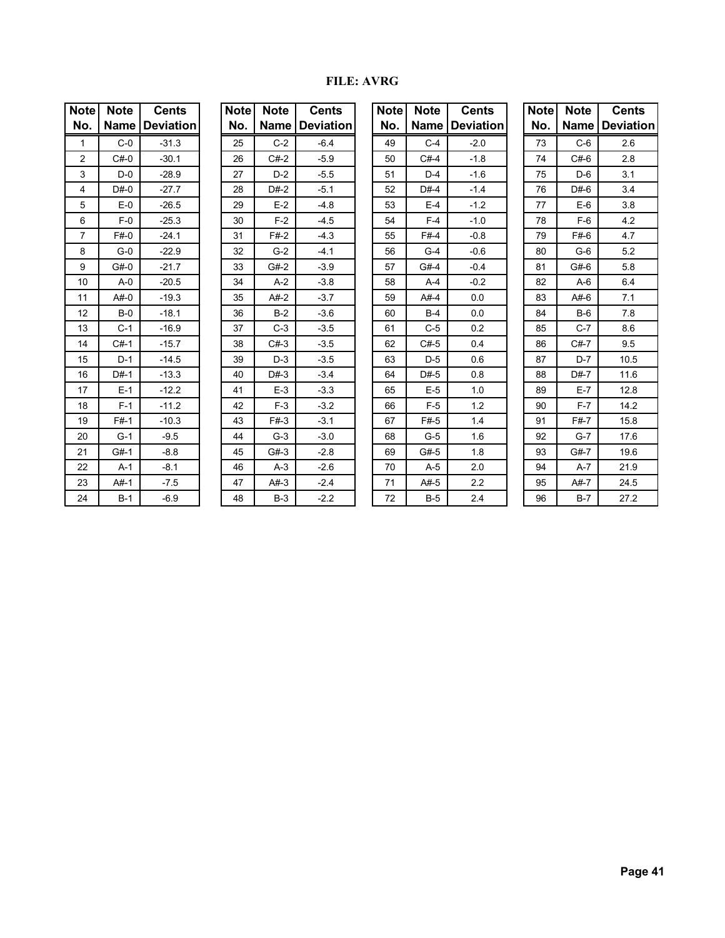#### **FILE: AVRG**

| Note | <b>Note</b> | <b>Cents</b> |
|------|-------------|--------------|
| No.  | Name        | Deviation    |
| 1    | $C-0$       | $-31.3$      |
| 2    | $C#-0$      | $-30.1$      |
| 3    | D-0         | $-28.9$      |
| 4    | $D#-0$      | $-27.7$      |
| 5    | $E-0$       | $-26.5$      |
| 6    | $F-0$       | $-25.3$      |
| 7    | F#-0        | $-24.1$      |
| 8    | $G-0$       | $-22.9$      |
| 9    | $G#-0$      | $-21.7$      |
| 10   | A-0         | $-20.5$      |
| 11   | $A#-0$      | $-19.3$      |
| 12   | $B-0$       | $-18.1$      |
| 13   | $C-1$       | $-16.9$      |
| 14   | $C#-1$      | $-15.7$      |
| 15   | $D-1$       | $-14.5$      |
| 16   | $D#-1$      | $-13.3$      |
| 17   | $E-1$       | $-12.2$      |
| 18   | $F-1$       | $-11.2$      |
| 19   | $F#-1$      | $-10.3$      |
| 20   | $G-1$       | $-9.5$       |
| 21   | $G#-1$      | $-8.8$       |
| 22   | $A-1$       | $-8.1$       |
| 23   | $A#-1$      | $-7.5$       |
| 24   | $B-1$       | $-6.9$       |

| Note | <b>Note</b> | <b>Cents</b> |
|------|-------------|--------------|
| No.  | Name        | Deviation    |
| 25   | C-2         | $-6.4$       |
| 26   | $C#-2$      | $-5.9$       |
| 27   | $D-2$       | $-5.5$       |
| 28   | $D#-2$      | $-5.1$       |
| 29   | $E-2$       | $-4.8$       |
| 30   | $F-2$       | -4.5         |
| 31   | $F#-2$      | $-4.3$       |
| 32   | G-2         | $-4.1$       |
| 33   | $G#-2$      | $-3.9$       |
| 34   | $A-2$       | $-3.8$       |
| 35   | $A#-2$      | $-3.7$       |
| 36   | $B-2$       | $-3.6$       |
| 37   | $C-3$       | $-3.5$       |
| 38   | $C#-3$      | $-3.5$       |
| 39   | $D-3$       | $-3.5$       |
| 40   | $D#-3$      | $-3.4$       |
| 41   | $E-3$       | $-3.3$       |
| 42   | $F-3$       | $-3.2$       |
| 43   | $F#-3$      | $-3.1$       |
| 44   | $G-3$       | $-3.0$       |
| 45   | $G#-3$      | $-2.8$       |
| 46   | $A-3$       | $-2.6$       |
| 47   | $A#-3$      | $-2.4$       |
| 48   | B-3         | $-2.2$       |

| <b>Note</b>    | <b>Note</b> | <b>Cents</b>     | <b>Note</b> | <b>Note</b> | <b>Cents</b>     | <b>Note</b> | <b>Note</b> | <b>Cents</b>     | <b>Note</b> | <b>Note</b> | <b>Cents</b>     |
|----------------|-------------|------------------|-------------|-------------|------------------|-------------|-------------|------------------|-------------|-------------|------------------|
| No.            | <b>Name</b> | <b>Deviation</b> | No.         | <b>Name</b> | <b>Deviation</b> | No.         | <b>Name</b> | <b>Deviation</b> | No.         | <b>Name</b> | <b>Deviation</b> |
| 1              | $C-0$       | $-31.3$          | 25          | $C-2$       | $-6.4$           | 49          | $C-4$       | $-2.0$           | 73          | $C-6$       | 2.6              |
| 2              | $C#-0$      | $-30.1$          | 26          | $C#-2$      | $-5.9$           | 50          | $C#-4$      | $-1.8$           | 74          | $C#-6$      | 2.8              |
| 3              | $D-0$       | $-28.9$          | 27          | $D-2$       | $-5.5$           | 51          | $D-4$       | $-1.6$           | 75          | $D-6$       | 3.1              |
| 4              | $D#-0$      | $-27.7$          | 28          | $D#-2$      | $-5.1$           | 52          | $D#-4$      | $-1.4$           | 76          | $D#-6$      | 3.4              |
| 5              | $E-0$       | $-26.5$          | 29          | $E-2$       | $-4.8$           | 53          | $E-4$       | $-1.2$           | 77          | $E-6$       | 3.8              |
| 6              | $F-0$       | $-25.3$          | 30          | $F-2$       | $-4.5$           | 54          | $F-4$       | $-1.0$           | 78          | $F-6$       | 4.2              |
| $\overline{7}$ | F#0         | $-24.1$          | 31          | $F#-2$      | $-4.3$           | 55          | $F#-4$      | $-0.8$           | 79          | $F#-6$      | 4.7              |
| 8              | $G-0$       | $-22.9$          | 32          | $G-2$       | $-4.1$           | 56          | $G-4$       | $-0.6$           | 80          | $G-6$       | 5.2              |
| 9              | G#0         | $-21.7$          | 33          | $G#-2$      | $-3.9$           | 57          | $G#-4$      | $-0.4$           | 81          | $G#-6$      | 5.8              |
| 10             | $A - 0$     | $-20.5$          | 34          | $A-2$       | $-3.8$           | 58          | $A-4$       | $-0.2$           | 82          | $A-6$       | 6.4              |
| 11             | $A#-0$      | $-19.3$          | 35          | $A#-2$      | $-3.7$           | 59          | $A#-4$      | 0.0              | 83          | $A#-6$      | 7.1              |
| 12             | $B-0$       | $-18.1$          | 36          | $B-2$       | $-3.6$           | 60          | $B-4$       | 0.0              | 84          | $B-6$       | 7.8              |
| 13             | $C-1$       | $-16.9$          | 37          | $C-3$       | $-3.5$           | 61          | $C-5$       | 0.2              | 85          | $C-7$       | 8.6              |
| 14             | $C#-1$      | $-15.7$          | 38          | $C#-3$      | $-3.5$           | 62          | $C#-5$      | 0.4              | 86          | $C#-7$      | 9.5              |
| 15             | $D-1$       | $-14.5$          | 39          | $D-3$       | $-3.5$           | 63          | $D-5$       | 0.6              | 87          | $D-7$       | 10.5             |
| 16             | $D#-1$      | $-13.3$          | 40          | $D#-3$      | $-3.4$           | 64          | $D#-5$      | 0.8              | 88          | $D#-7$      | 11.6             |
| 17             | $E-1$       | $-12.2$          | 41          | $E-3$       | $-3.3$           | 65          | $E-5$       | 1.0              | 89          | $E-7$       | 12.8             |
| 18             | $F-1$       | $-11.2$          | 42          | $F-3$       | $-3.2$           | 66          | $F-5$       | 1.2              | 90          | $F-7$       | 14.2             |
| 19             | $F#-1$      | $-10.3$          | 43          | $F#-3$      | $-3.1$           | 67          | $F#-5$      | 1.4              | 91          | $F#-7$      | 15.8             |
| 20             | $G-1$       | $-9.5$           | 44          | $G-3$       | $-3.0$           | 68          | $G-5$       | 1.6              | 92          | $G-7$       | 17.6             |
| 21             | $G#-1$      | $-8.8$           | 45          | $G#-3$      | $-2.8$           | 69          | $G#-5$      | 1.8              | 93          | $G#-7$      | 19.6             |
| 22             | $A-1$       | $-8.1$           | 46          | $A-3$       | $-2.6$           | 70          | $A-5$       | 2.0              | 94          | $A-7$       | 21.9             |
| 23             | $A#-1$      | $-7.5$           | 47          | $A#-3$      | $-2.4$           | 71          | $A#-5$      | 2.2              | 95          | $At - 7$    | 24.5             |
| 24             | $B-1$       | $-6.9$           | 48          | $B-3$       | $-2.2$           | 72          | $B-5$       | 2.4              | 96          | $B-7$       | 27.2             |

| Note | <b>Note</b> | <b>Cents</b>     |
|------|-------------|------------------|
| No.  | Name        | <b>Deviation</b> |
| 73   | $C-6$       | 2.6              |
| 74   | $C#-6$      | 2.8              |
| 75   | $D-6$       | 3.1              |
| 76   | D#-6        | 3.4              |
| 77   | E-6         | 3.8              |
| 78   | $F-6$       | 4.2              |
| 79   | F#-6        | 4.7              |
| 80   | G-6         | 5.2              |
| 81   | G#-6        | 5.8              |
| 82   | A-6         | 6.4              |
| 83   | A#-6        | 7.1              |
| 84   | <b>B-6</b>  | 7.8              |
| 85   | $C-7$       | 8.6              |
| 86   | $C#-7$      | 9.5              |
| 87   | D-7         | 10.5             |
| 88   | $D#-7$      | 11.6             |
| 89   | $E-7$       | 12.8             |
| 90   | $F-7$       | 14.2             |
| 91   | F#-7        | 15.8             |
| 92   | $G-7$       | 17.6             |
| 93   | G#-7        | 19.6             |
| 94   | $A-7$       | 21.9             |
| 95   | A#-7        | 24.5             |
| 96   | $B-7$       | 27.2             |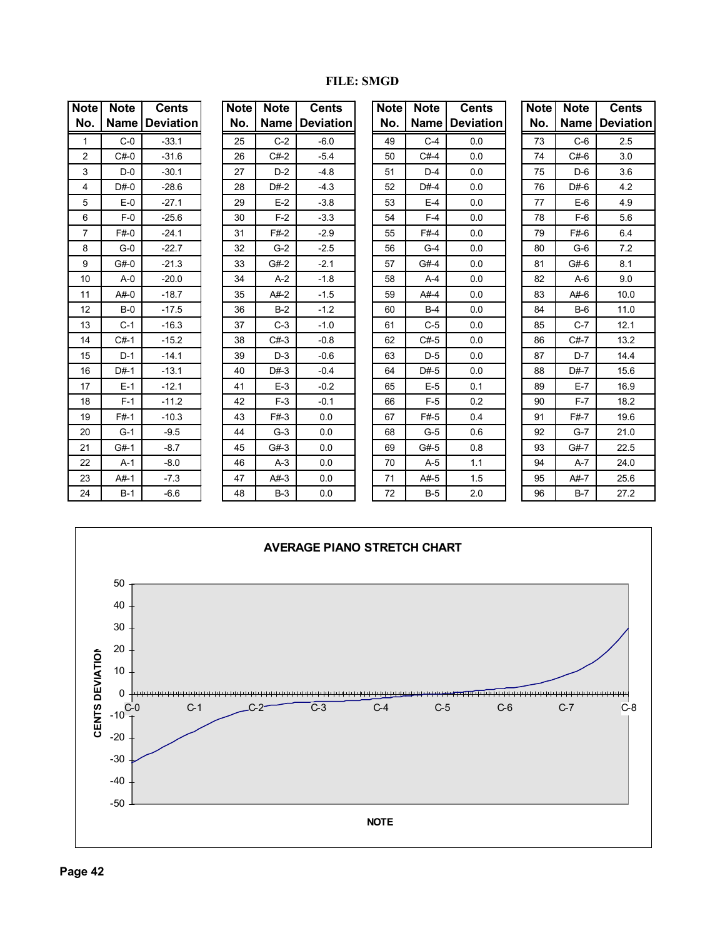| <b>Note</b>    | <b>Note</b> | <b>Cents</b>     | <b>Note</b> | <b>Note</b> | <b>Cents</b>     | <b>Note</b> | <b>Note</b> | <b>Cents</b>     | <b>Note</b> | <b>Note</b> | <b>Cents</b>     |
|----------------|-------------|------------------|-------------|-------------|------------------|-------------|-------------|------------------|-------------|-------------|------------------|
| No.            | <b>Name</b> | <b>Deviation</b> | No.         | Name        | <b>Deviation</b> | No.         | <b>Name</b> | <b>Deviation</b> | No.         | <b>Name</b> | <b>Deviation</b> |
| $\mathbf{1}$   | $C-0$       | $-33.1$          | 25          | $C-2$       | $-6.0$           | 49          | $C-4$       | 0.0              | 73          | $C-6$       | 2.5              |
| 2              | $C#-0$      | $-31.6$          | 26          | $C#-2$      | $-5.4$           | 50          | $C#-4$      | 0.0              | 74          | $C#-6$      | 3.0              |
| 3              | $D-0$       | $-30.1$          | 27          | $D-2$       | $-4.8$           | 51          | $D-4$       | 0.0              | 75          | $D-6$       | 3.6              |
| 4              | $D#-0$      | $-28.6$          | 28          | $D#-2$      | $-4.3$           | 52          | $D#-4$      | 0.0              | 76          | $D#-6$      | 4.2              |
| 5              | $E-0$       | $-27.1$          | 29          | $E-2$       | $-3.8$           | 53          | $E-4$       | 0.0              | 77          | $E-6$       | 4.9              |
| 6              | $F-0$       | $-25.6$          | 30          | $F-2$       | $-3.3$           | 54          | $F-4$       | 0.0              | 78          | $F-6$       | 5.6              |
| $\overline{7}$ | $F#-0$      | $-24.1$          | 31          | $F#-2$      | $-2.9$           | 55          | $F#-4$      | 0.0              | 79          | $F#-6$      | 6.4              |
| 8              | $G-0$       | $-22.7$          | 32          | $G-2$       | $-2.5$           | 56          | $G-4$       | 0.0              | 80          | $G-6$       | 7.2              |
| 9              | $G#-0$      | $-21.3$          | 33          | $G#-2$      | $-2.1$           | 57          | $G#-4$      | 0.0              | 81          | $G#-6$      | 8.1              |
| 10             | $A - 0$     | $-20.0$          | 34          | $A-2$       | $-1.8$           | 58          | $A-4$       | 0.0              | 82          | $A-6$       | 9.0              |
| 11             | $A#-0$      | $-18.7$          | 35          | $A#-2$      | $-1.5$           | 59          | $A#-4$      | 0.0              | 83          | $A#-6$      | 10.0             |
| 12             | $B-0$       | $-17.5$          | 36          | $B-2$       | $-1.2$           | 60          | $B-4$       | 0.0              | 84          | $B-6$       | 11.0             |
| 13             | $C-1$       | $-16.3$          | 37          | $C-3$       | $-1.0$           | 61          | $C-5$       | 0.0              | 85          | $C-7$       | 12.1             |
| 14             | $C#-1$      | $-15.2$          | 38          | $C#-3$      | $-0.8$           | 62          | $C#-5$      | 0.0              | 86          | $C#-7$      | 13.2             |
| 15             | $D-1$       | $-14.1$          | 39          | $D-3$       | $-0.6$           | 63          | $D-5$       | 0.0              | 87          | $D-7$       | 14.4             |
| 16             | $D#-1$      | $-13.1$          | 40          | $D#-3$      | $-0.4$           | 64          | $D#-5$      | 0.0              | 88          | $D#-7$      | 15.6             |
| 17             | $E-1$       | $-12.1$          | 41          | $E-3$       | $-0.2$           | 65          | $E-5$       | 0.1              | 89          | $E-7$       | 16.9             |
| 18             | $F-1$       | $-11.2$          | 42          | $F-3$       | $-0.1$           | 66          | $F-5$       | 0.2              | 90          | $F-7$       | 18.2             |
| 19             | $F#-1$      | $-10.3$          | 43          | $F#-3$      | 0.0              | 67          | $F#-5$      | 0.4              | 91          | $F#-7$      | 19.6             |
| 20             | $G-1$       | $-9.5$           | 44          | $G-3$       | 0.0              | 68          | $G-5$       | 0.6              | 92          | $G-7$       | 21.0             |
| 21             | $G#-1$      | $-8.7$           | 45          | $G#-3$      | 0.0              | 69          | $G#-5$      | 0.8              | 93          | $G#-7$      | 22.5             |
| 22             | $A-1$       | $-8.0$           | 46          | $A-3$       | 0.0              | 70          | $A-5$       | 1.1              | 94          | $A-7$       | 24.0             |
| 23             | $A#-1$      | $-7.3$           | 47          | $A#-3$      | 0.0              | 71          | $A#-5$      | 1.5              | 95          | $A#-7$      | 25.6             |
| 24             | $B-1$       | $-6.6$           | 48          | $B-3$       | 0.0              | 72          | $B-5$       | 2.0              | 96          | $B-7$       | 27.2             |

#### **FILE: SMGD**

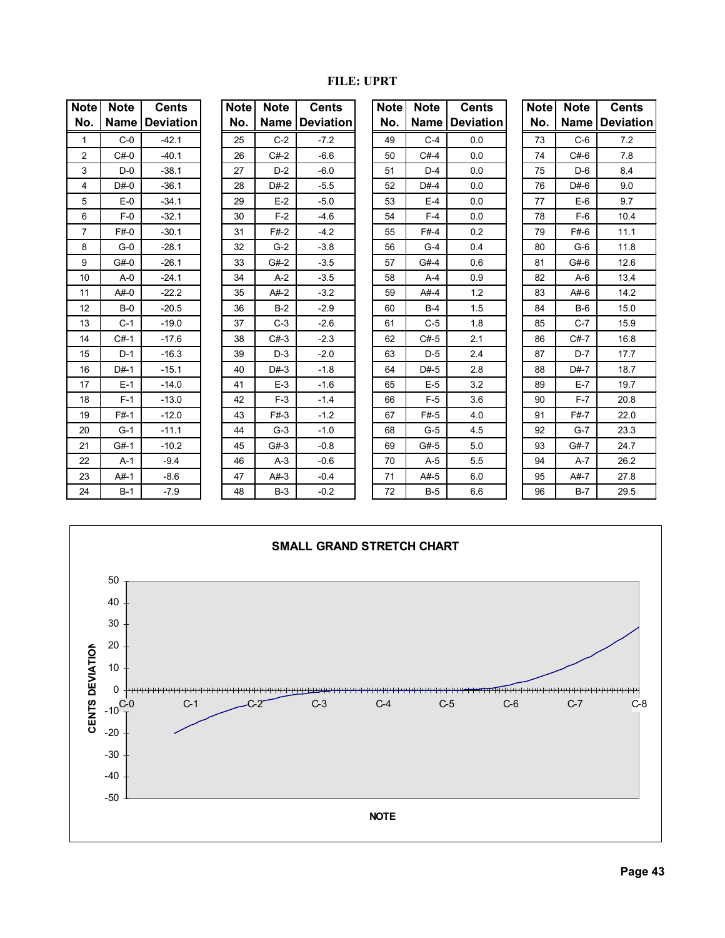| <b>Note</b><br>No. | <b>Note</b><br>Name I | <b>Cents</b><br><b>Deviation</b> | <b>Note</b><br>No. | <b>Note</b><br><b>Name</b> | <b>Cents</b><br><b>Deviation</b> | <b>Note</b><br>No. | <b>Note</b><br><b>Name</b> | <b>Cents</b><br><b>Deviation</b> | <b>Note</b><br>No. | <b>Note</b><br><b>Name</b> | <b>Cents</b><br><b>Deviation</b> |
|--------------------|-----------------------|----------------------------------|--------------------|----------------------------|----------------------------------|--------------------|----------------------------|----------------------------------|--------------------|----------------------------|----------------------------------|
| 1                  | $C-0$                 | $-42.1$                          | 25                 | $C-2$                      | $-7.2$                           | 49                 | $C-4$                      | 0.0                              | 73                 | $C-6$                      | 7.2                              |
|                    | $C#-0$                | $-40.1$                          |                    | $C#-2$                     |                                  |                    | $C#-4$                     | 0.0                              | 74                 | $C#-6$                     |                                  |
| $\overline{2}$     |                       |                                  | 26                 |                            | $-6.6$                           | 50                 |                            |                                  |                    |                            | 7.8                              |
| 3                  | $D-0$                 | $-38.1$                          | 27                 | $D-2$                      | $-6.0$                           | 51                 | $D-4$                      | 0.0                              | 75                 | $D-6$                      | 8.4                              |
| 4                  | $D#-0$                | $-36.1$                          | 28                 | $D#-2$                     | $-5.5$                           | 52                 | $D#-4$                     | 0.0                              | 76                 | $D#-6$                     | 9.0                              |
| 5                  | $E-0$                 | $-34.1$                          | 29                 | $E-2$                      | $-5.0$                           | 53                 | $E-4$                      | 0.0                              | 77                 | $E-6$                      | 9.7                              |
| 6                  | $F-0$                 | $-32.1$                          | 30                 | $F-2$                      | $-4.6$                           | 54                 | $F-4$                      | 0.0                              | 78                 | $F-6$                      | 10.4                             |
| $\overline{7}$     | $F#-0$                | $-30.1$                          | 31                 | $F#-2$                     | $-4.2$                           | 55                 | $F#-4$                     | 0.2                              | 79                 | $F#-6$                     | 11.1                             |
| 8                  | $G-0$                 | $-28.1$                          | 32                 | $G-2$                      | $-3.8$                           | 56                 | $G-4$                      | 0.4                              | 80                 | $G-6$                      | 11.8                             |
| 9                  | $G#-0$                | $-26.1$                          | 33                 | $G#-2$                     | $-3.5$                           | 57                 | $G#-4$                     | 0.6                              | 81                 | $G#-6$                     | 12.6                             |
| 10 <sup>°</sup>    | $A - 0$               | $-24.1$                          | 34                 | $A-2$                      | $-3.5$                           | 58                 | $A-4$                      | 0.9                              | 82                 | $A-6$                      | 13.4                             |
| 11                 | $A#-0$                | $-22.2$                          | 35                 | $A#-2$                     | $-3.2$                           | 59                 | $A#-4$                     | 1.2                              | 83                 | $A#-6$                     | 14.2                             |
| 12                 | $B-0$                 | $-20.5$                          | 36                 | $B-2$                      | $-2.9$                           | 60                 | $B-4$                      | 1.5                              | 84                 | $B-6$                      | 15.0                             |
| 13                 | $C-1$                 | $-19.0$                          | 37                 | $C-3$                      | $-2.6$                           | 61                 | $C-5$                      | 1.8                              | 85                 | $C-7$                      | 15.9                             |
| 14                 | $C#-1$                | $-17.6$                          | 38                 | $C#-3$                     | $-2.3$                           | 62                 | $C#-5$                     | 2.1                              | 86                 | $C#-7$                     | 16.8                             |
| 15                 | $D-1$                 | $-16.3$                          | 39                 | $D-3$                      | $-2.0$                           | 63                 | $D-5$                      | 2.4                              | 87                 | $D-7$                      | 17.7                             |
| 16                 | $D#-1$                | $-15.1$                          | 40                 | $D#-3$                     | $-1.8$                           | 64                 | $D#-5$                     | 2.8                              | 88                 | $D#-7$                     | 18.7                             |
| 17                 | $E-1$                 | $-14.0$                          | 41                 | $E-3$                      | $-1.6$                           | 65                 | $E-5$                      | 3.2                              | 89                 | $E-7$                      | 19.7                             |
| 18                 | $F-1$                 | $-13.0$                          | 42                 | $F-3$                      | $-1.4$                           | 66                 | $F-5$                      | 3.6                              | 90                 | $F-7$                      | 20.8                             |
| 19                 | $F#-1$                | $-12.0$                          | 43                 | $F#-3$                     | $-1.2$                           | 67                 | $F#-5$                     | 4.0                              | 91                 | $F#-7$                     | 22.0                             |
| 20                 | $G-1$                 | $-11.1$                          | 44                 | $G-3$                      | $-1.0$                           | 68                 | $G-5$                      | 4.5                              | 92                 | $G-7$                      | 23.3                             |
| 21                 | $G#-1$                | $-10.2$                          | 45                 | $G#-3$                     | $-0.8$                           | 69                 | $G#-5$                     | 5.0                              | 93                 | $G#-7$                     | 24.7                             |
| 22                 | $A-1$                 | $-9.4$                           | 46                 | $A-3$                      | $-0.6$                           | 70                 | $A-5$                      | 5.5                              | 94                 | $A-7$                      | 26.2                             |
| 23                 | $A#-1$                | $-8.6$                           | 47                 | $A#-3$                     | $-0.4$                           | 71                 | $A#-5$                     | 6.0                              | 95                 | $A#-7$                     | 27.8                             |
| 24                 | $B-1$                 | $-7.9$                           | 48                 | $B-3$                      | $-0.2$                           | 72                 | $B-5$                      | 6.6                              | 96                 | $B-7$                      | 29.5                             |



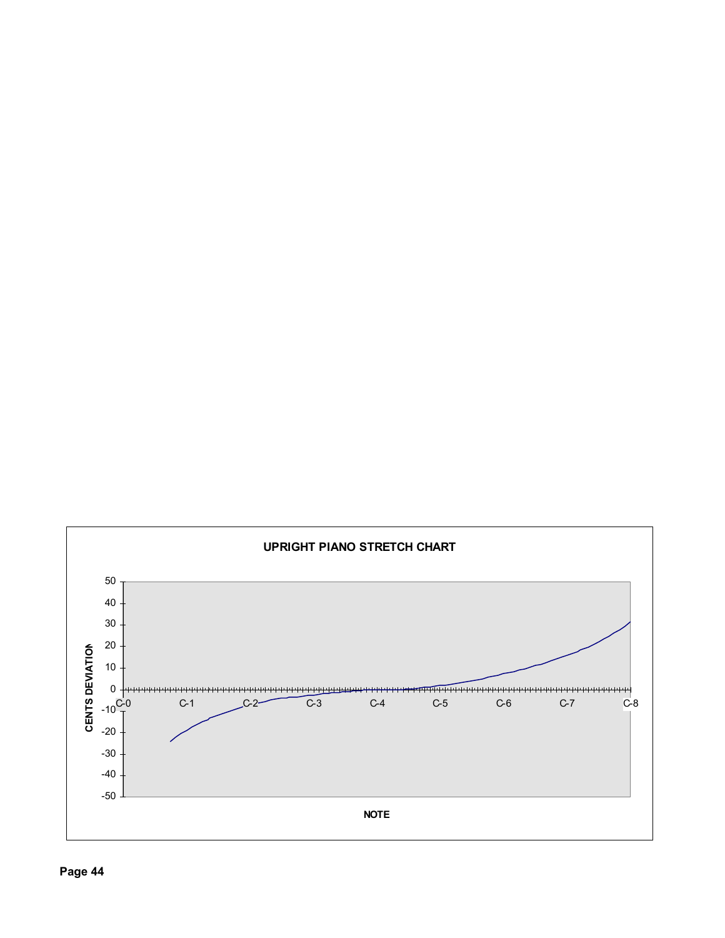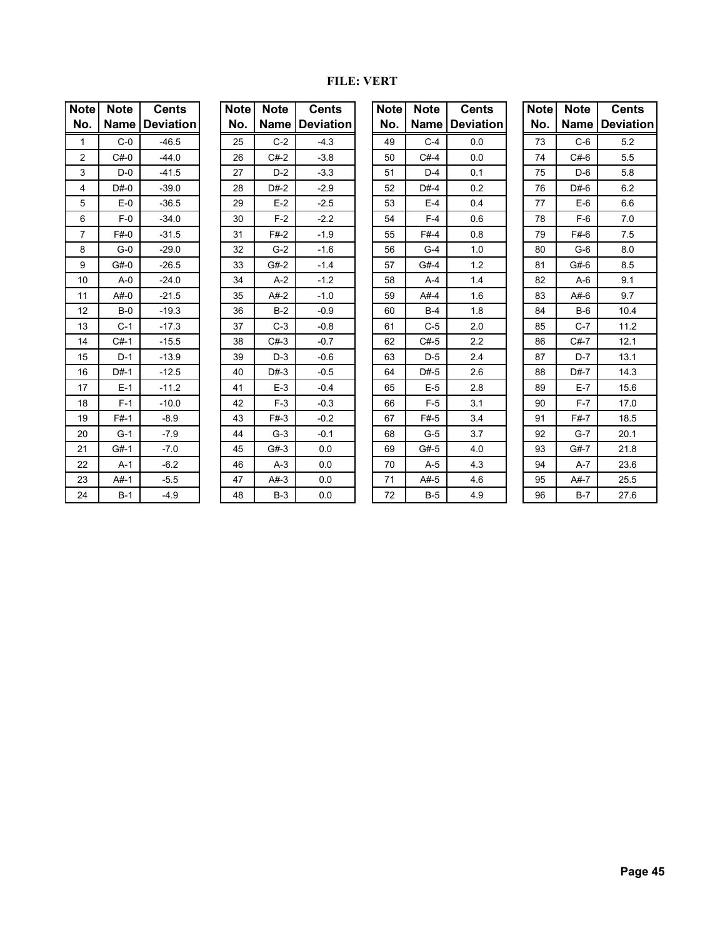#### **FILE: VERT**

| Note           | <b>Note</b> | <b>Cents</b> |  |  |  |  |  |
|----------------|-------------|--------------|--|--|--|--|--|
| No.            | Name        | Deviation    |  |  |  |  |  |
| 1              | $C-0$       | $-46.5$      |  |  |  |  |  |
| $\overline{2}$ | $C#-0$      | $-44.0$      |  |  |  |  |  |
| 3              | D-0         | $-41.5$      |  |  |  |  |  |
| 4              | $D#-0$      | $-39.0$      |  |  |  |  |  |
| 5              | $E-0$       | $-36.5$      |  |  |  |  |  |
| 6              | $F-0$       | $-34.0$      |  |  |  |  |  |
| 7              | F#0         | $-31.5$      |  |  |  |  |  |
| 8              | $G-0$       | $-29.0$      |  |  |  |  |  |
| 9              | G#0         | $-26.5$      |  |  |  |  |  |
| 10             | $A-0$       | $-24.0$      |  |  |  |  |  |
| 11             | $A#-0$      | $-21.5$      |  |  |  |  |  |
| 12             | $B-0$       | $-19.3$      |  |  |  |  |  |
| 13             | $C-1$       | $-17.3$      |  |  |  |  |  |
| 14             | $C#-1$      | $-15.5$      |  |  |  |  |  |
| 15             | $D-1$       | $-13.9$      |  |  |  |  |  |
| 16             | D#-1        | $-12.5$      |  |  |  |  |  |
| 17             | $E-1$       | $-11.2$      |  |  |  |  |  |
| 18             | $F-1$       | $-10.0$      |  |  |  |  |  |
| 19             | $F#-1$      | $-8.9$       |  |  |  |  |  |
| 20             | $G-1$       | $-7.9$       |  |  |  |  |  |
| 21             | $G#-1$      | $-7.0$       |  |  |  |  |  |
| 22             | $A-1$       | $-6.2$       |  |  |  |  |  |
| 23             | $A#-1$      | $-5.5$       |  |  |  |  |  |
| 24             | B-1         | $-4.9$       |  |  |  |  |  |

| Note | <b>Note</b> | <b>Cents</b> |  |  |  |  |  |  |
|------|-------------|--------------|--|--|--|--|--|--|
| No.  | Name        | Deviation    |  |  |  |  |  |  |
| 25   | C-2         | $-4.3$       |  |  |  |  |  |  |
| 26   | $C#-2$      | $-3.8$       |  |  |  |  |  |  |
| 27   | $D-2$       | $-3.3$       |  |  |  |  |  |  |
| 28   | $D#-2$      | $-2.9$       |  |  |  |  |  |  |
| 29   | $E-2$       | $-2.5$       |  |  |  |  |  |  |
| 30   | $F-2$       | $-2.2$       |  |  |  |  |  |  |
| 31   | F#-2        | $-1.9$       |  |  |  |  |  |  |
| 32   | G-2         | $-1.6$       |  |  |  |  |  |  |
| 33   | $G#-2$      | $-1.4$       |  |  |  |  |  |  |
| 34   | $A-2$       | $-1.2$       |  |  |  |  |  |  |
| 35   | $A#-2$      | $-1.0$       |  |  |  |  |  |  |
| 36   | B-2         | $-0.9$       |  |  |  |  |  |  |
| 37   | $C-3$       | $-0.8$       |  |  |  |  |  |  |
| 38   | $C#-3$      | $-0.7$       |  |  |  |  |  |  |
| 39   | $D-3$       | $-0.6$       |  |  |  |  |  |  |
| 40   | $D#-3$      | $-0.5$       |  |  |  |  |  |  |
| 41   | $E-3$       | $-0.4$       |  |  |  |  |  |  |
| 42   | $F-3$       | $-0.3$       |  |  |  |  |  |  |
| 43   | F#-3        | $-0.2$       |  |  |  |  |  |  |
| 44   | $G-3$       | $-0.1$       |  |  |  |  |  |  |
| 45   | $G#-3$      | 0.0          |  |  |  |  |  |  |
| 46   | $A-3$       | 0.0          |  |  |  |  |  |  |
| 47   | $A#-3$      | 0.0          |  |  |  |  |  |  |
| 48   | $B-3$       | 0.0          |  |  |  |  |  |  |

| <b>Note</b>    | <b>Note</b> | <b>Cents</b>     | <b>Note</b> | <b>Note</b> | <b>Cents</b>     | <b>Note</b> | <b>Note</b> | <b>Cents</b>     | <b>Note</b> | <b>Note</b> | <b>Cents</b>     |
|----------------|-------------|------------------|-------------|-------------|------------------|-------------|-------------|------------------|-------------|-------------|------------------|
| No.            | <b>Name</b> | <b>Deviation</b> | No.         | <b>Name</b> | <b>Deviation</b> | No.         | <b>Name</b> | <b>Deviation</b> | No.         | <b>Name</b> | <b>Deviation</b> |
| 1              | $C-0$       | $-46.5$          | 25          | $C-2$       | $-4.3$           | 49          | $C-4$       | 0.0              | 73          | $C-6$       | 5.2              |
| 2              | $C#-0$      | $-44.0$          | 26          | $C#-2$      | $-3.8$           | 50          | $C#-4$      | 0.0              | 74          | $C#-6$      | 5.5              |
| 3              | $D-0$       | $-41.5$          | 27          | $D-2$       | $-3.3$           | 51          | $D-4$       | 0.1              | 75          | $D-6$       | 5.8              |
| 4              | $D#-0$      | $-39.0$          | 28          | $D#-2$      | $-2.9$           | 52          | $D#-4$      | 0.2              | 76          | $D#-6$      | 6.2              |
| 5              | $E-0$       | $-36.5$          | 29          | $E-2$       | $-2.5$           | 53          | $E-4$       | 0.4              | 77          | $E-6$       | 6.6              |
| 6              | $F-0$       | $-34.0$          | 30          | $F-2$       | $-2.2$           | 54          | $F-4$       | 0.6              | 78          | $F-6$       | 7.0              |
| $\overline{7}$ | $F#-0$      | $-31.5$          | 31          | $F#-2$      | $-1.9$           | 55          | $F#-4$      | 0.8              | 79          | $F#-6$      | 7.5              |
| 8              | $G-0$       | $-29.0$          | 32          | $G-2$       | $-1.6$           | 56          | $G-4$       | 1.0              | 80          | $G-6$       | 8.0              |
| 9              | G#0         | $-26.5$          | 33          | $G#-2$      | $-1.4$           | 57          | $G#-4$      | 1.2              | 81          | $G#-6$      | 8.5              |
| 10             | $A - 0$     | $-24.0$          | 34          | $A-2$       | $-1.2$           | 58          | $A-4$       | 1.4              | 82          | $A-6$       | 9.1              |
| 11             | $A#-0$      | $-21.5$          | 35          | $A#-2$      | $-1.0$           | 59          | $A#-4$      | 1.6              | 83          | $A#-6$      | 9.7              |
| 12             | $B-0$       | $-19.3$          | 36          | $B-2$       | $-0.9$           | 60          | $B-4$       | 1.8              | 84          | $B-6$       | 10.4             |
| 13             | $C-1$       | $-17.3$          | 37          | $C-3$       | $-0.8$           | 61          | $C-5$       | 2.0              | 85          | $C-7$       | 11.2             |
| 14             | $C#-1$      | $-15.5$          | 38          | $C#-3$      | $-0.7$           | 62          | $C#-5$      | 2.2              | 86          | $C#-7$      | 12.1             |
| 15             | $D-1$       | $-13.9$          | 39          | $D-3$       | $-0.6$           | 63          | $D-5$       | 2.4              | 87          | $D-7$       | 13.1             |
| 16             | $D#-1$      | $-12.5$          | 40          | $D#-3$      | $-0.5$           | 64          | $D#-5$      | 2.6              | 88          | $D#-7$      | 14.3             |
| 17             | $E-1$       | $-11.2$          | 41          | $E-3$       | $-0.4$           | 65          | $E-5$       | 2.8              | 89          | $E-7$       | 15.6             |
| 18             | $F-1$       | $-10.0$          | 42          | $F-3$       | $-0.3$           | 66          | $F-5$       | 3.1              | 90          | $F-7$       | 17.0             |
| 19             | $F#-1$      | $-8.9$           | 43          | $F#-3$      | $-0.2$           | 67          | $F#-5$      | 3.4              | 91          | $F#-7$      | 18.5             |
| 20             | $G-1$       | $-7.9$           | 44          | $G-3$       | $-0.1$           | 68          | $G-5$       | 3.7              | 92          | $G-7$       | 20.1             |
| 21             | $G#-1$      | $-7.0$           | 45          | $G#-3$      | 0.0              | 69          | $G#-5$      | 4.0              | 93          | $G#-7$      | 21.8             |
| 22             | $A-1$       | $-6.2$           | 46          | $A-3$       | 0.0              | 70          | $A-5$       | 4.3              | 94          | A-7         | 23.6             |
| 23             | $A#-1$      | $-5.5$           | 47          | $A#-3$      | 0.0              | 71          | $A#-5$      | 4.6              | 95          | $A#-7$      | 25.5             |
| 24             | $B-1$       | $-4.9$           | 48          | $B-3$       | 0.0              | 72          | $B-5$       | 4.9              | 96          | $B-7$       | 27.6             |

| Note l | <b>Note</b> | <b>Cents</b>     |  |  |  |  |  |
|--------|-------------|------------------|--|--|--|--|--|
| No.    | Name        | <b>Deviation</b> |  |  |  |  |  |
| 73     | C-6         | 5.2              |  |  |  |  |  |
| 74     | $C#-6$      | 5.5              |  |  |  |  |  |
| 75     | D-6         | 5.8              |  |  |  |  |  |
| 76     | D#-6        | 6.2              |  |  |  |  |  |
| 77     | $E-6$       | 6.6              |  |  |  |  |  |
| 78     | $F-6$       | 7.0              |  |  |  |  |  |
| 79     | F#-6        | 7.5              |  |  |  |  |  |
| 80     | $G-6$       | 8.0              |  |  |  |  |  |
| 81     | $G#-6$      | 8.5              |  |  |  |  |  |
| 82     | A-6         | 9.1              |  |  |  |  |  |
| 83     | $A#-6$      | 9.7              |  |  |  |  |  |
| 84     | $B-6$       | 10.4             |  |  |  |  |  |
| 85     | C-7         | 11.2             |  |  |  |  |  |
| 86     | $C#-7$      | 12.1             |  |  |  |  |  |
| 87     | D-7         | 13.1             |  |  |  |  |  |
| 88     | $D#-7$      | 14.3             |  |  |  |  |  |
| 89     | $E-7$       | 15.6             |  |  |  |  |  |
| 90     | $F-7$       | 17.0             |  |  |  |  |  |
| 91     | F#-7        | 18.5             |  |  |  |  |  |
| 92     | G-7         | 20.1             |  |  |  |  |  |
| 93     | $G#-7$      | 21.8             |  |  |  |  |  |
| 94     | $A-7$       | 23.6             |  |  |  |  |  |
| 95     | A#-7        | 25.5             |  |  |  |  |  |
| 96     | $B-7$       | 27.6             |  |  |  |  |  |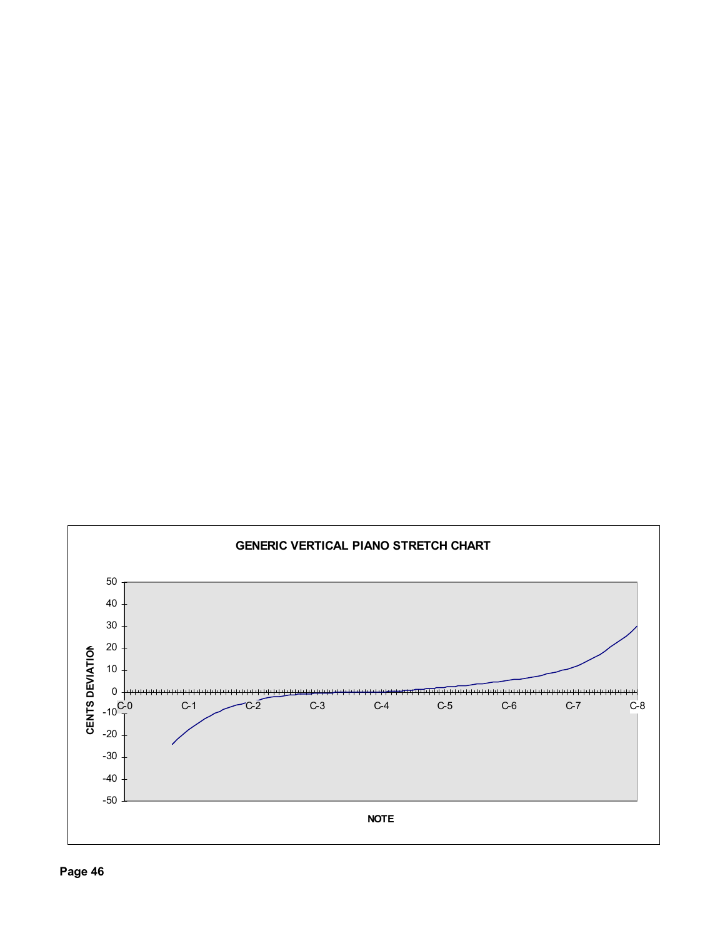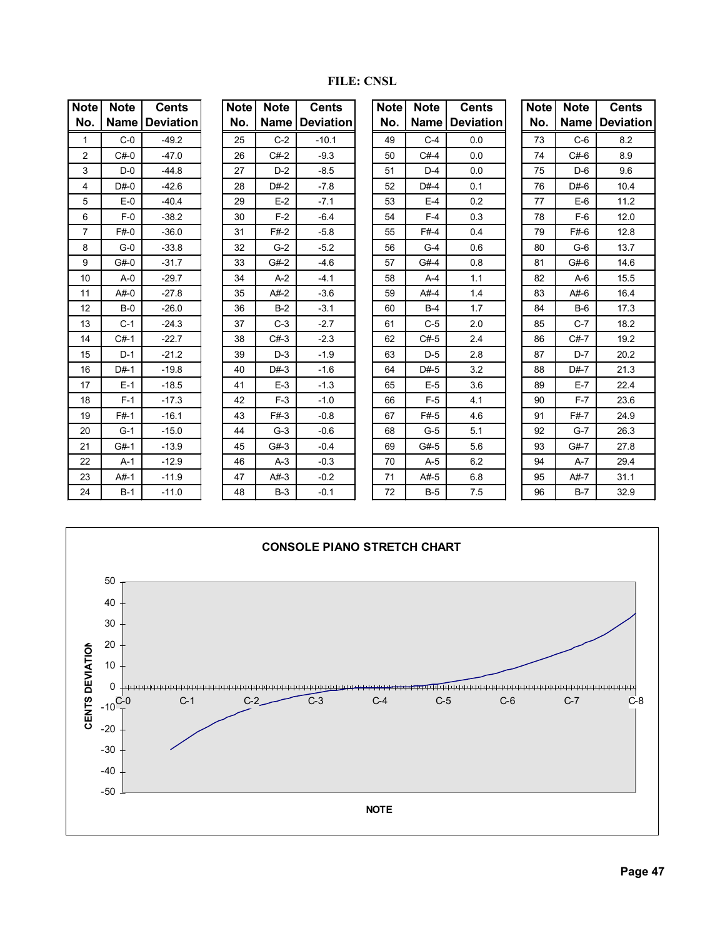| <b>Note</b>    | <b>Note</b> | <b>Cents</b>     | <b>Note</b> | <b>Note</b> | <b>Cents</b>            | <b>Note</b> | <b>Note</b> | <b>Cents</b>     | <b>Note</b> | <b>Note</b> | <b>Cents</b>     |
|----------------|-------------|------------------|-------------|-------------|-------------------------|-------------|-------------|------------------|-------------|-------------|------------------|
| No.            | <b>Name</b> | <b>Deviation</b> | No.         |             | <b>Name   Deviation</b> | No.         | <b>Name</b> | <b>Deviation</b> | No.         | Name        | <b>Deviation</b> |
| $\mathbf{1}$   | $C-0$       | $-49.2$          | 25          | $C-2$       | $-10.1$                 | 49          | $C-4$       | 0.0              | 73          | $C-6$       | 8.2              |
| $\overline{2}$ | $C#-0$      | $-47.0$          | 26          | $C#-2$      | $-9.3$                  | 50          | $C#-4$      | 0.0              | 74          | $C#-6$      | 8.9              |
| 3              | $D-0$       | $-44.8$          | 27          | $D-2$       | $-8.5$                  | 51          | $D-4$       | 0.0              | 75          | $D-6$       | 9.6              |
| 4              | $D#-0$      | $-42.6$          | 28          | $D#-2$      | $-7.8$                  | 52          | $D#-4$      | 0.1              | 76          | $D#-6$      | 10.4             |
| 5              | $E-0$       | $-40.4$          | 29          | $E-2$       | $-7.1$                  | 53          | $E-4$       | 0.2              | 77          | $E-6$       | 11.2             |
| 6              | $F-0$       | $-38.2$          | 30          | $F-2$       | $-6.4$                  | 54          | $F-4$       | 0.3              | 78          | $F-6$       | 12.0             |
| 7              | $F#-0$      | $-36.0$          | 31          | $F#-2$      | $-5.8$                  | 55          | $F#-4$      | 0.4              | 79          | $F#-6$      | 12.8             |
| 8              | $G-0$       | $-33.8$          | 32          | $G-2$       | $-5.2$                  | 56          | $G-4$       | 0.6              | 80          | $G-6$       | 13.7             |
| 9              | $G#-0$      | $-31.7$          | 33          | $G#-2$      | $-4.6$                  | 57          | $G#-4$      | 0.8              | 81          | $G#-6$      | 14.6             |
| 10             | $A - 0$     | $-29.7$          | 34          | $A-2$       | $-4.1$                  | 58          | $A-4$       | 1.1              | 82          | $A-6$       | 15.5             |
| 11             | $A#-0$      | $-27.8$          | 35          | $A#-2$      | $-3.6$                  | 59          | $A#-4$      | 1.4              | 83          | $A#-6$      | 16.4             |
| 12             | $B-0$       | $-26.0$          | 36          | $B-2$       | $-3.1$                  | 60          | $B-4$       | 1.7              | 84          | $B-6$       | 17.3             |
| 13             | $C-1$       | $-24.3$          | 37          | $C-3$       | $-2.7$                  | 61          | $C-5$       | 2.0              | 85          | $C-7$       | 18.2             |
| 14             | $C#-1$      | $-22.7$          | 38          | $C#-3$      | $-2.3$                  | 62          | $C#-5$      | 2.4              | 86          | $C#-7$      | 19.2             |
| 15             | $D-1$       | $-21.2$          | 39          | $D-3$       | $-1.9$                  | 63          | $D-5$       | 2.8              | 87          | $D-7$       | 20.2             |
| 16             | $D#-1$      | $-19.8$          | 40          | $D#-3$      | $-1.6$                  | 64          | $D#-5$      | 3.2              | 88          | $D#-7$      | 21.3             |
| 17             | $E-1$       | $-18.5$          | 41          | $E-3$       | $-1.3$                  | 65          | $E-5$       | 3.6              | 89          | $E-7$       | 22.4             |
| 18             | $F-1$       | $-17.3$          | 42          | $F-3$       | $-1.0$                  | 66          | $F-5$       | 4.1              | 90          | $F-7$       | 23.6             |
| 19             | $F#-1$      | $-16.1$          | 43          | $F#-3$      | $-0.8$                  | 67          | $F#-5$      | 4.6              | 91          | $F#-7$      | 24.9             |
| 20             | $G-1$       | $-15.0$          | 44          | $G-3$       | $-0.6$                  | 68          | $G-5$       | 5.1              | 92          | $G-7$       | 26.3             |
| 21             | $G#-1$      | $-13.9$          | 45          | $G#-3$      | $-0.4$                  | 69          | $G#-5$      | 5.6              | 93          | $G#-7$      | 27.8             |
| 22             | $A-1$       | $-12.9$          | 46          | $A-3$       | $-0.3$                  | 70          | $A-5$       | 6.2              | 94          | $A-7$       | 29.4             |
| 23             | $A#-1$      | $-11.9$          | 47          | $A#-3$      | $-0.2$                  | 71          | $A#-5$      | 6.8              | 95          | A#-7        | 31.1             |
| 24             | $B-1$       | $-11.0$          | 48          | $B-3$       | $-0.1$                  | 72          | $B-5$       | 7.5              | 96          | $B-7$       | 32.9             |

**FILE: CNSL**

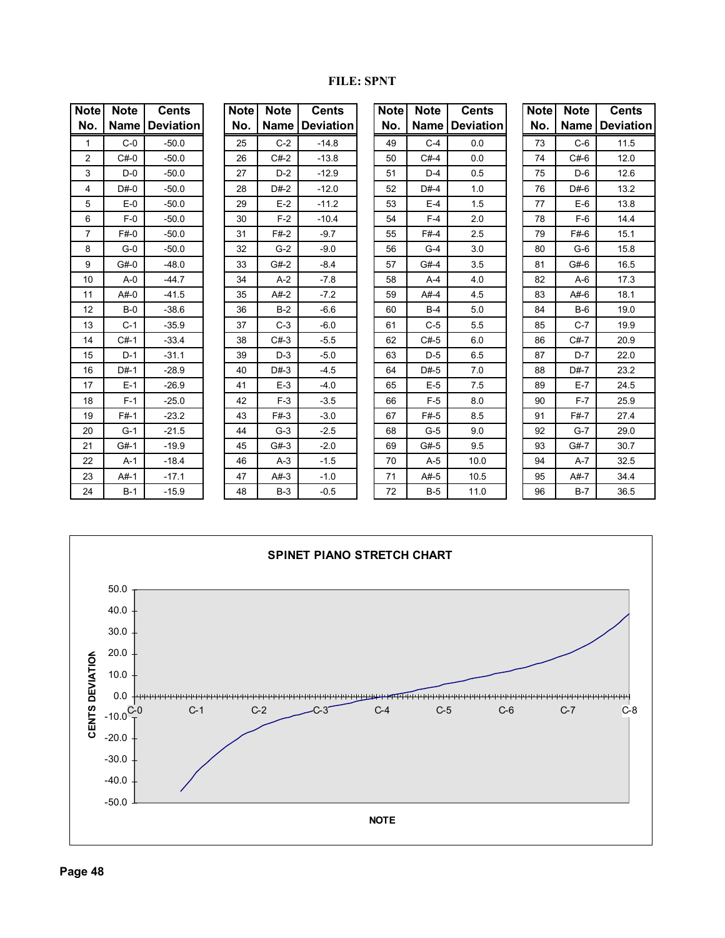#### **FILE: SPNT**

| <b>Note</b>    | <b>Note</b> | <b>Cents</b>     | <b>Note</b> | <b>Note</b> | <b>Cents</b>     | <b>Note</b> | <b>Note</b> | <b>Cents</b>     | <b>Note</b> | <b>Note</b> | <b>Cents</b>     |
|----------------|-------------|------------------|-------------|-------------|------------------|-------------|-------------|------------------|-------------|-------------|------------------|
| No.            | <b>Name</b> | <b>Deviation</b> | No.         | <b>Name</b> | <b>Deviation</b> | No.         | <b>Name</b> | <b>Deviation</b> | No.         | Name        | <b>Deviation</b> |
| $\mathbf{1}$   | $C-0$       | $-50.0$          | 25          | $C-2$       | $-14.8$          | 49          | $C-4$       | 0.0              | 73          | $C-6$       | 11.5             |
| 2              | $C#-0$      | $-50.0$          | 26          | $C#-2$      | $-13.8$          | 50          | $C#-4$      | 0.0              | 74          | $C#-6$      | 12.0             |
| 3              | $D-0$       | $-50.0$          | 27          | $D-2$       | $-12.9$          | 51          | $D-4$       | 0.5              | 75          | $D-6$       | 12.6             |
| 4              | $D#-0$      | $-50.0$          | 28          | $D#-2$      | $-12.0$          | 52          | $D#-4$      | 1.0              | 76          | $D#-6$      | 13.2             |
| 5              | $E-0$       | $-50.0$          | 29          | $E-2$       | $-11.2$          | 53          | $E-4$       | 1.5              | 77          | $E-6$       | 13.8             |
| 6              | $F-0$       | $-50.0$          | 30          | $F-2$       | $-10.4$          | 54          | $F-4$       | 2.0              | 78          | $F-6$       | 14.4             |
| $\overline{7}$ | $F#-0$      | $-50.0$          | 31          | $F#-2$      | $-9.7$           | 55          | $F#-4$      | 2.5              | 79          | $F#-6$      | 15.1             |
| 8              | $G-0$       | $-50.0$          | 32          | $G-2$       | $-9.0$           | 56          | $G-4$       | 3.0              | 80          | $G-6$       | 15.8             |
| 9              | $G#-0$      | $-48.0$          | 33          | $G#-2$      | $-8.4$           | 57          | $G#-4$      | 3.5              | 81          | $G#-6$      | 16.5             |
| 10             | $A - 0$     | $-44.7$          | 34          | $A-2$       | $-7.8$           | 58          | $A-4$       | 4.0              | 82          | $A-6$       | 17.3             |
| 11             | $A#-0$      | $-41.5$          | 35          | $A#-2$      | $-7.2$           | 59          | $A#-4$      | 4.5              | 83          | $A#-6$      | 18.1             |
| 12             | $B-0$       | $-38.6$          | 36          | $B-2$       | $-6.6$           | 60          | $B-4$       | 5.0              | 84          | $B-6$       | 19.0             |
| 13             | $C-1$       | $-35.9$          | 37          | $C-3$       | $-6.0$           | 61          | $C-5$       | 5.5              | 85          | $C-7$       | 19.9             |
| 14             | $C#-1$      | $-33.4$          | 38          | $C#-3$      | $-5.5$           | 62          | $C#-5$      | 6.0              | 86          | $C#-7$      | 20.9             |
| 15             | $D-1$       | $-31.1$          | 39          | $D-3$       | $-5.0$           | 63          | $D-5$       | 6.5              | 87          | $D-7$       | 22.0             |
| 16             | $D#-1$      | $-28.9$          | 40          | $D#-3$      | $-4.5$           | 64          | $D#-5$      | 7.0              | 88          | $D#-7$      | 23.2             |
| 17             | $E-1$       | $-26.9$          | 41          | $E-3$       | $-4.0$           | 65          | $E-5$       | 7.5              | 89          | $E-7$       | 24.5             |
| 18             | $F-1$       | $-25.0$          | 42          | $F-3$       | $-3.5$           | 66          | $F-5$       | 8.0              | 90          | $F-7$       | 25.9             |
| 19             | $F#-1$      | $-23.2$          | 43          | $F#-3$      | $-3.0$           | 67          | $F#-5$      | 8.5              | 91          | $F#-7$      | 27.4             |
| 20             | $G-1$       | $-21.5$          | 44          | $G-3$       | $-2.5$           | 68          | $G-5$       | 9.0              | 92          | $G-7$       | 29.0             |
| 21             | $G#-1$      | $-19.9$          | 45          | $G#-3$      | $-2.0$           | 69          | $G#-5$      | 9.5              | 93          | $G#-7$      | 30.7             |
| 22             | $A-1$       | $-18.4$          | 46          | $A-3$       | $-1.5$           | 70          | $A-5$       | 10.0             | 94          | $A-7$       | 32.5             |
| 23             | $A#-1$      | $-17.1$          | 47          | $A#-3$      | $-1.0$           | 71          | A#-5        | 10.5             | 95          | A#-7        | 34.4             |
| 24             | $B-1$       | $-15.9$          | 48          | $B-3$       | $-0.5$           | 72          | $B-5$       | 11.0             | 96          | $B-7$       | 36.5             |

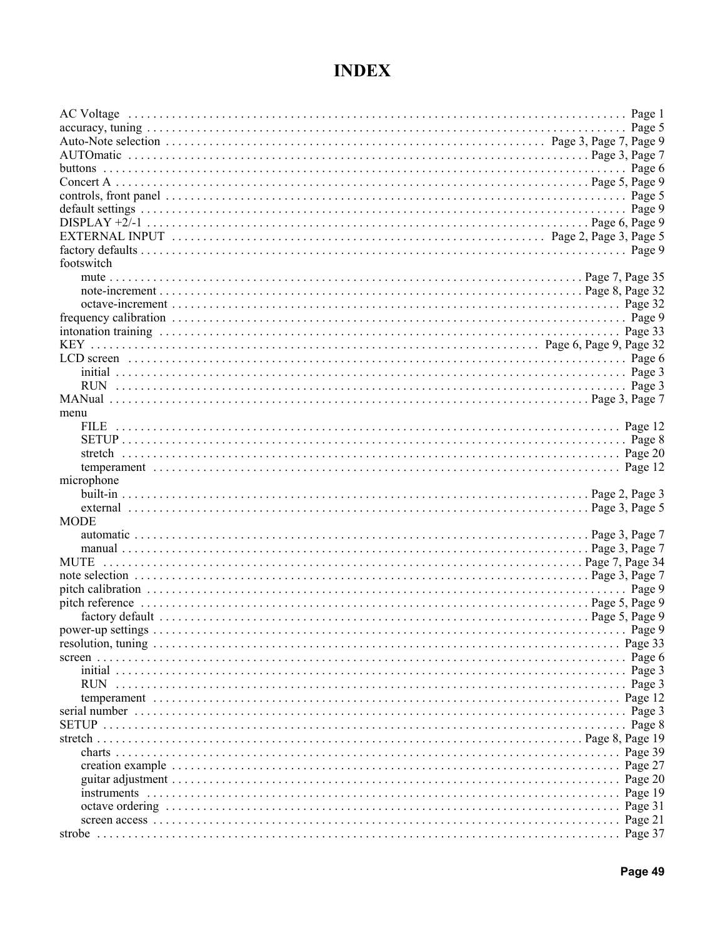## **INDEX**

| default settings $\ldots$ $\ldots$ $\ldots$ $\ldots$ $\ldots$ $\ldots$ $\ldots$ $\ldots$ $\ldots$ $\ldots$ $\ldots$ $\ldots$ $\ldots$ $\ldots$ $\ldots$ $\ldots$ $\ldots$ $\ldots$ $\ldots$ $\ldots$ $\ldots$ $\ldots$ $\ldots$ $\ldots$ $\ldots$ $\ldots$ |                 |
|------------------------------------------------------------------------------------------------------------------------------------------------------------------------------------------------------------------------------------------------------------|-----------------|
|                                                                                                                                                                                                                                                            |                 |
|                                                                                                                                                                                                                                                            |                 |
|                                                                                                                                                                                                                                                            |                 |
| footswitch                                                                                                                                                                                                                                                 |                 |
|                                                                                                                                                                                                                                                            |                 |
|                                                                                                                                                                                                                                                            |                 |
|                                                                                                                                                                                                                                                            |                 |
|                                                                                                                                                                                                                                                            |                 |
|                                                                                                                                                                                                                                                            |                 |
|                                                                                                                                                                                                                                                            |                 |
|                                                                                                                                                                                                                                                            |                 |
|                                                                                                                                                                                                                                                            |                 |
|                                                                                                                                                                                                                                                            |                 |
| menu                                                                                                                                                                                                                                                       |                 |
|                                                                                                                                                                                                                                                            |                 |
|                                                                                                                                                                                                                                                            |                 |
|                                                                                                                                                                                                                                                            |                 |
|                                                                                                                                                                                                                                                            |                 |
| microphone                                                                                                                                                                                                                                                 |                 |
|                                                                                                                                                                                                                                                            |                 |
|                                                                                                                                                                                                                                                            |                 |
| <b>MODE</b>                                                                                                                                                                                                                                                |                 |
|                                                                                                                                                                                                                                                            |                 |
|                                                                                                                                                                                                                                                            |                 |
|                                                                                                                                                                                                                                                            |                 |
|                                                                                                                                                                                                                                                            |                 |
|                                                                                                                                                                                                                                                            |                 |
|                                                                                                                                                                                                                                                            |                 |
|                                                                                                                                                                                                                                                            |                 |
|                                                                                                                                                                                                                                                            |                 |
|                                                                                                                                                                                                                                                            |                 |
|                                                                                                                                                                                                                                                            |                 |
|                                                                                                                                                                                                                                                            |                 |
| <b>RUN</b>                                                                                                                                                                                                                                                 |                 |
|                                                                                                                                                                                                                                                            |                 |
|                                                                                                                                                                                                                                                            |                 |
|                                                                                                                                                                                                                                                            | $\ldots$ Page 8 |
|                                                                                                                                                                                                                                                            |                 |
|                                                                                                                                                                                                                                                            | Page 39         |
|                                                                                                                                                                                                                                                            | Page 27         |
|                                                                                                                                                                                                                                                            |                 |
|                                                                                                                                                                                                                                                            |                 |
|                                                                                                                                                                                                                                                            |                 |
|                                                                                                                                                                                                                                                            |                 |
|                                                                                                                                                                                                                                                            |                 |